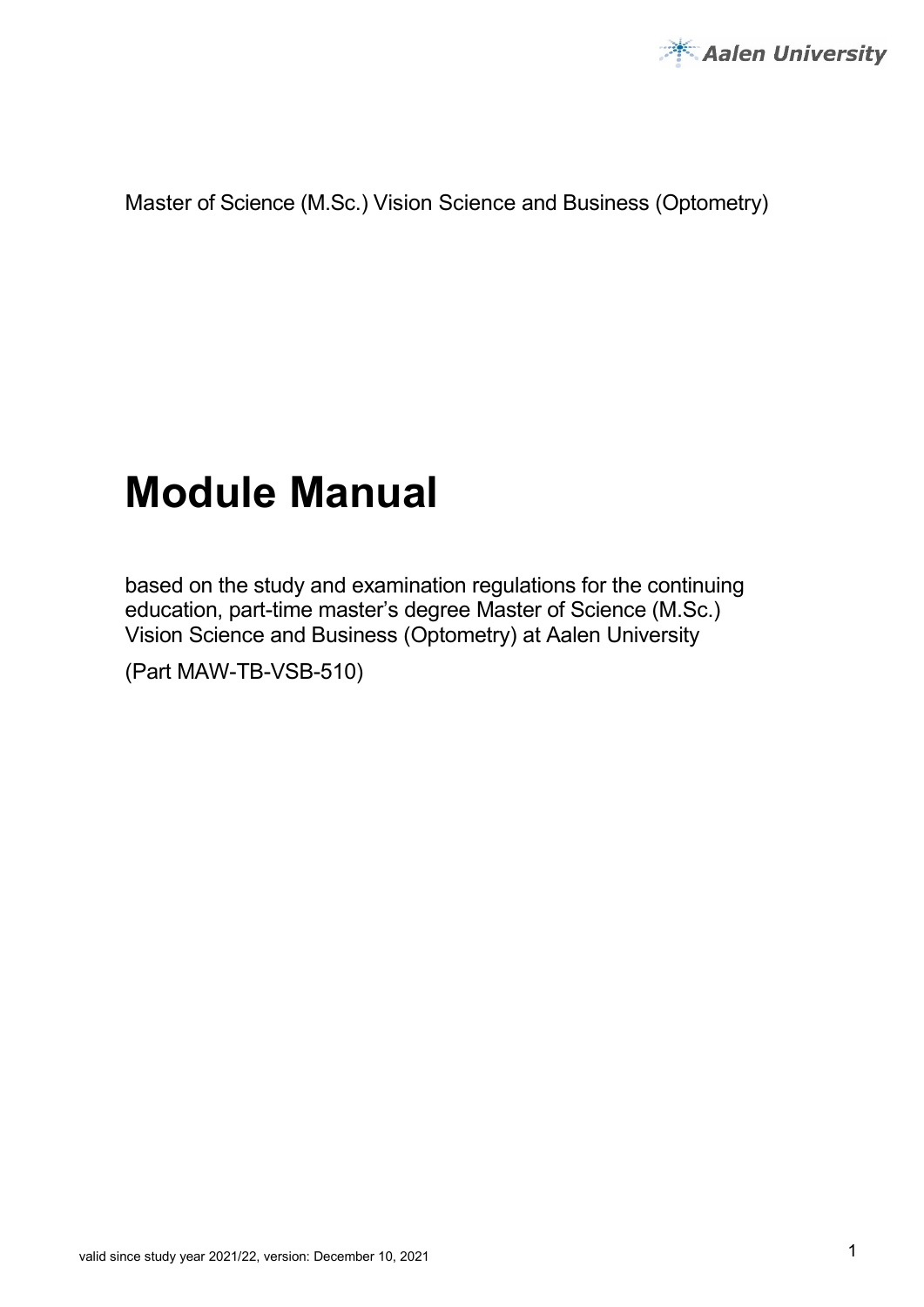

Master of Science (M.Sc.) Vision Science and Business (Optometry)

# **Module Manual**

based on the study and examination regulations for the continuing education, part-time master's degree Master of Science (M.Sc.) Vision Science and Business (Optometry) at Aalen University

(Part MAW-TB-VSB-510)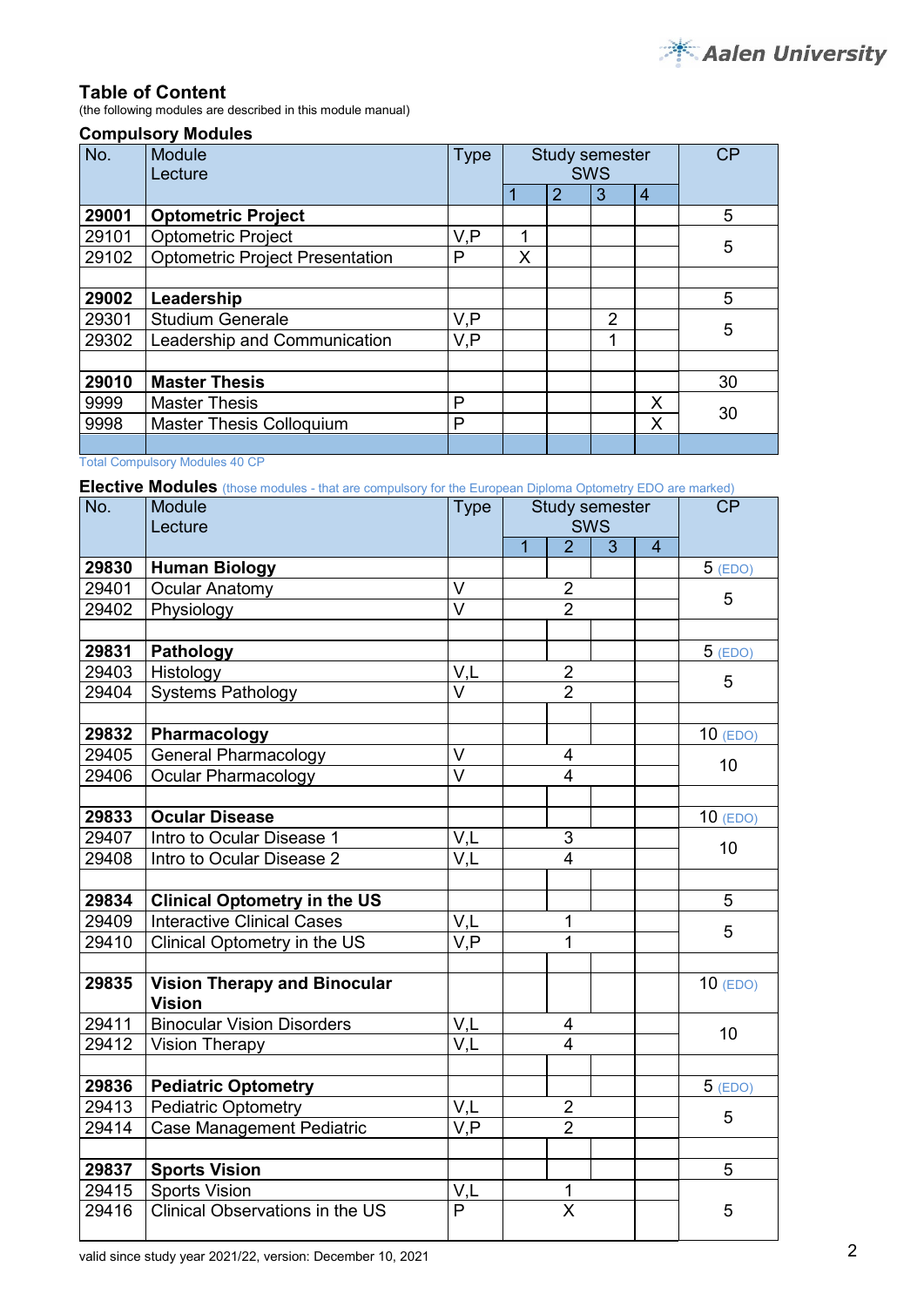#### **Table of Content**

(the following modules are described in this module manual)

#### **Compulsory Modules**

| No.   | Module<br>Lecture                      | <b>Type</b> | Study semester<br><b>SWS</b> |   |                | <b>CP</b>      |    |
|-------|----------------------------------------|-------------|------------------------------|---|----------------|----------------|----|
|       |                                        |             |                              | 2 | 3              | $\overline{4}$ |    |
| 29001 | <b>Optometric Project</b>              |             |                              |   |                |                | 5  |
| 29101 | <b>Optometric Project</b>              | V,P         | 1                            |   |                |                | 5  |
| 29102 | <b>Optometric Project Presentation</b> | P           | Χ                            |   |                |                |    |
|       |                                        |             |                              |   |                |                |    |
| 29002 | Leadership                             |             |                              |   |                |                | 5  |
| 29301 | <b>Studium Generale</b>                | V,P         |                              |   | $\mathfrak{p}$ |                | 5  |
| 29302 | Leadership and Communication           | V, P        |                              |   | 1              |                |    |
|       |                                        |             |                              |   |                |                |    |
| 29010 | <b>Master Thesis</b>                   |             |                              |   |                |                | 30 |
| 9999  | <b>Master Thesis</b>                   | P           |                              |   |                | X              | 30 |
| 9998  | <b>Master Thesis Colloquium</b>        | P           |                              |   |                | X              |    |
|       |                                        |             |                              |   |                |                |    |

Total Compulsory Modules 40 CP

**Elective Modules** (those modules - that are compulsory for the European Diploma Optometry EDO are marked)

| No.   | <b>Module</b><br>Lecture                             | <b>Type</b>             | Study semester<br>SWS |                         |   |                | <b>CP</b>  |  |
|-------|------------------------------------------------------|-------------------------|-----------------------|-------------------------|---|----------------|------------|--|
|       |                                                      |                         | $\overline{1}$        | $\overline{2}$          | 3 | $\overline{4}$ |            |  |
| 29830 | <b>Human Biology</b>                                 |                         |                       |                         |   |                | $5$ (EDO)  |  |
| 29401 | <b>Ocular Anatomy</b>                                | V                       |                       | $\frac{2}{2}$           |   |                | 5          |  |
| 29402 | Physiology                                           | $\vee$                  |                       |                         |   |                |            |  |
|       |                                                      |                         |                       |                         |   |                |            |  |
| 29831 | <b>Pathology</b>                                     |                         |                       |                         |   |                | $5$ (EDO)  |  |
| 29403 | Histology                                            | V,L                     |                       | $\overline{2}$          |   |                | 5          |  |
| 29404 | <b>Systems Pathology</b>                             | $\overline{\mathsf{V}}$ |                       | $\overline{2}$          |   |                |            |  |
|       |                                                      |                         |                       |                         |   |                |            |  |
| 29832 | Pharmacology                                         |                         |                       |                         |   |                | $10$ (EDO) |  |
| 29405 | <b>General Pharmacology</b>                          | $\vee$                  |                       | 4                       |   |                | 10         |  |
| 29406 | <b>Ocular Pharmacology</b>                           | $\overline{\vee}$       |                       | $\overline{4}$          |   |                |            |  |
|       |                                                      |                         |                       |                         |   |                |            |  |
| 29833 | <b>Ocular Disease</b>                                |                         |                       |                         |   |                | $10$ (EDO) |  |
| 29407 | Intro to Ocular Disease 1                            | V,L                     | 3                     |                         |   | 10             |            |  |
| 29408 | Intro to Ocular Disease 2                            | V,L                     | $\overline{4}$        |                         |   |                |            |  |
|       |                                                      |                         |                       |                         |   |                |            |  |
| 29834 | <b>Clinical Optometry in the US</b>                  |                         |                       |                         |   |                | 5          |  |
| 29409 | <b>Interactive Clinical Cases</b>                    | V,L                     |                       | 1                       |   |                | 5          |  |
| 29410 | Clinical Optometry in the US                         | $\overline{VP}$         |                       | 1                       |   |                |            |  |
|       |                                                      |                         |                       |                         |   |                |            |  |
| 29835 | <b>Vision Therapy and Binocular</b><br><b>Vision</b> |                         |                       |                         |   |                | $10$ (EDO) |  |
| 29411 | <b>Binocular Vision Disorders</b>                    | V,L                     |                       | 4                       |   |                | 10         |  |
| 29412 | <b>Vision Therapy</b>                                | V,L                     |                       | $\overline{4}$          |   |                |            |  |
|       |                                                      |                         |                       |                         |   |                |            |  |
| 29836 | <b>Pediatric Optometry</b>                           |                         |                       |                         |   |                | $5$ (EDO)  |  |
| 29413 | <b>Pediatric Optometry</b>                           | V,L                     |                       | $\overline{2}$          |   |                | 5          |  |
| 29414 | <b>Case Management Pediatric</b>                     | V,P                     |                       | $\overline{2}$          |   |                |            |  |
|       |                                                      |                         |                       |                         |   |                |            |  |
| 29837 | <b>Sports Vision</b>                                 |                         |                       |                         |   |                | 5          |  |
| 29415 | <b>Sports Vision</b>                                 | V,L                     |                       | 1                       |   |                |            |  |
| 29416 | Clinical Observations in the US                      | $\overline{P}$          |                       | $\overline{\mathsf{x}}$ |   |                | 5          |  |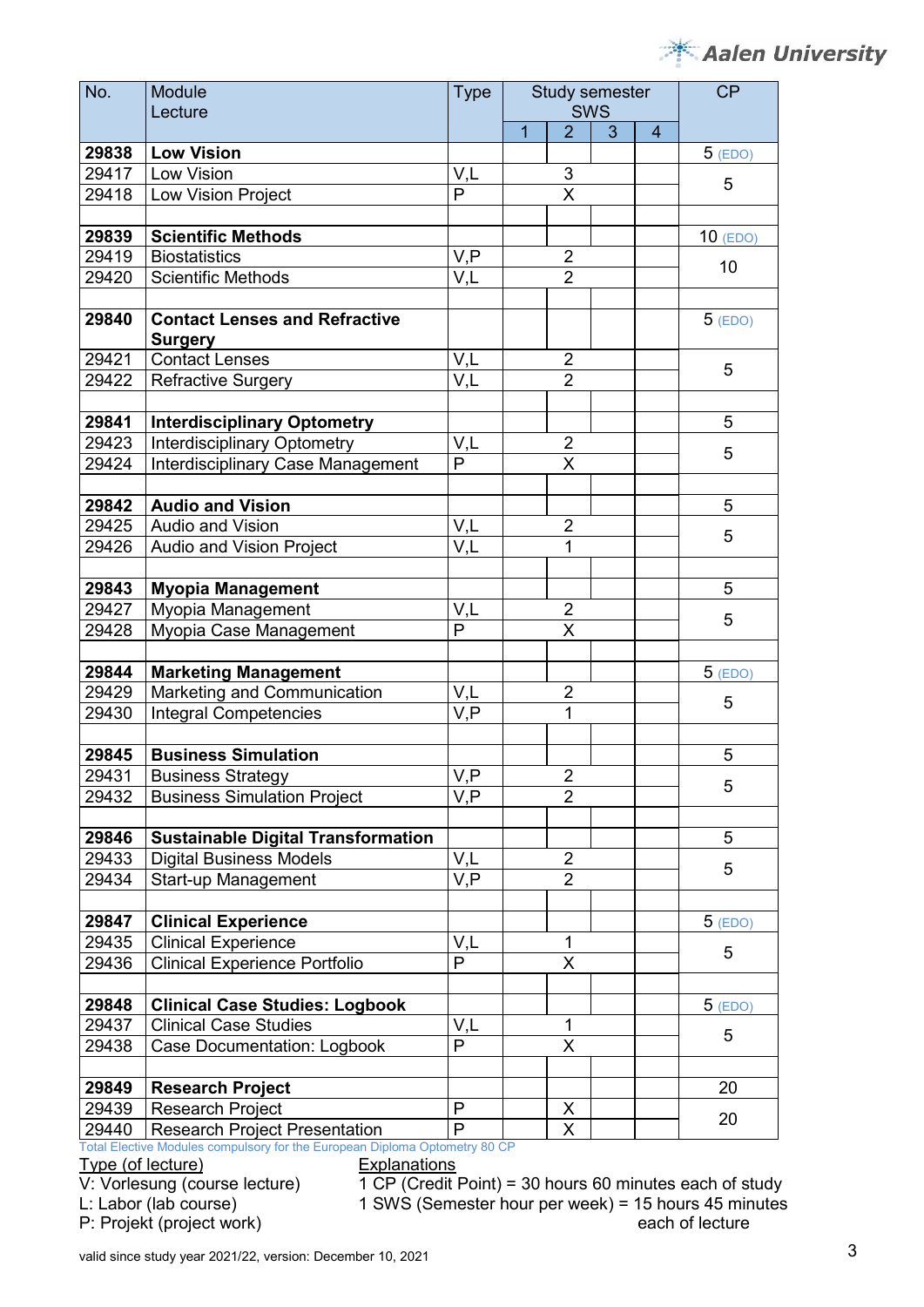# Aalen University

| No.   | Module<br>Lecture                                                         | <b>Type</b>                        | Study semester<br><b>SWS</b> |                         |   | <b>CP</b>      |            |
|-------|---------------------------------------------------------------------------|------------------------------------|------------------------------|-------------------------|---|----------------|------------|
|       |                                                                           |                                    | $\overline{1}$               | $\overline{2}$          | 3 | $\overline{4}$ |            |
| 29838 | <b>Low Vision</b>                                                         |                                    |                              |                         |   |                | $5$ (EDO)  |
| 29417 | Low Vision                                                                | V,L                                |                              | 3                       |   |                |            |
| 29418 | Low Vision Project                                                        | $\mathsf{P}$                       |                              | X                       |   |                | 5          |
|       |                                                                           |                                    |                              |                         |   |                |            |
| 29839 | <b>Scientific Methods</b>                                                 |                                    |                              |                         |   |                | $10$ (EDO) |
| 29419 | <b>Biostatistics</b>                                                      | V, P                               |                              | $\overline{2}$          |   |                | 10         |
| 29420 | <b>Scientific Methods</b>                                                 | V,L                                |                              | $\overline{2}$          |   |                |            |
|       |                                                                           |                                    |                              |                         |   |                |            |
| 29840 | <b>Contact Lenses and Refractive</b><br><b>Surgery</b>                    |                                    |                              |                         |   |                | $5$ (EDO)  |
| 29421 | <b>Contact Lenses</b>                                                     | V, L                               |                              | 2                       |   |                |            |
| 29422 | <b>Refractive Surgery</b>                                                 | V,L                                |                              | $\overline{2}$          |   |                | 5          |
|       |                                                                           |                                    |                              |                         |   |                |            |
| 29841 | <b>Interdisciplinary Optometry</b>                                        |                                    |                              |                         |   |                | 5          |
| 29423 | <b>Interdisciplinary Optometry</b>                                        | V,L                                |                              | $\overline{2}$          |   |                | 5          |
| 29424 | Interdisciplinary Case Management                                         | $\mathsf{P}$                       |                              | $\overline{\mathsf{x}}$ |   |                |            |
|       |                                                                           |                                    |                              |                         |   |                |            |
| 29842 | <b>Audio and Vision</b>                                                   |                                    |                              |                         |   |                | 5          |
| 29425 | <b>Audio and Vision</b>                                                   | V,L                                |                              | $\overline{2}$          |   |                | 5          |
| 29426 | Audio and Vision Project                                                  | $\overline{\mathsf{V},\mathsf{L}}$ |                              | 1                       |   |                |            |
|       |                                                                           |                                    |                              |                         |   |                |            |
| 29843 | <b>Myopia Management</b>                                                  |                                    |                              |                         |   |                | 5          |
| 29427 | Myopia Management                                                         | V,L                                |                              | $\overline{2}$          |   |                | 5          |
| 29428 | Myopia Case Management                                                    | P                                  |                              | $\overline{\mathsf{x}}$ |   |                |            |
|       |                                                                           |                                    |                              |                         |   |                |            |
| 29844 | <b>Marketing Management</b>                                               |                                    |                              |                         |   |                | $5$ (EDO)  |
| 29429 | Marketing and Communication                                               | V,L                                |                              | 2<br>$\overline{1}$     |   |                | 5          |
| 29430 | <b>Integral Competencies</b>                                              | V,P                                |                              |                         |   |                |            |
| 29845 | <b>Business Simulation</b>                                                |                                    |                              |                         |   |                | 5          |
| 29431 | <b>Business Strategy</b>                                                  | $\bar{V}$ , $P$                    |                              | $\overline{c}$          |   |                |            |
| 29432 | <b>Business Simulation Project</b>                                        | V,P                                |                              | $\overline{2}$          |   |                | 5          |
|       |                                                                           |                                    |                              |                         |   |                |            |
| 29846 | <b>Sustainable Digital Transformation</b>                                 |                                    |                              |                         |   |                | 5          |
| 29433 | <b>Digital Business Models</b>                                            | V,L                                |                              | $\overline{2}$          |   |                |            |
| 29434 | Start-up Management                                                       | V,P                                |                              | $\overline{2}$          |   |                | 5          |
|       |                                                                           |                                    |                              |                         |   |                |            |
| 29847 | <b>Clinical Experience</b>                                                |                                    |                              |                         |   |                | $5$ (EDO)  |
| 29435 | <b>Clinical Experience</b>                                                | V,L                                |                              | 1                       |   |                |            |
| 29436 | <b>Clinical Experience Portfolio</b>                                      | $\overline{P}$                     |                              | $\overline{\mathsf{X}}$ |   |                | 5          |
|       |                                                                           |                                    |                              |                         |   |                |            |
| 29848 | <b>Clinical Case Studies: Logbook</b>                                     |                                    |                              |                         |   |                | $5$ (EDO)  |
| 29437 | <b>Clinical Case Studies</b>                                              | V,L                                |                              | 1                       |   |                | 5          |
| 29438 | <b>Case Documentation: Logbook</b>                                        | P                                  |                              | X                       |   |                |            |
|       |                                                                           |                                    |                              |                         |   |                |            |
| 29849 | <b>Research Project</b>                                                   |                                    |                              |                         |   |                | 20         |
| 29439 | <b>Research Project</b>                                                   | $\mathsf{P}$                       |                              | X                       |   |                | 20         |
| 29440 | <b>Research Project Presentation</b>                                      | $\overline{P}$                     |                              | $\overline{\mathsf{X}}$ |   |                |            |
|       | otal Elective Modules compulsory for the European Diploma Optometry 80 CP |                                    |                              |                         |   |                |            |

Type (of lecture) Explanations<br>
V: Vorlesung (course lecture) 1 CP (Credit

P: Projekt (project work)

 $V: V$ orlesung (course lecture)  $1$  CP (Credit Point) = 30 hours 60 minutes each of study<br>L: Labor (lab course) 1 SWS (Semester hour per week) = 15 hours 45 minutes 1 SWS (Semester hour per week) = 15 hours 45 minutes<br>each of lecture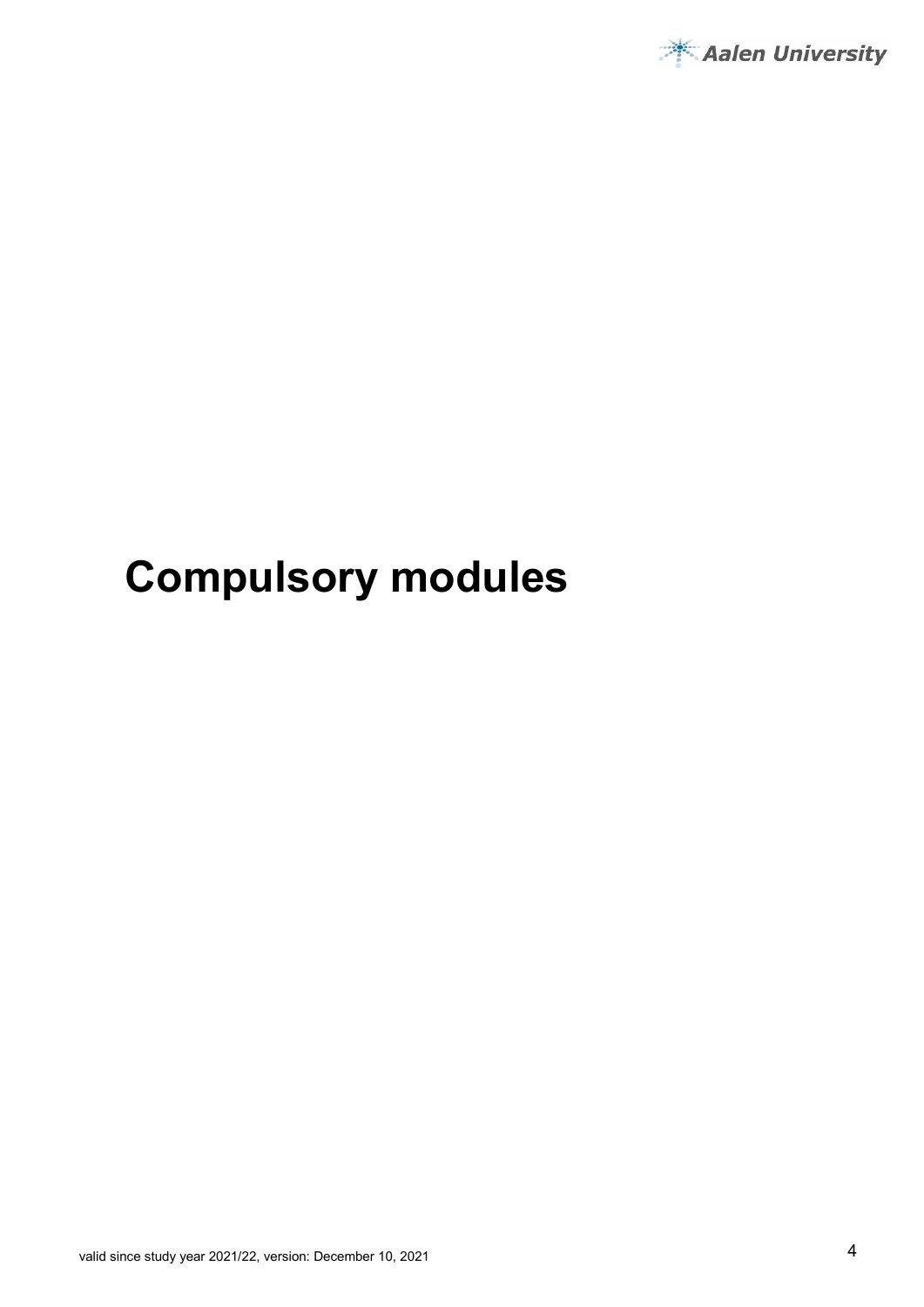

# **Compulsory modules**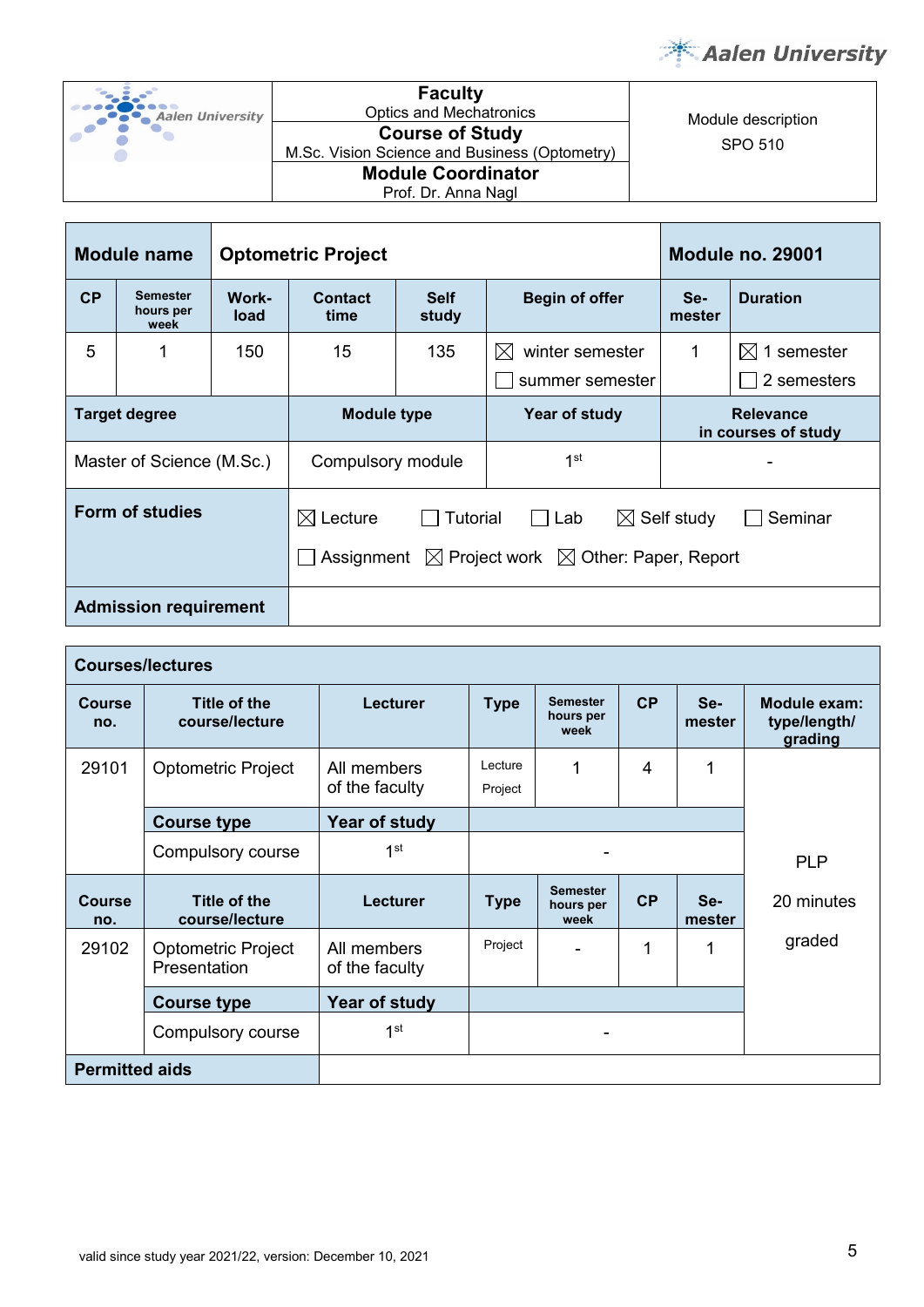

| °-, 3,           | <b>Faculty</b>                                |                    |
|------------------|-----------------------------------------------|--------------------|
| Aalen University | <b>Optics and Mechatronics</b>                | Module description |
|                  | <b>Course of Study</b>                        |                    |
|                  | M.Sc. Vision Science and Business (Optometry) | SPO 510            |
|                  | <b>Module Coordinator</b>                     |                    |
|                  | Prof. Dr. Anna Nagl                           |                    |

| <b>Module name</b><br><b>Optometric Project</b>                                                                                                                 |                                      |               |                                     |                                               | <b>Module no. 29001</b>                           |                                         |                                       |
|-----------------------------------------------------------------------------------------------------------------------------------------------------------------|--------------------------------------|---------------|-------------------------------------|-----------------------------------------------|---------------------------------------------------|-----------------------------------------|---------------------------------------|
| CP                                                                                                                                                              | <b>Semester</b><br>hours per<br>week | Work-<br>load | <b>Contact</b><br>time              | <b>Self</b><br><b>Begin of offer</b><br>study |                                                   | Se-<br>mester                           | <b>Duration</b>                       |
| 5                                                                                                                                                               |                                      | 150           | 15                                  | 135                                           | winter semester<br>$\boxtimes$<br>summer semester |                                         | $\boxtimes$ 1 semester<br>2 semesters |
| <b>Target degree</b>                                                                                                                                            |                                      |               | <b>Module type</b><br>Year of study |                                               |                                                   | <b>Relevance</b><br>in courses of study |                                       |
|                                                                                                                                                                 | Master of Science (M.Sc.)            |               | Compulsory module                   |                                               | 1 <sup>st</sup>                                   |                                         |                                       |
| <b>Form of studies</b><br>$\boxtimes$ Lecture<br><b>Tutorial</b><br>Lab<br>$\mathbf{L}$<br>Assignment $\boxtimes$ Project work $\boxtimes$ Other: Paper, Report |                                      |               |                                     |                                               | $\boxtimes$ Self study                            | Seminar                                 |                                       |
| <b>Admission requirement</b>                                                                                                                                    |                                      |               |                                     |                                               |                                                   |                                         |                                       |

|                       | <b>Courses/lectures</b>                   |                               |                                                                            |                                      |                                         |               |            |  |
|-----------------------|-------------------------------------------|-------------------------------|----------------------------------------------------------------------------|--------------------------------------|-----------------------------------------|---------------|------------|--|
| <b>Course</b><br>no.  | Title of the<br>course/lecture            | <b>Lecturer</b>               | CP<br><b>Semester</b><br>Se-<br><b>Type</b><br>hours per<br>mester<br>week |                                      | Module exam:<br>type/length/<br>grading |               |            |  |
| 29101                 | <b>Optometric Project</b>                 | All members<br>of the faculty | Lecture<br>1<br>4<br>1<br>Project                                          |                                      |                                         |               |            |  |
|                       | <b>Course type</b>                        | Year of study                 |                                                                            |                                      |                                         |               |            |  |
|                       | Compulsory course                         | 1 <sup>st</sup>               | ۰                                                                          |                                      | <b>PLP</b>                              |               |            |  |
| <b>Course</b><br>no.  | <b>Title of the</b><br>course/lecture     | <b>Lecturer</b>               | <b>Type</b>                                                                | <b>Semester</b><br>hours per<br>week | CP                                      | Se-<br>mester | 20 minutes |  |
| 29102                 | <b>Optometric Project</b><br>Presentation | All members<br>of the faculty | Project                                                                    |                                      | 1                                       |               | graded     |  |
| <b>Course type</b>    |                                           | Year of study                 |                                                                            |                                      |                                         |               |            |  |
|                       | Compulsory course                         | 1 <sup>st</sup>               |                                                                            | ۰                                    |                                         |               |            |  |
| <b>Permitted aids</b> |                                           |                               |                                                                            |                                      |                                         |               |            |  |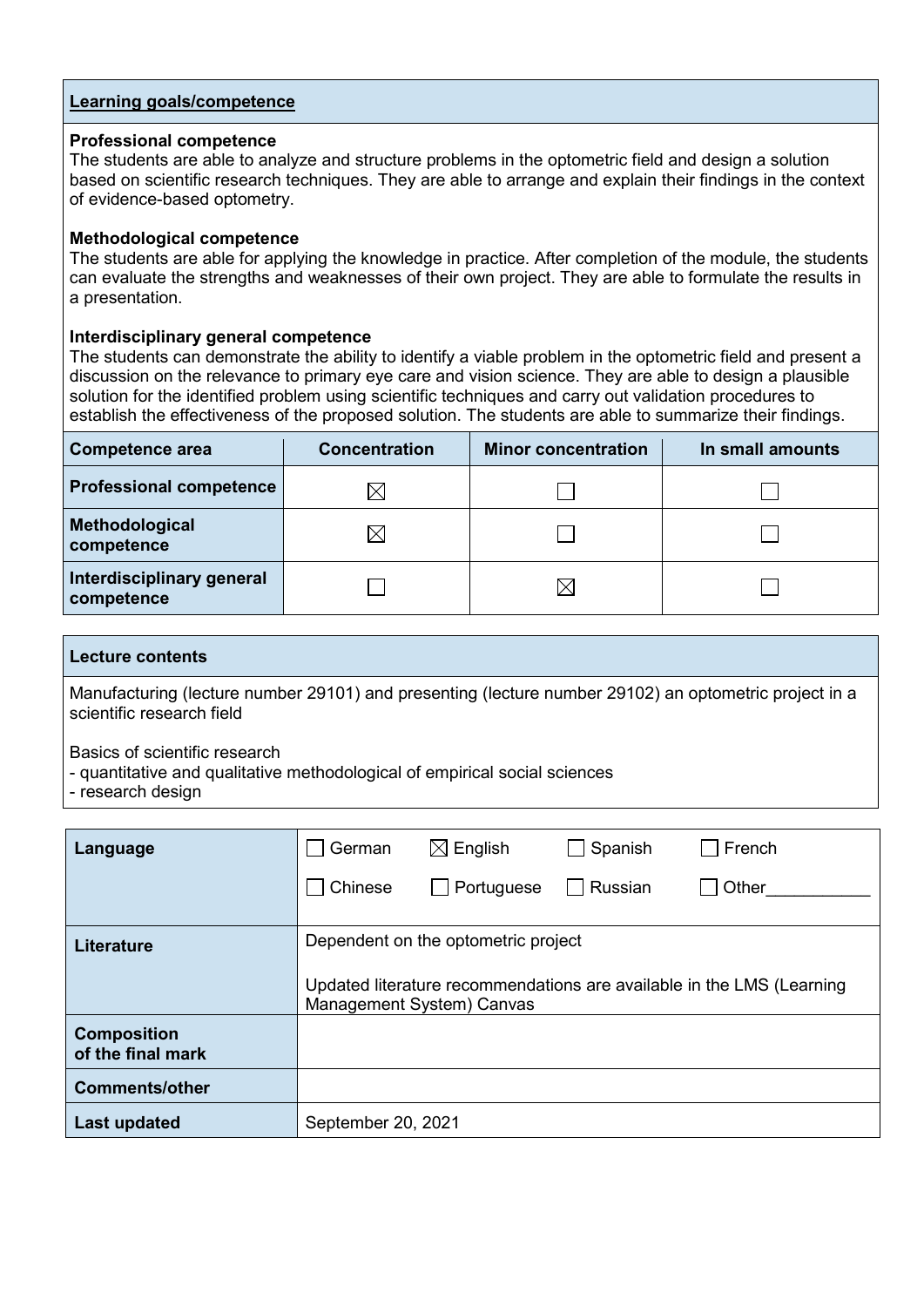#### **Professional competence**

The students are able to analyze and structure problems in the optometric field and design a solution based on scientific research techniques. They are able to arrange and explain their findings in the context of evidence-based optometry.

#### **Methodological competence**

The students are able for applying the knowledge in practice. After completion of the module, the students can evaluate the strengths and weaknesses of their own project. They are able to formulate the results in a presentation.

#### **Interdisciplinary general competence**

The students can demonstrate the ability to identify a viable problem in the optometric field and present a discussion on the relevance to primary eye care and vision science. They are able to design a plausible solution for the identified problem using scientific techniques and carry out validation procedures to establish the effectiveness of the proposed solution. The students are able to summarize their findings.

| <b>Competence area</b>                  | <b>Concentration</b> | <b>Minor concentration</b> | In small amounts |
|-----------------------------------------|----------------------|----------------------------|------------------|
| <b>Professional competence</b>          | IX                   |                            |                  |
| Methodological<br>competence            | $\boxtimes$          |                            |                  |
| Interdisciplinary general<br>competence |                      | ⋉                          |                  |

#### **Lecture contents**

Manufacturing (lecture number 29101) and presenting (lecture number 29102) an optometric project in a scientific research field

Basics of scientific research

- quantitative and qualitative methodological of empirical social sciences
- research design

| Language                                | German             | $\boxtimes$ English                                                                                                                       | Spanish | French |  |  |  |
|-----------------------------------------|--------------------|-------------------------------------------------------------------------------------------------------------------------------------------|---------|--------|--|--|--|
|                                         | Chinese            | Portuguese                                                                                                                                | Russian | Other  |  |  |  |
| <b>Literature</b>                       |                    | Dependent on the optometric project<br>Updated literature recommendations are available in the LMS (Learning<br>Management System) Canvas |         |        |  |  |  |
| <b>Composition</b><br>of the final mark |                    |                                                                                                                                           |         |        |  |  |  |
| <b>Comments/other</b>                   |                    |                                                                                                                                           |         |        |  |  |  |
| Last updated                            | September 20, 2021 |                                                                                                                                           |         |        |  |  |  |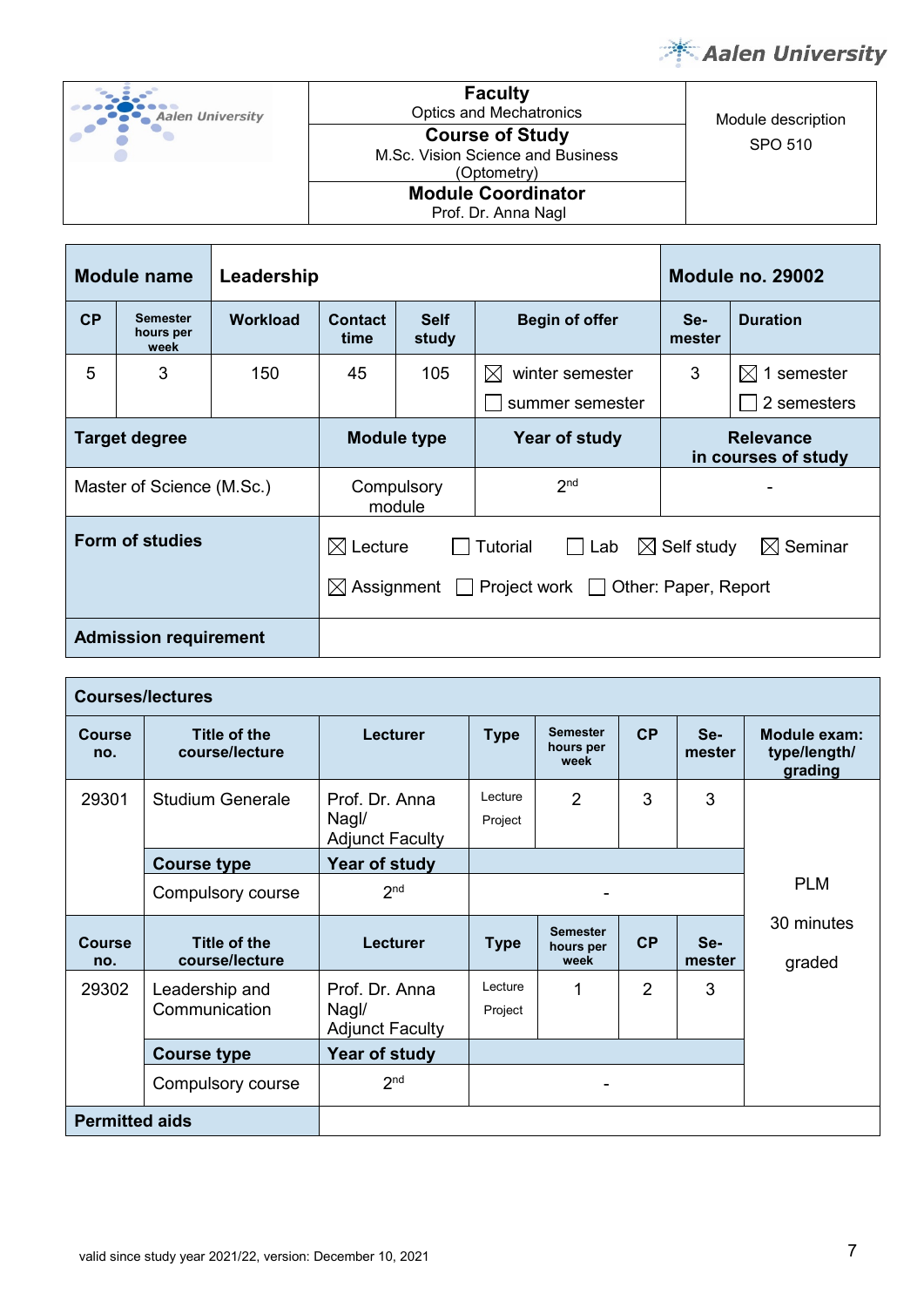

| <b>Aalen University</b> | <b>Faculty</b><br><b>Optics and Mechatronics</b>                           | Module description |
|-------------------------|----------------------------------------------------------------------------|--------------------|
|                         | <b>Course of Study</b><br>M.Sc. Vision Science and Business<br>(Optometry) | SPO 510            |
|                         | <b>Module Coordinator</b><br>Prof. Dr. Anna Nagl                           |                    |

| <b>Module name</b><br>Leadership                                                                       |                                      |                 |                                     |                      | <b>Module no. 29002</b>                 |                     |                           |
|--------------------------------------------------------------------------------------------------------|--------------------------------------|-----------------|-------------------------------------|----------------------|-----------------------------------------|---------------------|---------------------------|
| CP                                                                                                     | <b>Semester</b><br>hours per<br>week | <b>Workload</b> | <b>Contact</b><br>time              | <b>Self</b><br>study | <b>Begin of offer</b>                   | Se-<br>mester       | <b>Duration</b>           |
| 5                                                                                                      | 3                                    | 150             | 45                                  | 105                  | $\boxtimes$<br>winter semester          | 3                   | $\boxtimes$<br>1 semester |
|                                                                                                        |                                      |                 |                                     |                      | summer semester                         |                     | 2 semesters               |
| <b>Target degree</b>                                                                                   |                                      |                 | <b>Module type</b><br>Year of study |                      | <b>Relevance</b><br>in courses of study |                     |                           |
|                                                                                                        | Master of Science (M.Sc.)            |                 |                                     | Compulsory<br>module | 2 <sub>nd</sub>                         |                     |                           |
| <b>Form of studies</b><br>Tutorial<br>$\bowtie$<br>Lecture<br>Project work $\Box$<br>Assignment $\Box$ |                                      |                 |                                     | $\boxtimes$<br>Lab   | Self study<br>Other: Paper, Report      | $\boxtimes$ Seminar |                           |
| <b>Admission requirement</b>                                                                           |                                      |                 |                                     |                      |                                         |                     |                           |

|                       | <b>Courses/lectures</b>               |                                                   |                                                                                   |                                      |                                                |                 |                      |  |
|-----------------------|---------------------------------------|---------------------------------------------------|-----------------------------------------------------------------------------------|--------------------------------------|------------------------------------------------|-----------------|----------------------|--|
| <b>Course</b><br>no.  | Title of the<br>course/lecture        | <b>Lecturer</b>                                   | <b>Semester</b><br><b>CP</b><br>Se-<br><b>Type</b><br>hours per<br>mester<br>week |                                      | <b>Module exam:</b><br>type/length/<br>grading |                 |                      |  |
| 29301                 | <b>Studium Generale</b>               | Prof. Dr. Anna<br>Nagl/<br><b>Adjunct Faculty</b> | Lecture<br>Project                                                                | $\overline{2}$                       | 3                                              | 3               |                      |  |
|                       | <b>Course type</b>                    | Year of study                                     |                                                                                   |                                      |                                                |                 |                      |  |
|                       | Compulsory course                     | 2 <sub>nd</sub>                                   |                                                                                   |                                      | <b>PLM</b>                                     |                 |                      |  |
| <b>Course</b><br>no.  | <b>Title of the</b><br>course/lecture | <b>Lecturer</b>                                   | <b>Type</b>                                                                       | <b>Semester</b><br>hours per<br>week | CP                                             | $Se-$<br>mester | 30 minutes<br>graded |  |
| 29302                 | Leadership and<br>Communication       | Prof. Dr. Anna<br>Nagl/<br><b>Adjunct Faculty</b> | Lecture<br>Project                                                                |                                      | $\overline{2}$                                 | 3               |                      |  |
|                       | <b>Course type</b>                    | Year of study                                     |                                                                                   |                                      |                                                |                 |                      |  |
|                       | Compulsory course                     | 2 <sub>nd</sub>                                   | ۰                                                                                 |                                      |                                                |                 |                      |  |
| <b>Permitted aids</b> |                                       |                                                   |                                                                                   |                                      |                                                |                 |                      |  |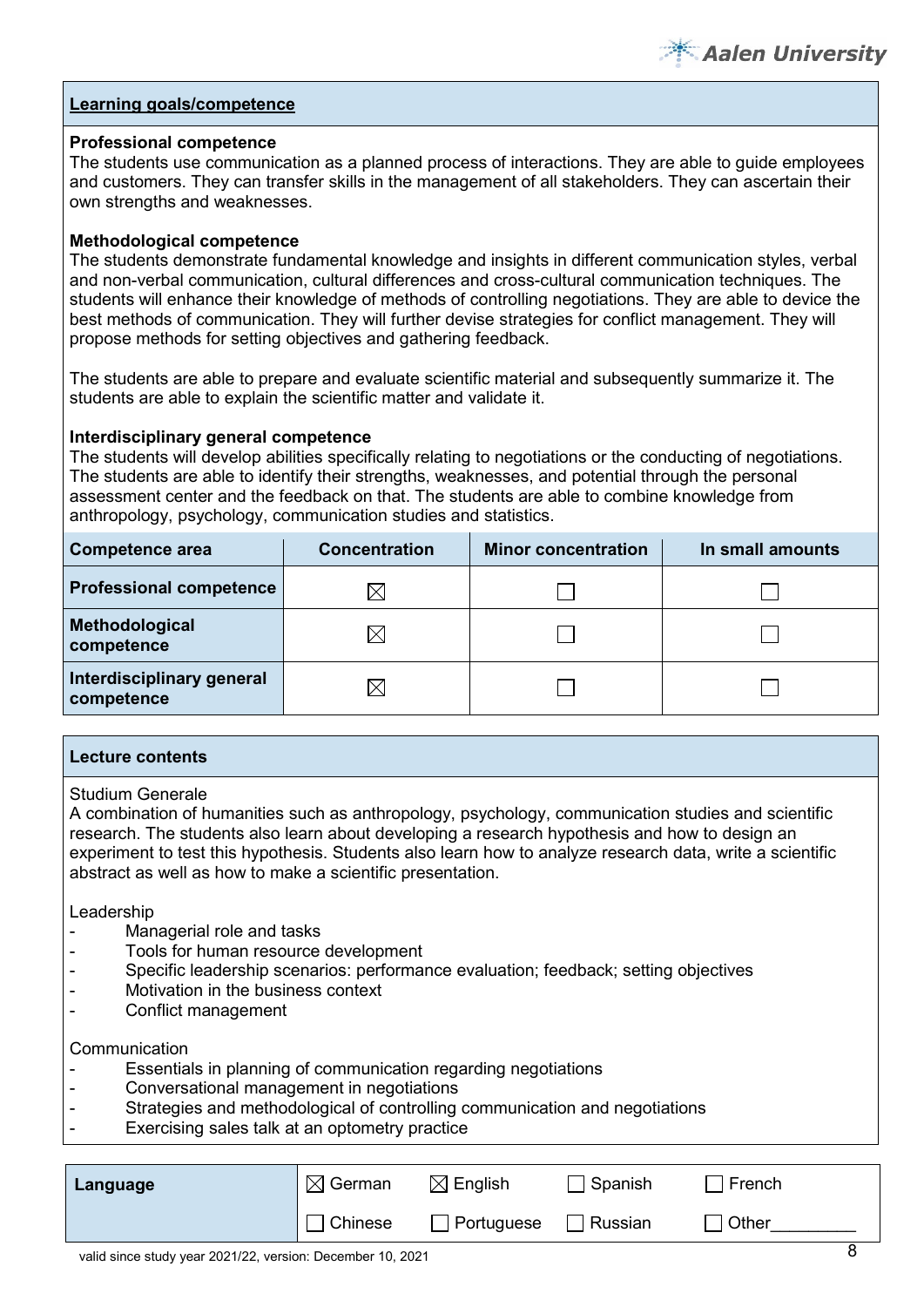

#### **Professional competence**

The students use communication as a planned process of interactions. They are able to guide employees and customers. They can transfer skills in the management of all stakeholders. They can ascertain their own strengths and weaknesses.

#### **Methodological competence**

The students demonstrate fundamental knowledge and insights in different communication styles, verbal and non-verbal communication, cultural differences and cross-cultural communication techniques. The students will enhance their knowledge of methods of controlling negotiations. They are able to device the best methods of communication. They will further devise strategies for conflict management. They will propose methods for setting objectives and gathering feedback.

The students are able to prepare and evaluate scientific material and subsequently summarize it. The students are able to explain the scientific matter and validate it.

#### **Interdisciplinary general competence**

The students will develop abilities specifically relating to negotiations or the conducting of negotiations. The students are able to identify their strengths, weaknesses, and potential through the personal assessment center and the feedback on that. The students are able to combine knowledge from anthropology, psychology, communication studies and statistics.

| Competence area                         | <b>Concentration</b> | <b>Minor concentration</b> | In small amounts |  |
|-----------------------------------------|----------------------|----------------------------|------------------|--|
| <b>Professional competence</b>          | ⋉                    |                            |                  |  |
| Methodological<br>competence            | $\times$             |                            |                  |  |
| Interdisciplinary general<br>competence | $\boxtimes$          |                            |                  |  |

#### **Lecture contents**

Studium Generale

A combination of humanities such as anthropology, psychology, communication studies and scientific research. The students also learn about developing a research hypothesis and how to design an experiment to test this hypothesis. Students also learn how to analyze research data, write a scientific abstract as well as how to make a scientific presentation.

Leadership

- Managerial role and tasks
- Tools for human resource development
- Specific leadership scenarios: performance evaluation; feedback; setting objectives
- Motivation in the business context
- Conflict management

#### **Communication**

- Essentials in planning of communication regarding negotiations
- Conversational management in negotiations
- Strategies and methodological of controlling communication and negotiations
- Exercising sales talk at an optometry practice

| Language | $\boxtimes$ German | $\boxtimes$ English | Spanish | French |
|----------|--------------------|---------------------|---------|--------|
|          | <b>Chinese</b>     | $\Box$ Portuguese   | Russian | Other  |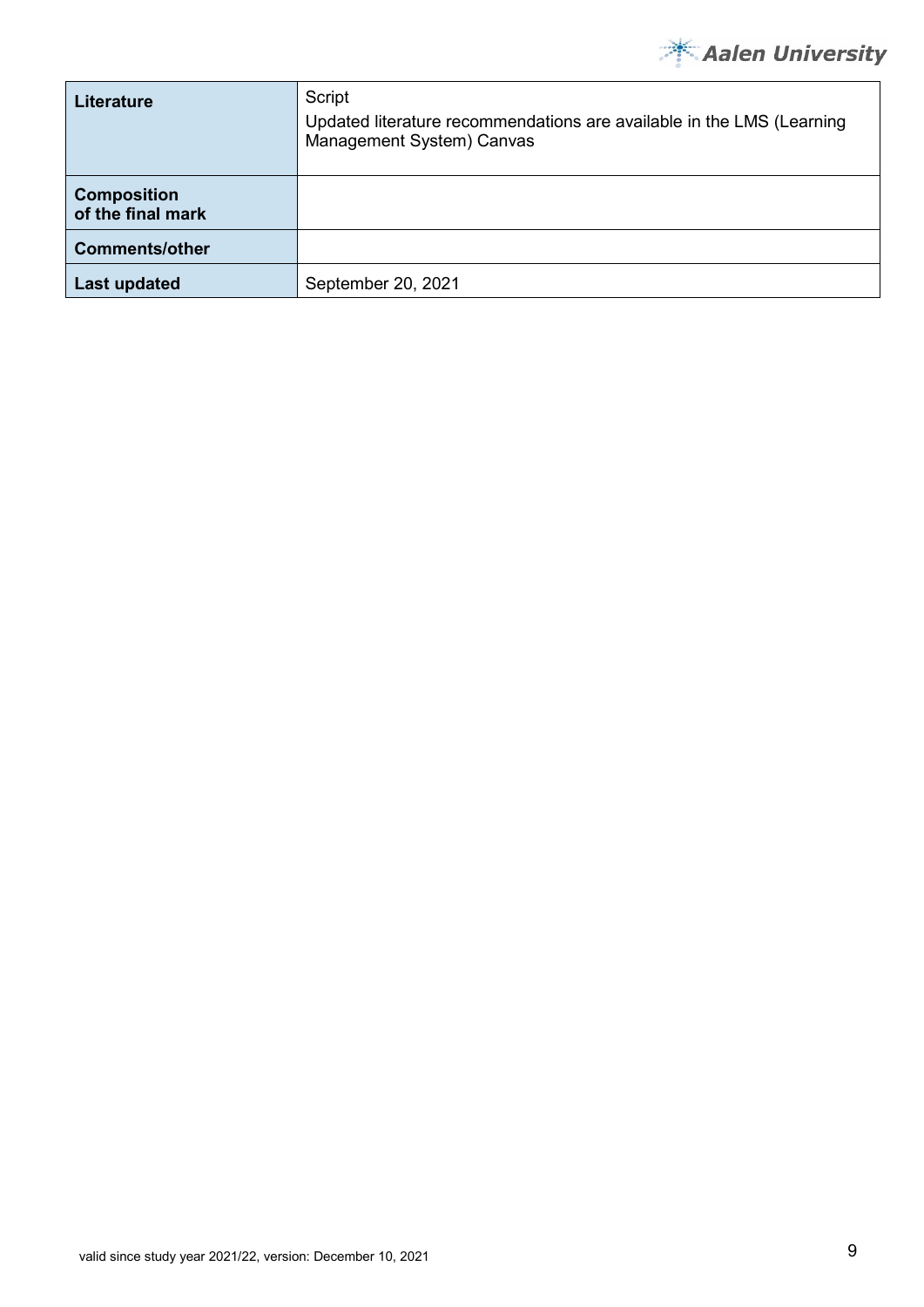

| <b>Literature</b>                       | Script<br>Updated literature recommendations are available in the LMS (Learning<br>Management System) Canvas |
|-----------------------------------------|--------------------------------------------------------------------------------------------------------------|
| <b>Composition</b><br>of the final mark |                                                                                                              |
| <b>Comments/other</b>                   |                                                                                                              |
| <b>Last updated</b>                     | September 20, 2021                                                                                           |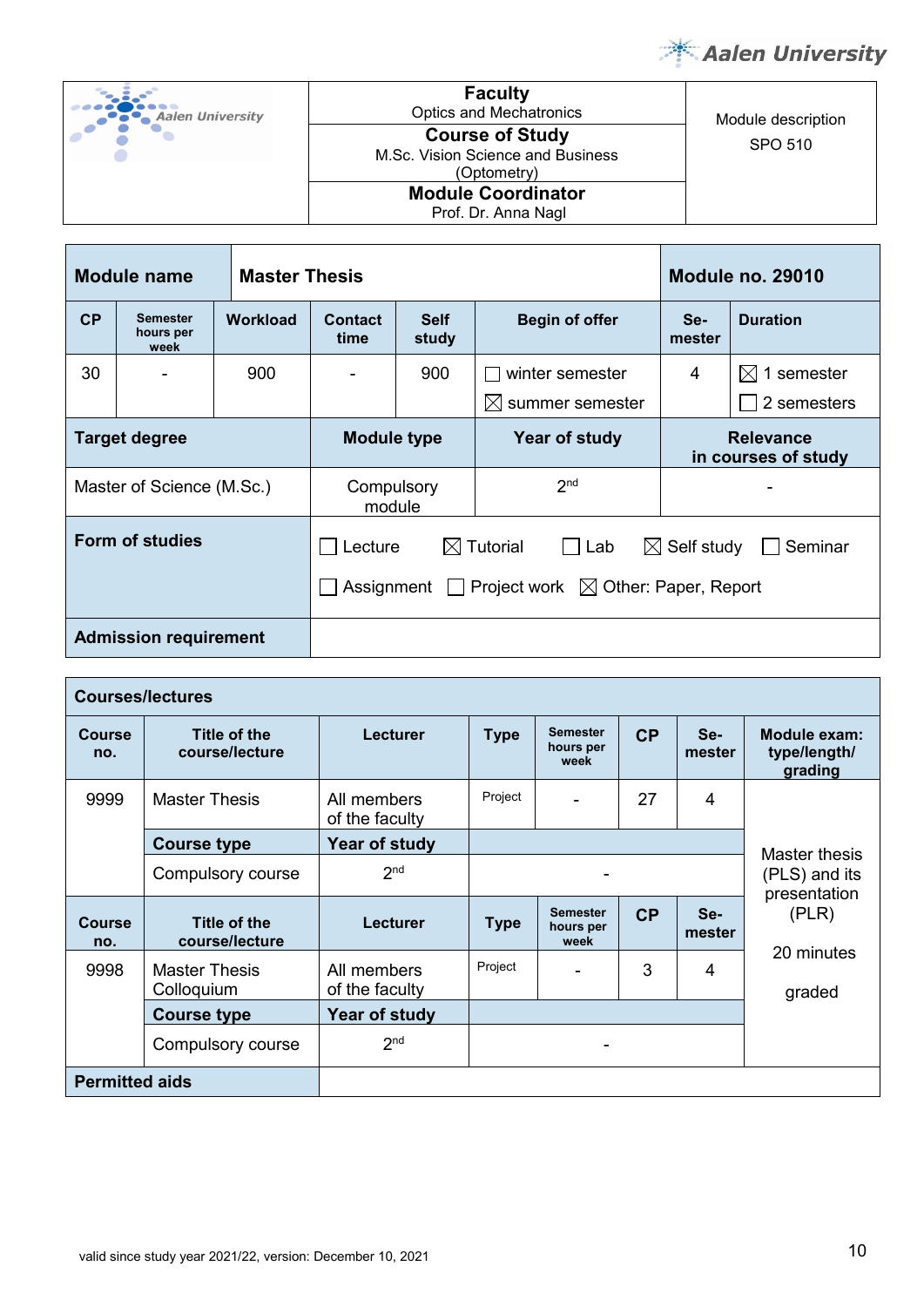

| <b>Aalen University</b> | <b>Faculty</b><br><b>Optics and Mechatronics</b>                           | Module description |
|-------------------------|----------------------------------------------------------------------------|--------------------|
|                         | <b>Course of Study</b><br>M.Sc. Vision Science and Business<br>(Optometry) | SPO 510            |
|                         | <b>Module Coordinator</b><br>Prof. Dr. Anna Nagl                           |                    |

|           | <b>Module name</b>                   | <b>Master Thesis</b> |                                                                                                                                                        |                      | <b>Module no. 29010</b>      |                                         |                         |
|-----------|--------------------------------------|----------------------|--------------------------------------------------------------------------------------------------------------------------------------------------------|----------------------|------------------------------|-----------------------------------------|-------------------------|
| <b>CP</b> | <b>Semester</b><br>hours per<br>week | <b>Workload</b>      | <b>Contact</b><br>time                                                                                                                                 | <b>Self</b><br>study | <b>Begin of offer</b>        | Se-<br>mester                           | <b>Duration</b>         |
| 30        |                                      | 900                  |                                                                                                                                                        | 900                  | winter semester              | 4                                       | $\bowtie$<br>1 semester |
|           |                                      |                      |                                                                                                                                                        |                      | summer semester<br>$\bowtie$ |                                         | 2 semesters             |
|           | <b>Target degree</b>                 |                      | <b>Module type</b>                                                                                                                                     |                      | Year of study                | <b>Relevance</b><br>in courses of study |                         |
|           | Master of Science (M.Sc.)            |                      | Compulsory<br>module                                                                                                                                   |                      | 2 <sub>nd</sub>              |                                         |                         |
|           | <b>Form of studies</b>               |                      | $\boxtimes$ Tutorial<br>$\boxtimes$ Self study<br>Lecture<br>$\Box$ Lab<br>Seminar<br>Project work $\boxtimes$ Other: Paper, Report<br>Assignment $  $ |                      |                              |                                         |                         |
|           | <b>Admission requirement</b>         |                      |                                                                                                                                                        |                      |                              |                                         |                         |

|                       | <b>Courses/lectures</b>               |                               |             |                                      |    |               |                                         |
|-----------------------|---------------------------------------|-------------------------------|-------------|--------------------------------------|----|---------------|-----------------------------------------|
| <b>Course</b><br>no.  | Title of the<br>course/lecture        | Lecturer                      | <b>Type</b> | <b>Semester</b><br>hours per<br>week | CP | Se-<br>mester | Module exam:<br>type/length/<br>grading |
| 9999                  | <b>Master Thesis</b>                  | All members<br>of the faculty | Project     |                                      | 27 | 4             |                                         |
|                       | <b>Course type</b>                    | Year of study                 |             |                                      |    |               | Master thesis                           |
|                       | Compulsory course                     | 2 <sub>nd</sub>               |             |                                      |    |               | (PLS) and its<br>presentation           |
| <b>Course</b><br>no.  | <b>Title of the</b><br>course/lecture | Lecturer                      | <b>Type</b> | <b>Semester</b><br>hours per<br>week | CP | Se-<br>mester | (PLR)                                   |
| 9998                  | <b>Master Thesis</b><br>Colloquium    | All members<br>of the faculty | Project     |                                      | 3  | 4             | 20 minutes<br>graded                    |
|                       | <b>Course type</b>                    | Year of study                 |             |                                      |    |               |                                         |
|                       | Compulsory course                     | 2 <sub>nd</sub>               |             | ۰                                    |    |               |                                         |
| <b>Permitted aids</b> |                                       |                               |             |                                      |    |               |                                         |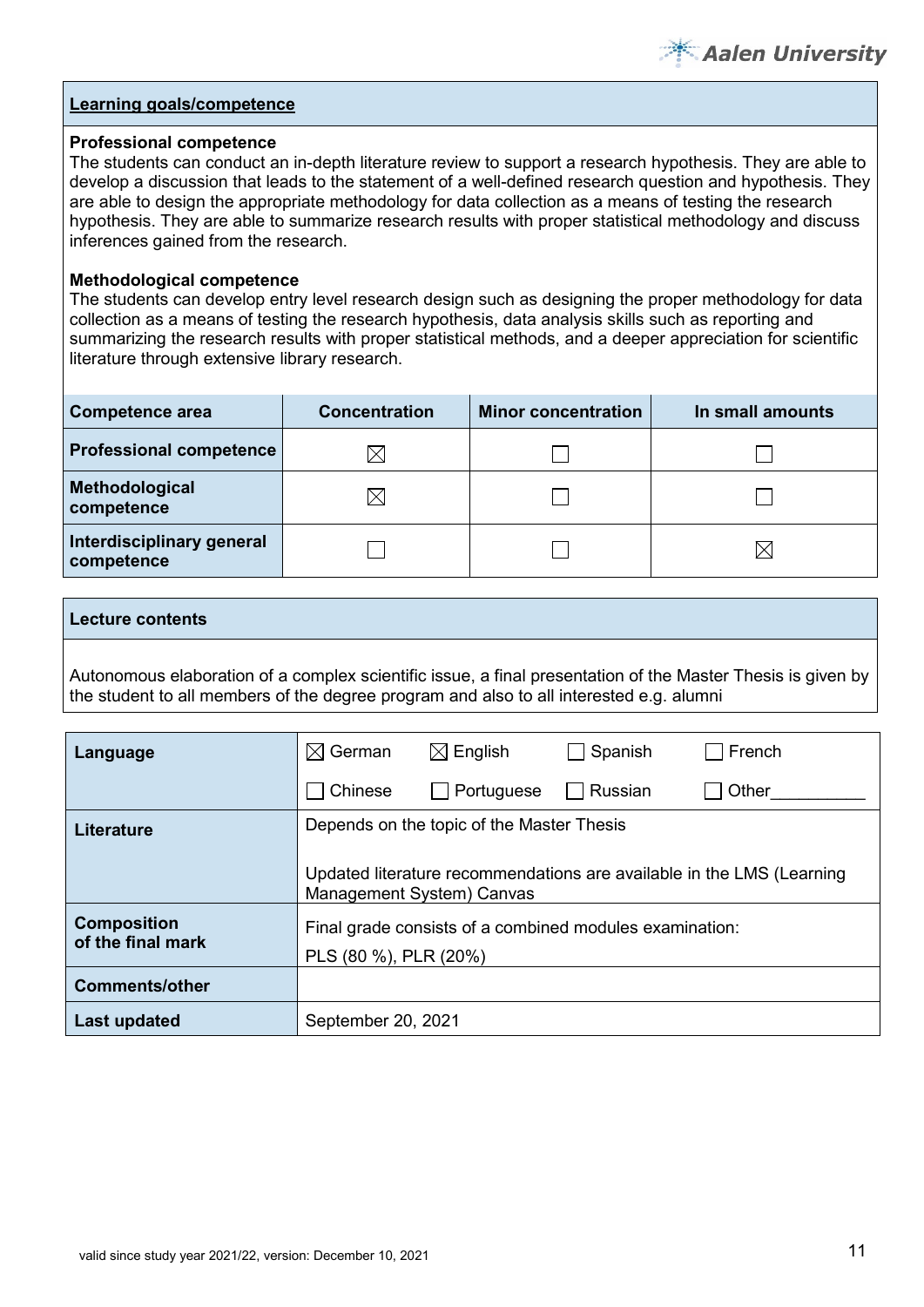

#### **Professional competence**

The students can conduct an in-depth literature review to support a research hypothesis. They are able to develop a discussion that leads to the statement of a well-defined research question and hypothesis. They are able to design the appropriate methodology for data collection as a means of testing the research hypothesis. They are able to summarize research results with proper statistical methodology and discuss inferences gained from the research.

#### **Methodological competence**

The students can develop entry level research design such as designing the proper methodology for data collection as a means of testing the research hypothesis, data analysis skills such as reporting and summarizing the research results with proper statistical methods, and a deeper appreciation for scientific literature through extensive library research.

| Competence area                         | <b>Concentration</b> | <b>Minor concentration</b> | In small amounts |
|-----------------------------------------|----------------------|----------------------------|------------------|
| <b>Professional competence</b>          | ⋉                    |                            |                  |
| Methodological<br>competence            | IX                   |                            |                  |
| Interdisciplinary general<br>competence |                      |                            | $\times$         |

#### **Lecture contents**

Autonomous elaboration of a complex scientific issue, a final presentation of the Master Thesis is given by the student to all members of the degree program and also to all interested e.g. alumni

| Language              | German<br>$\bowtie$                                                                                | $\boxtimes$ English                       | Spanish | French |  |  |  |
|-----------------------|----------------------------------------------------------------------------------------------------|-------------------------------------------|---------|--------|--|--|--|
|                       | Chinese                                                                                            | Portuguese                                | Russian | Other  |  |  |  |
| Literature            |                                                                                                    | Depends on the topic of the Master Thesis |         |        |  |  |  |
|                       | Updated literature recommendations are available in the LMS (Learning<br>Management System) Canvas |                                           |         |        |  |  |  |
| <b>Composition</b>    | Final grade consists of a combined modules examination:                                            |                                           |         |        |  |  |  |
| of the final mark     | PLS (80 %), PLR (20%)                                                                              |                                           |         |        |  |  |  |
| <b>Comments/other</b> |                                                                                                    |                                           |         |        |  |  |  |
| Last updated          | September 20, 2021                                                                                 |                                           |         |        |  |  |  |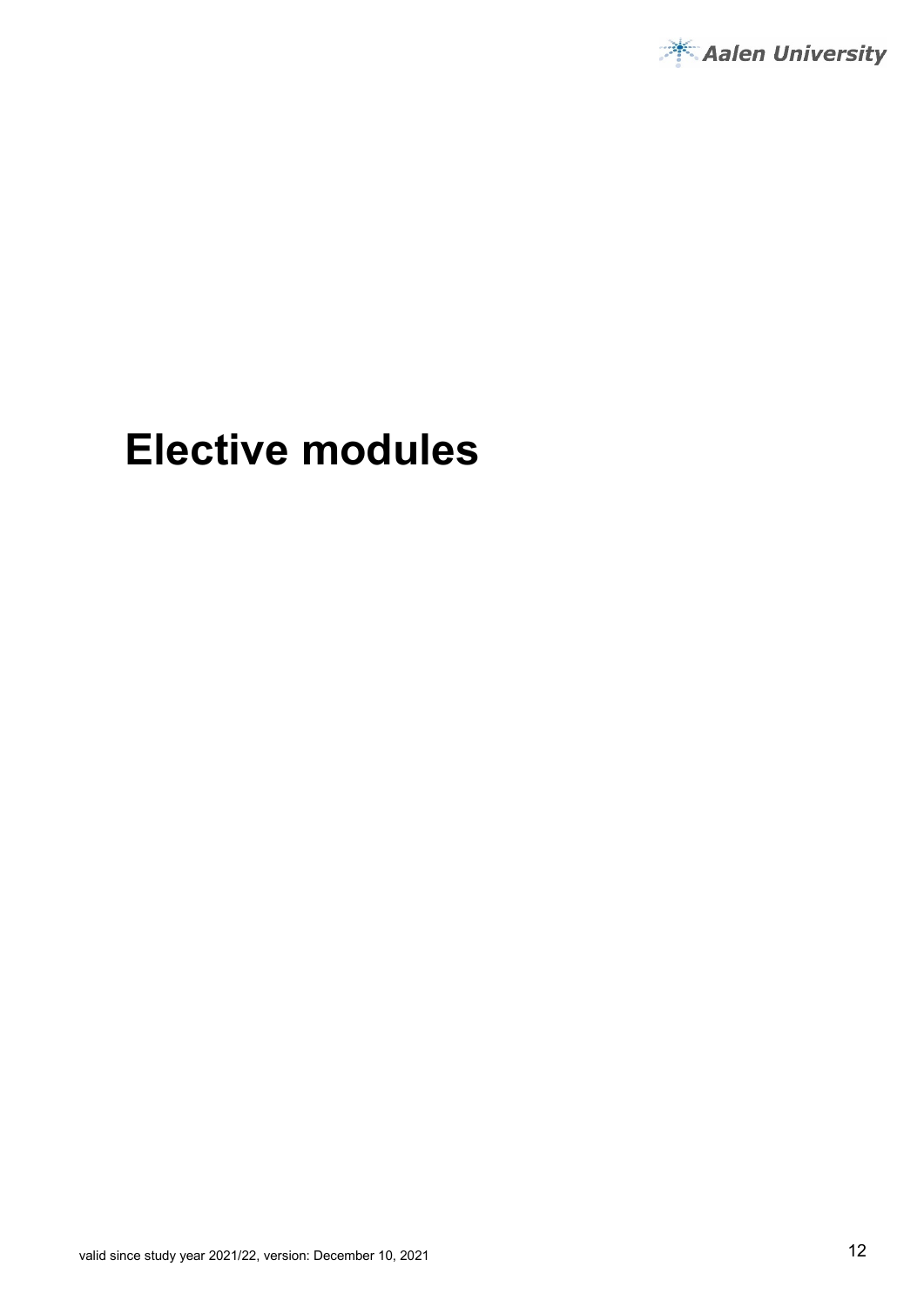

# **Elective modules**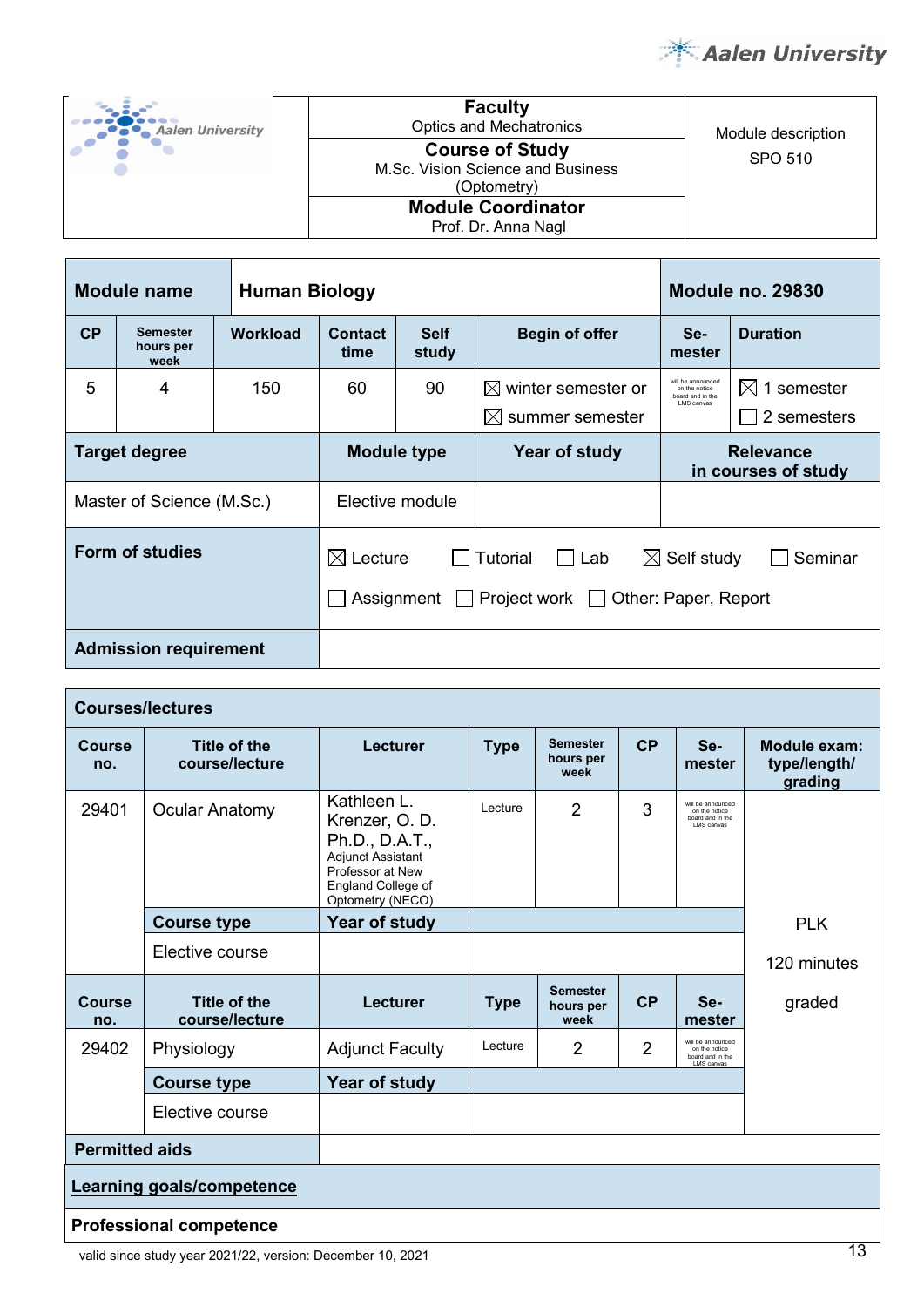

| <b>Aalen University</b> |  |  |
|-------------------------|--|--|
|                         |  |  |
|                         |  |  |

Optics and Mechatronics Module description SPO 510 **Course of Study**  M.Sc. Vision Science and Business (Optometry) **Module Coordinator**

**Faculty**

Prof. Dr. Anna Nagl

|           | <b>Module name</b>                                          | <b>Human Biology</b> |                                                                                                                                                  |                      |                                                                | <b>Module no. 29830</b>                                              |                                        |
|-----------|-------------------------------------------------------------|----------------------|--------------------------------------------------------------------------------------------------------------------------------------------------|----------------------|----------------------------------------------------------------|----------------------------------------------------------------------|----------------------------------------|
| <b>CP</b> | <b>Semester</b><br>hours per<br>week                        | <b>Workload</b>      | Contact<br>time                                                                                                                                  | <b>Self</b><br>study | <b>Begin of offer</b>                                          | Se-<br>mester                                                        | <b>Duration</b>                        |
| 5         | 4                                                           | 150                  | 60                                                                                                                                               | 90                   | $\boxtimes$ winter semester or<br>summer semester<br>$\bowtie$ | will be announced<br>on the notice<br>board and in the<br>LMS canvas | 1 semester<br>$\bowtie$<br>2 semesters |
|           | <b>Target degree</b><br><b>Module type</b><br>Year of study |                      |                                                                                                                                                  |                      | <b>Relevance</b><br>in courses of study                        |                                                                      |                                        |
|           | Master of Science (M.Sc.)                                   |                      |                                                                                                                                                  | Elective module      |                                                                |                                                                      |                                        |
|           | <b>Form of studies</b>                                      |                      | $\boxtimes$ Self study<br>$\boxtimes$ Lecture<br>Tutorial<br>Lab<br>Seminar<br>Project work □ Other: Paper, Report<br>Assignment<br>$\mathbf{L}$ |                      |                                                                |                                                                      |                                        |
|           | <b>Admission requirement</b>                                |                      |                                                                                                                                                  |                      |                                                                |                                                                      |                                        |

| <b>Courses/lectures</b> |                                       |                                                                                                                                          |             |                                      |                |                                                                      |                                         |
|-------------------------|---------------------------------------|------------------------------------------------------------------------------------------------------------------------------------------|-------------|--------------------------------------|----------------|----------------------------------------------------------------------|-----------------------------------------|
| <b>Course</b><br>no.    | Title of the<br>course/lecture        | Lecturer                                                                                                                                 | <b>Type</b> | <b>Semester</b><br>hours per<br>week | CP             | Se-<br>mester                                                        | Module exam:<br>type/length/<br>grading |
| 29401                   | <b>Ocular Anatomy</b>                 | Kathleen L.<br>Krenzer, O.D.<br>Ph.D., D.A.T.,<br><b>Adjunct Assistant</b><br>Professor at New<br>England College of<br>Optometry (NECO) | Lecture     | $\overline{2}$                       | 3              | will be announced<br>on the notice<br>board and in the<br>LMS canvas |                                         |
|                         | <b>Course type</b>                    | Year of study                                                                                                                            |             |                                      |                |                                                                      | <b>PLK</b>                              |
|                         | Elective course                       |                                                                                                                                          |             |                                      |                |                                                                      | 120 minutes                             |
| <b>Course</b><br>no.    | <b>Title of the</b><br>course/lecture | Lecturer                                                                                                                                 | <b>Type</b> | <b>Semester</b><br>hours per<br>week | CP             | Se-<br>mester                                                        | graded                                  |
| 29402                   | Physiology                            | <b>Adjunct Faculty</b>                                                                                                                   | Lecture     | $\overline{2}$                       | $\overline{2}$ | will be announced<br>on the notice<br>board and in the<br>LMS canvas |                                         |
|                         | <b>Course type</b>                    | Year of study                                                                                                                            |             |                                      |                |                                                                      |                                         |
|                         | Elective course                       |                                                                                                                                          |             |                                      |                |                                                                      |                                         |
|                         | <b>Permitted aids</b>                 |                                                                                                                                          |             |                                      |                |                                                                      |                                         |
|                         | <b>Learning goals/competence</b>      |                                                                                                                                          |             |                                      |                |                                                                      |                                         |
|                         | <b>Professional competence</b>        |                                                                                                                                          |             |                                      |                |                                                                      | $\overline{\phantom{a}}$                |

valid since study year 2021/22, version: December 10, 2021 13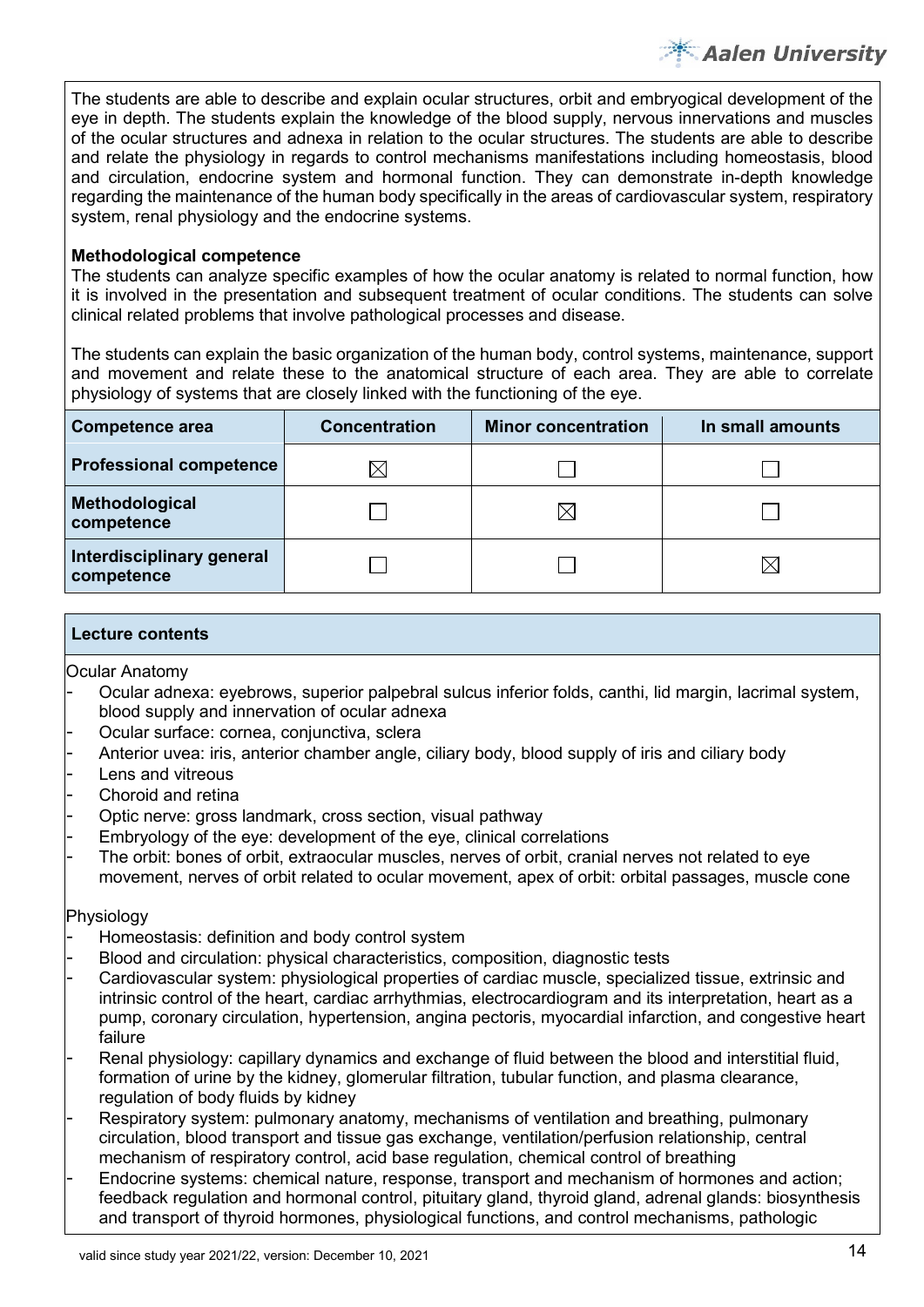The students are able to describe and explain ocular structures, orbit and embryogical development of the eye in depth. The students explain the knowledge of the blood supply, nervous innervations and muscles of the ocular structures and adnexa in relation to the ocular structures. The students are able to describe and relate the physiology in regards to control mechanisms manifestations including homeostasis, blood and circulation, endocrine system and hormonal function. They can demonstrate in-depth knowledge regarding the maintenance of the human body specifically in the areas of cardiovascular system, respiratory system, renal physiology and the endocrine systems.

#### **Methodological competence**

The students can analyze specific examples of how the ocular anatomy is related to normal function, how it is involved in the presentation and subsequent treatment of ocular conditions. The students can solve clinical related problems that involve pathological processes and disease.

The students can explain the basic organization of the human body, control systems, maintenance, support and movement and relate these to the anatomical structure of each area. They are able to correlate physiology of systems that are closely linked with the functioning of the eye.

| Competence area                         | <b>Concentration</b> | <b>Minor concentration</b> | In small amounts |
|-----------------------------------------|----------------------|----------------------------|------------------|
| <b>Professional competence</b>          | IХ                   |                            |                  |
| Methodological<br>competence            |                      |                            |                  |
| Interdisciplinary general<br>competence |                      |                            |                  |

#### **Lecture contents**

Ocular Anatomy

- Ocular adnexa: eyebrows, superior palpebral sulcus inferior folds, canthi, lid margin, lacrimal system, blood supply and innervation of ocular adnexa
- Ocular surface: cornea, conjunctiva, sclera
- Anterior uvea: iris, anterior chamber angle, ciliary body, blood supply of iris and ciliary body
- Lens and vitreous
- Choroid and retina
- Optic nerve: gross landmark, cross section, visual pathway
- Embryology of the eye: development of the eye, clinical correlations
- The orbit: bones of orbit, extraocular muscles, nerves of orbit, cranial nerves not related to eye movement, nerves of orbit related to ocular movement, apex of orbit: orbital passages, muscle cone

#### Physiology

- Homeostasis: definition and body control system
- Blood and circulation: physical characteristics, composition, diagnostic tests
- Cardiovascular system: physiological properties of cardiac muscle, specialized tissue, extrinsic and intrinsic control of the heart, cardiac arrhythmias, electrocardiogram and its interpretation, heart as a pump, coronary circulation, hypertension, angina pectoris, myocardial infarction, and congestive heart failure
- Renal physiology: capillary dynamics and exchange of fluid between the blood and interstitial fluid, formation of urine by the kidney, glomerular filtration, tubular function, and plasma clearance, regulation of body fluids by kidney
- Respiratory system: pulmonary anatomy, mechanisms of ventilation and breathing, pulmonary circulation, blood transport and tissue gas exchange, ventilation/perfusion relationship, central mechanism of respiratory control, acid base regulation, chemical control of breathing
- Endocrine systems: chemical nature, response, transport and mechanism of hormones and action; feedback regulation and hormonal control, pituitary gland, thyroid gland, adrenal glands: biosynthesis and transport of thyroid hormones, physiological functions, and control mechanisms, pathologic

Aalen University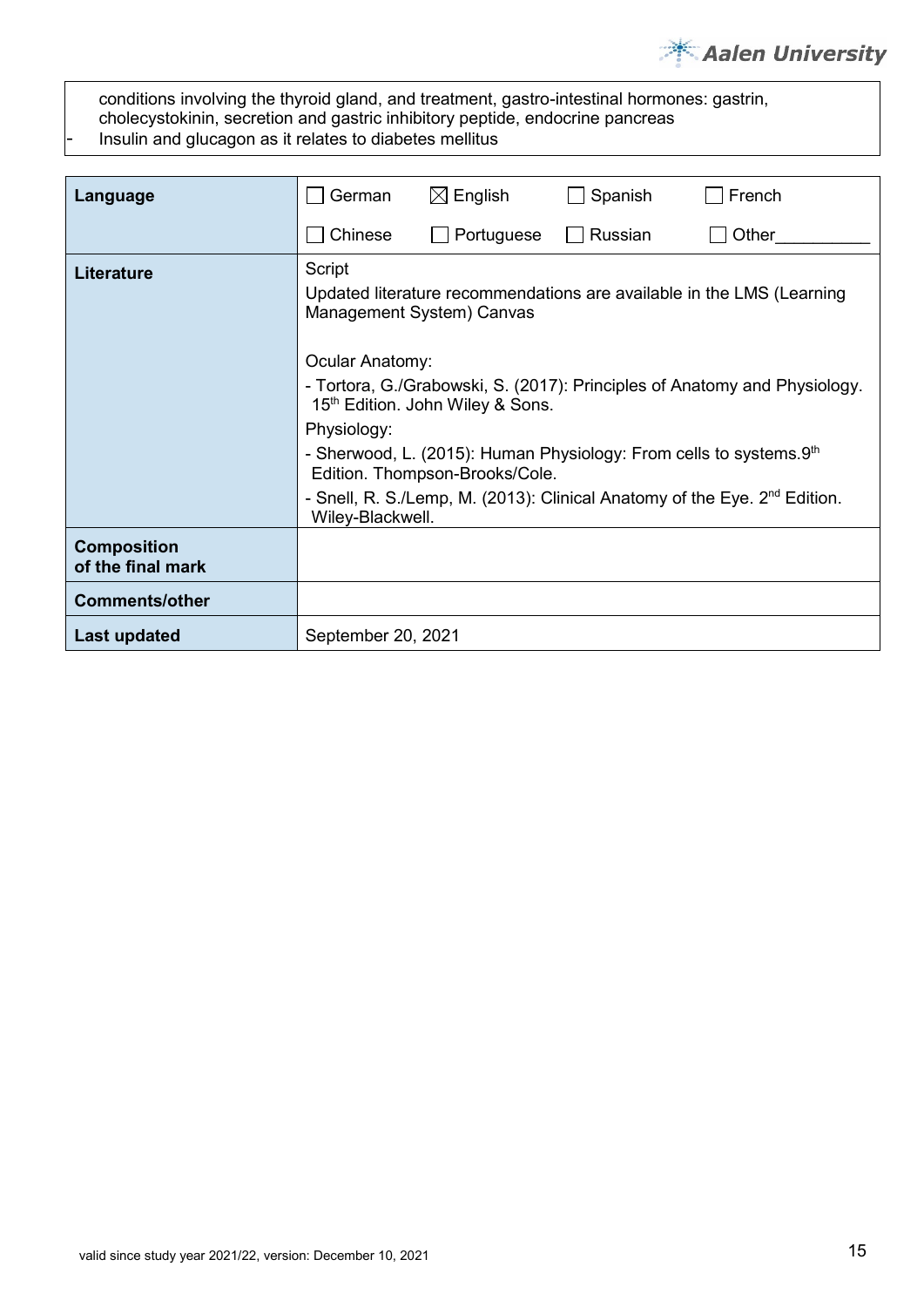# **Aalen University**

conditions involving the thyroid gland, and treatment, gastro-intestinal hormones: gastrin, cholecystokinin, secretion and gastric inhibitory peptide, endocrine pancreas Insulin and glucagon as it relates to diabetes mellitus

| Language                                | German                                                                                                              | $\boxtimes$ English                                                                                                                                                                                | Spanish | French |  |  |  |  |
|-----------------------------------------|---------------------------------------------------------------------------------------------------------------------|----------------------------------------------------------------------------------------------------------------------------------------------------------------------------------------------------|---------|--------|--|--|--|--|
|                                         | Chinese                                                                                                             | Portuguese                                                                                                                                                                                         | Russian | Other  |  |  |  |  |
| <b>Literature</b>                       | Script                                                                                                              | Updated literature recommendations are available in the LMS (Learning<br>Management System) Canvas<br>Ocular Anatomy:<br>- Tortora, G./Grabowski, S. (2017): Principles of Anatomy and Physiology. |         |        |  |  |  |  |
|                                         | 15th Edition. John Wiley & Sons.                                                                                    |                                                                                                                                                                                                    |         |        |  |  |  |  |
|                                         | Physiology:<br>- Sherwood, L. (2015): Human Physiology: From cells to systems.9th<br>Edition. Thompson-Brooks/Cole. |                                                                                                                                                                                                    |         |        |  |  |  |  |
|                                         | - Snell, R. S./Lemp, M. (2013): Clinical Anatomy of the Eye. 2 <sup>nd</sup> Edition.<br>Wiley-Blackwell.           |                                                                                                                                                                                                    |         |        |  |  |  |  |
| <b>Composition</b><br>of the final mark |                                                                                                                     |                                                                                                                                                                                                    |         |        |  |  |  |  |
| <b>Comments/other</b>                   |                                                                                                                     |                                                                                                                                                                                                    |         |        |  |  |  |  |
| <b>Last updated</b>                     |                                                                                                                     | September 20, 2021                                                                                                                                                                                 |         |        |  |  |  |  |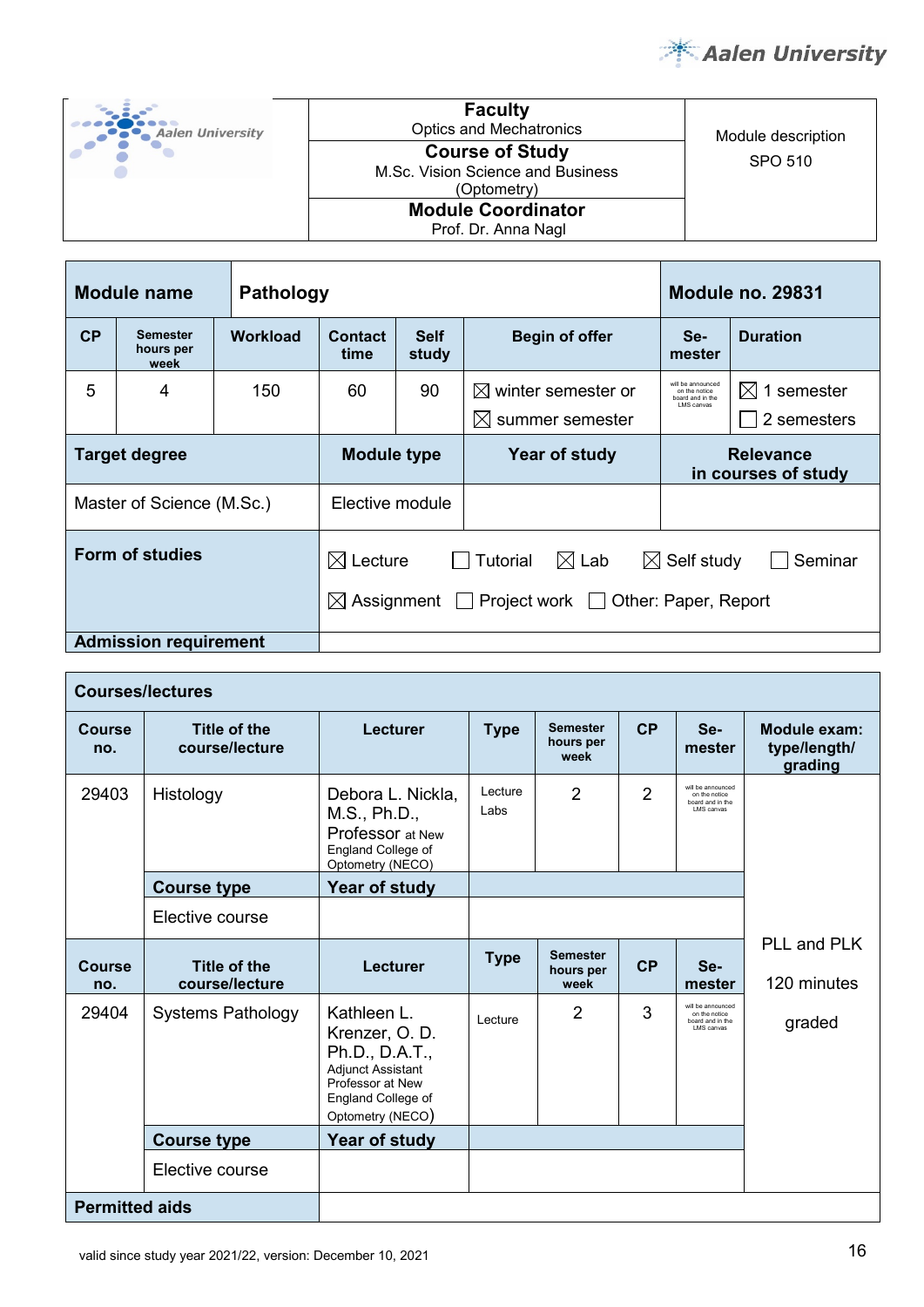

| <b>Aalen University</b> |  |
|-------------------------|--|
|                         |  |

**Faculty**<br>Optics and Mechatronics SPO 510 **Course of Study**  M.Sc. Vision Science and Business (Optometry) **Module Coordinator**

Prof. Dr. Anna Nagl

Module description

| Module name<br><b>Pathology</b>                                                                                                                                           |                                      |          |                 | Module no. 29831                    |                                                               |                                                                       |                                       |
|---------------------------------------------------------------------------------------------------------------------------------------------------------------------------|--------------------------------------|----------|-----------------|-------------------------------------|---------------------------------------------------------------|-----------------------------------------------------------------------|---------------------------------------|
| CP                                                                                                                                                                        | <b>Semester</b><br>hours per<br>week | Workload | Contact<br>time | <b>Self</b><br>study                | <b>Begin of offer</b>                                         | Se-<br>mester                                                         | <b>Duration</b>                       |
| 5                                                                                                                                                                         | 4                                    | 150      | 60              | 90                                  | $\boxtimes$ winter semester or<br>$\boxtimes$ summer semester | will be announced<br>on the notice<br>poard and in the<br>I MS canvas | $\boxtimes$ 1 semester<br>2 semesters |
|                                                                                                                                                                           | <b>Target degree</b>                 |          |                 | Year of study<br><b>Module type</b> |                                                               | <b>Relevance</b><br>in courses of study                               |                                       |
|                                                                                                                                                                           | Master of Science (M.Sc.)            |          | Elective module |                                     |                                                               |                                                                       |                                       |
| Form of studies<br>$\boxtimes$ Lecture<br>$\boxtimes$ Lab<br>$\boxtimes$ Self study<br>Tutorial<br>$\boxtimes$ Assignment $\Box$ Project work $\Box$ Other: Paper, Report |                                      |          |                 |                                     |                                                               | Seminar                                                               |                                       |
|                                                                                                                                                                           | <b>Admission requirement</b>         |          |                 |                                     |                                                               |                                                                       |                                       |

|                                   | <b>Courses/lectures</b>        |                                                                                                                                           |                 |                                                             |                |                                                                      |                            |  |  |
|-----------------------------------|--------------------------------|-------------------------------------------------------------------------------------------------------------------------------------------|-----------------|-------------------------------------------------------------|----------------|----------------------------------------------------------------------|----------------------------|--|--|
| Course<br>no.                     | Title of the<br>course/lecture | Lecturer                                                                                                                                  | <b>Type</b>     | <b>Semester</b><br>CP<br>Se-<br>hours per<br>mester<br>week |                | Module exam:<br>type/length/<br>grading                              |                            |  |  |
| 29403                             | Histology                      | Debora L. Nickla,<br>M.S., Ph.D.,<br><b>Professor</b> at New<br>England College of<br>Optometry (NECO)                                    | Lecture<br>Labs | $\overline{2}$                                              | $\overline{2}$ | will be announced<br>on the notice<br>board and in the<br>LMS canvas |                            |  |  |
|                                   | <b>Course type</b>             | Year of study                                                                                                                             |                 |                                                             |                |                                                                      |                            |  |  |
|                                   | Elective course                |                                                                                                                                           |                 |                                                             |                |                                                                      |                            |  |  |
| Course<br>no.                     | Title of the<br>course/lecture | Lecturer                                                                                                                                  | <b>Type</b>     | <b>Semester</b><br>hours per<br>week                        | CP             | Se-<br>mester                                                        | PLL and PLK<br>120 minutes |  |  |
| 29404<br><b>Systems Pathology</b> |                                | Kathleen L.<br>Krenzer, O. D.<br>Ph.D., D.A.T.,<br><b>Adjunct Assistant</b><br>Professor at New<br>England College of<br>Optometry (NECO) | Lecture         | $\overline{2}$                                              | 3              | will be announced<br>on the notice<br>board and in the<br>LMS canvas | graded                     |  |  |
|                                   | <b>Course type</b>             | Year of study                                                                                                                             |                 |                                                             |                |                                                                      |                            |  |  |
|                                   | Elective course                |                                                                                                                                           |                 |                                                             |                |                                                                      |                            |  |  |
| <b>Permitted aids</b>             |                                |                                                                                                                                           |                 |                                                             |                |                                                                      |                            |  |  |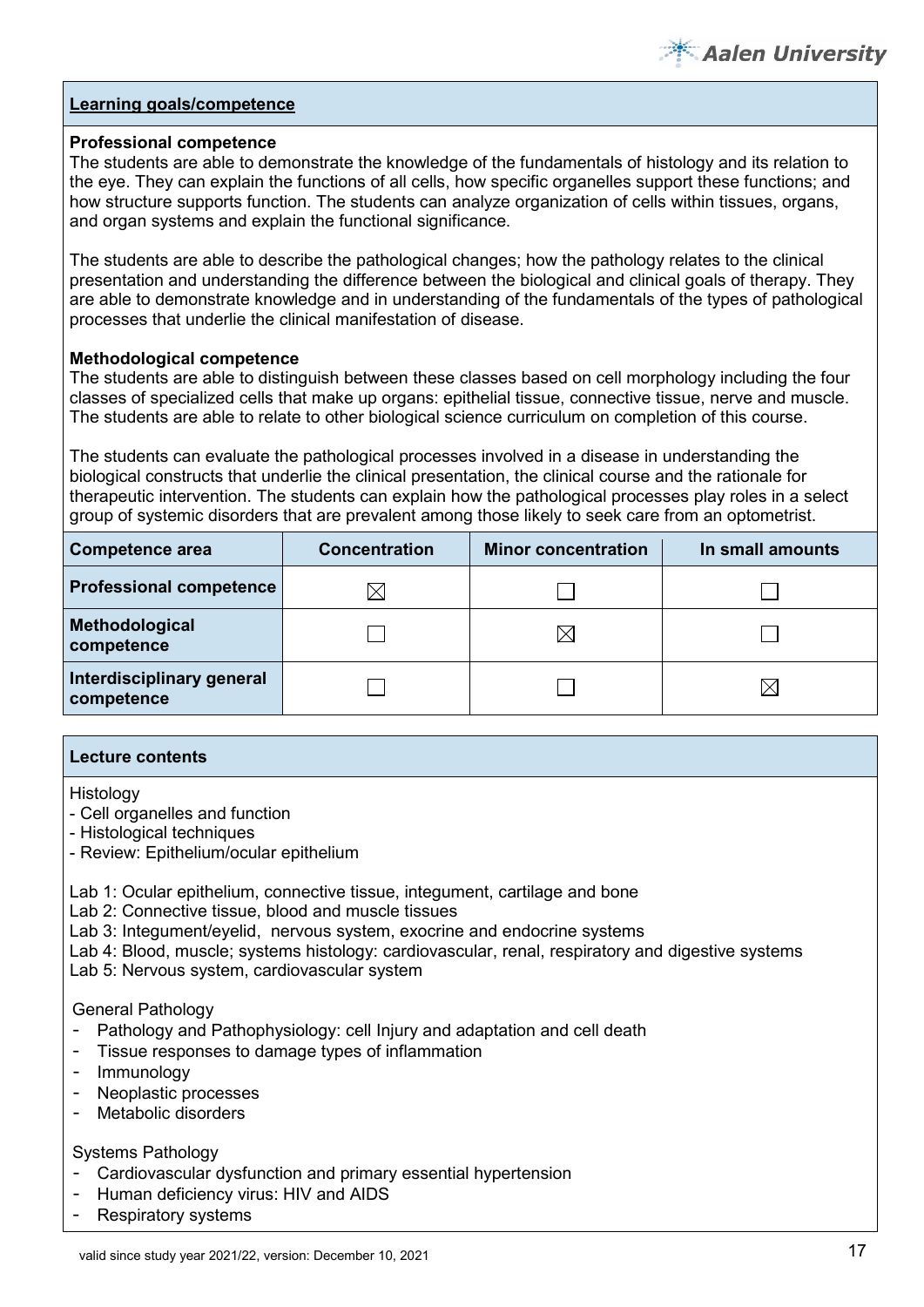

#### **Professional competence**

The students are able to demonstrate the knowledge of the fundamentals of histology and its relation to the eye. They can explain the functions of all cells, how specific organelles support these functions; and how structure supports function. The students can analyze organization of cells within tissues, organs, and organ systems and explain the functional significance.

The students are able to describe the pathological changes; how the pathology relates to the clinical presentation and understanding the difference between the biological and clinical goals of therapy. They are able to demonstrate knowledge and in understanding of the fundamentals of the types of pathological processes that underlie the clinical manifestation of disease.

#### **Methodological competence**

The students are able to distinguish between these classes based on cell morphology including the four classes of specialized cells that make up organs: epithelial tissue, connective tissue, nerve and muscle. The students are able to relate to other biological science curriculum on completion of this course.

The students can evaluate the pathological processes involved in a disease in understanding the biological constructs that underlie the clinical presentation, the clinical course and the rationale for therapeutic intervention. The students can explain how the pathological processes play roles in a select group of systemic disorders that are prevalent among those likely to seek care from an optometrist.

| <b>Competence area</b>                  | <b>Concentration</b> | <b>Minor concentration</b> | In small amounts |  |
|-----------------------------------------|----------------------|----------------------------|------------------|--|
| <b>Professional competence</b>          | $\boxtimes$          |                            |                  |  |
| Methodological<br>competence            |                      | IХ                         |                  |  |
| Interdisciplinary general<br>competence |                      |                            | IХ               |  |

#### **Lecture contents**

Histology

- Cell organelles and function
- Histological techniques
- Review: Epithelium/ocular epithelium

Lab 1: Ocular epithelium, connective tissue, integument, cartilage and bone

Lab 2: Connective tissue, blood and muscle tissues

Lab 3: Integument/eyelid, nervous system, exocrine and endocrine systems

Lab 4: Blood, muscle; systems histology: cardiovascular, renal, respiratory and digestive systems

Lab 5: Nervous system, cardiovascular system

#### General Pathology

- Pathology and Pathophysiology: cell Injury and adaptation and cell death
- Tissue responses to damage types of inflammation
- **Immunology**
- Neoplastic processes
- Metabolic disorders

#### Systems Pathology

- Cardiovascular dysfunction and primary essential hypertension
- Human deficiency virus: HIV and AIDS<br>- Respiratory systems
- Respiratory systems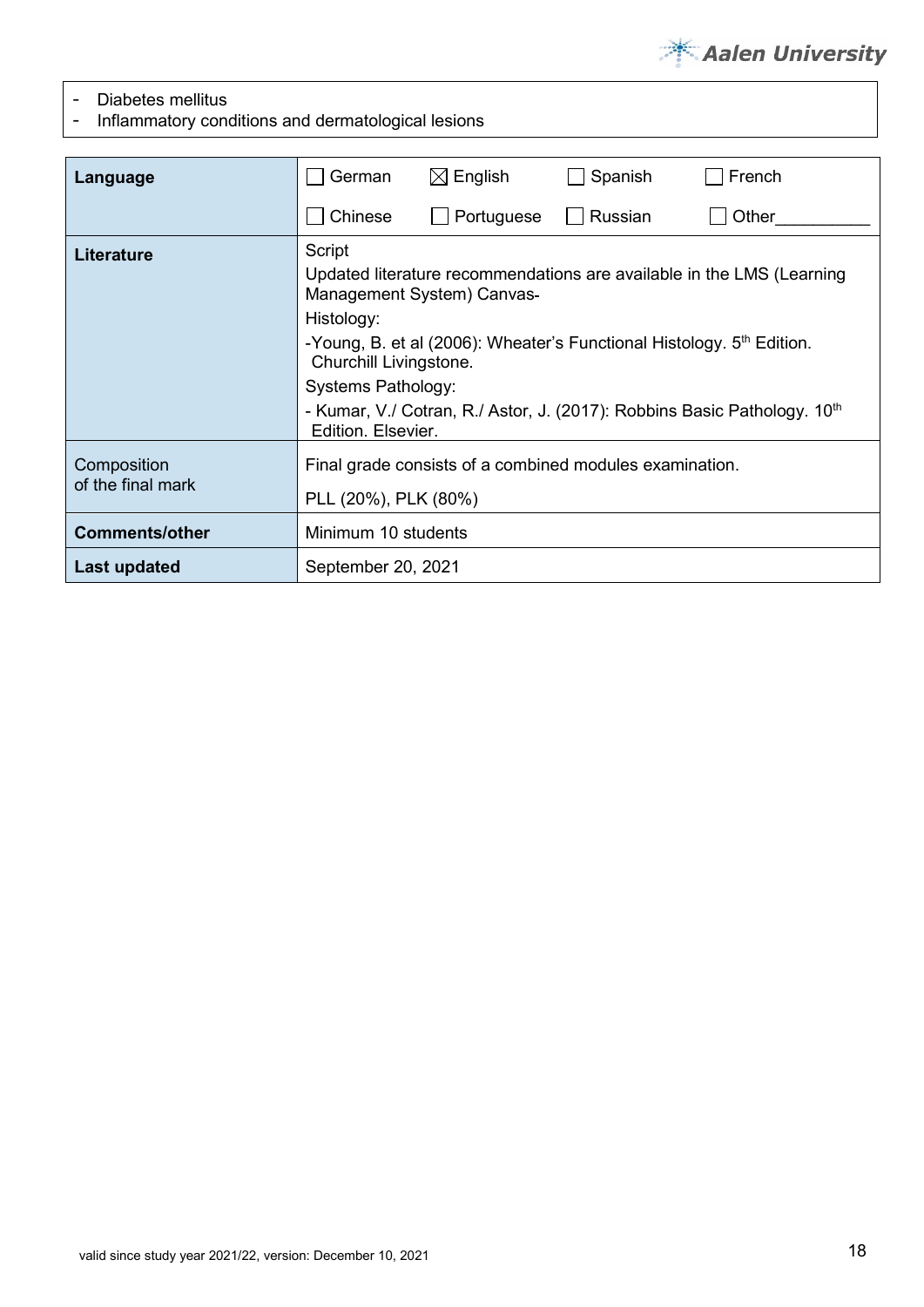

- Diabetes mellitus<br>- Inflammatory con

- Inflammatory conditions and dermatological lesions

| Language                         | German                                                                                            | $\boxtimes$ English                                                                                             | Spanish | French                                                                                                                                                        |  |  |
|----------------------------------|---------------------------------------------------------------------------------------------------|-----------------------------------------------------------------------------------------------------------------|---------|---------------------------------------------------------------------------------------------------------------------------------------------------------------|--|--|
|                                  | Chinese                                                                                           | Portuguese                                                                                                      | Russian | Other                                                                                                                                                         |  |  |
| Literature                       | Script<br>Histology:<br>Churchill Livingstone.<br><b>Systems Pathology:</b><br>Edition, Elsevier. | Management System) Canvas-<br>-Young, B. et al (2006): Wheater's Functional Histology. 5 <sup>th</sup> Edition. |         | Updated literature recommendations are available in the LMS (Learning<br>- Kumar, V./ Cotran, R./ Astor, J. (2017): Robbins Basic Pathology. 10 <sup>th</sup> |  |  |
| Composition<br>of the final mark | Final grade consists of a combined modules examination.<br>PLL (20%), PLK (80%)                   |                                                                                                                 |         |                                                                                                                                                               |  |  |
| <b>Comments/other</b>            | Minimum 10 students                                                                               |                                                                                                                 |         |                                                                                                                                                               |  |  |
| Last updated                     | September 20, 2021                                                                                |                                                                                                                 |         |                                                                                                                                                               |  |  |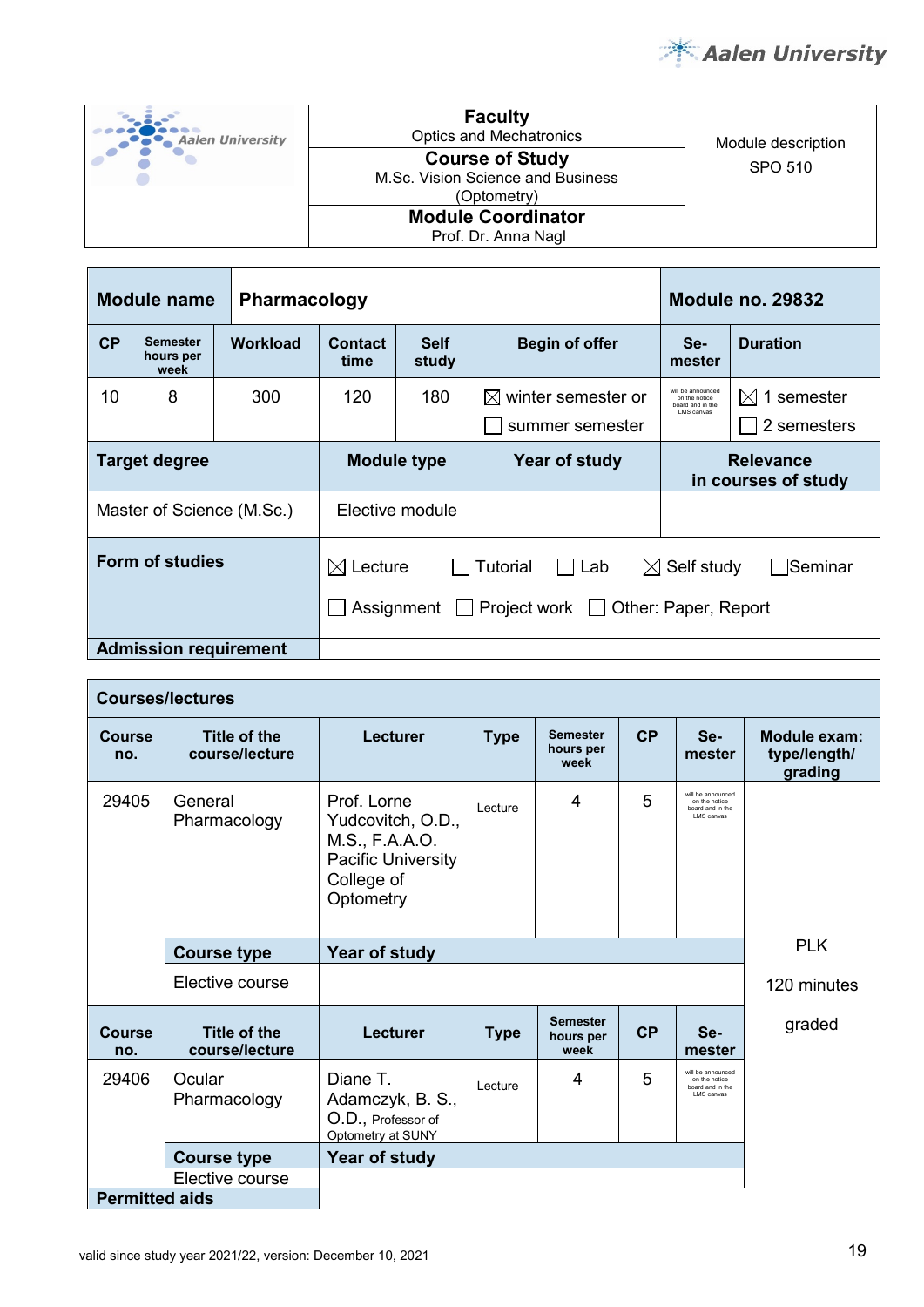

| Aalen University | <b>Faculty</b><br><b>Optics and Mechatronics</b>                           | Module description |
|------------------|----------------------------------------------------------------------------|--------------------|
|                  | <b>Course of Study</b><br>M.Sc. Vision Science and Business<br>(Optometry) | SPO 510            |
|                  | <b>Module Coordinator</b><br>Prof. Dr. Anna Nagl                           |                    |

|                                                                                                                                     | Module name<br><b>Pharmacology</b> |                    |                 |                      |                                               | <b>Module no. 29832</b>                                               |                                        |
|-------------------------------------------------------------------------------------------------------------------------------------|------------------------------------|--------------------|-----------------|----------------------|-----------------------------------------------|-----------------------------------------------------------------------|----------------------------------------|
| CP                                                                                                                                  | Semester<br>hours per<br>week      | Workload           | Contact<br>time | <b>Self</b><br>study | <b>Begin of offer</b>                         | Se-<br>mester                                                         | <b>Duration</b>                        |
| 10                                                                                                                                  | 8                                  | 300                | 120             | 180                  | winter semester or<br>IXI.<br>summer semester | will be announced<br>on the notice<br>board and in the<br>I MS canvas | 1 semester<br>$\bowtie$<br>2 semesters |
| <b>Target degree</b>                                                                                                                |                                    | <b>Module type</b> |                 | Year of study        | <b>Relevance</b><br>in courses of study       |                                                                       |                                        |
| Elective module<br>Master of Science (M.Sc.)                                                                                        |                                    |                    |                 |                      |                                               |                                                                       |                                        |
| Form of studies<br>$\boxtimes$ Self study<br>$\boxtimes$ Lecture<br>Tutorial<br>Lab<br>Assignment Project work Other: Paper, Report |                                    |                    |                 |                      |                                               | Seminar                                                               |                                        |
|                                                                                                                                     | <b>Admission requirement</b>       |                    |                 |                      |                                               |                                                                       |                                        |

| <b>Courses/lectures</b> |                                       |                                                                                                           |             |                                                             |                     |                                                                      |             |  |
|-------------------------|---------------------------------------|-----------------------------------------------------------------------------------------------------------|-------------|-------------------------------------------------------------|---------------------|----------------------------------------------------------------------|-------------|--|
| Course<br>no.           | Title of the<br>course/lecture        | Lecturer                                                                                                  | <b>Type</b> | CP<br><b>Semester</b><br>Se-<br>hours per<br>mester<br>week |                     | Module exam:<br>type/length/<br>grading                              |             |  |
| 29405                   | General<br>Pharmacology               | Prof Lorne<br>Yudcovitch, O.D.,<br>M.S., F.A.A.O.<br><b>Pacific University</b><br>College of<br>Optometry | Lecture     | 4                                                           | 5                   | will be announced<br>on the notice<br>board and in the<br>LMS canvas |             |  |
|                         | <b>Course type</b>                    | Year of study                                                                                             |             |                                                             |                     |                                                                      | <b>PLK</b>  |  |
|                         | Elective course                       |                                                                                                           |             |                                                             |                     |                                                                      | 120 minutes |  |
| <b>Course</b><br>no.    | <b>Title of the</b><br>course/lecture | Lecturer                                                                                                  | <b>Type</b> | <b>Semester</b><br>hours per<br>week                        | CP<br>Se-<br>mester |                                                                      | graded      |  |
| 29406                   | Ocular<br>Pharmacology                | Diane T.<br>Adamczyk, B. S.,<br>O.D., Professor of<br>Optometry at SUNY                                   | Lecture     | 4                                                           | 5                   | will be announced<br>on the notice<br>board and in the<br>LMS canvas |             |  |
|                         | <b>Course type</b>                    | Year of study                                                                                             |             |                                                             |                     |                                                                      |             |  |
| Elective course         |                                       |                                                                                                           |             |                                                             |                     |                                                                      |             |  |
| <b>Permitted aids</b>   |                                       |                                                                                                           |             |                                                             |                     |                                                                      |             |  |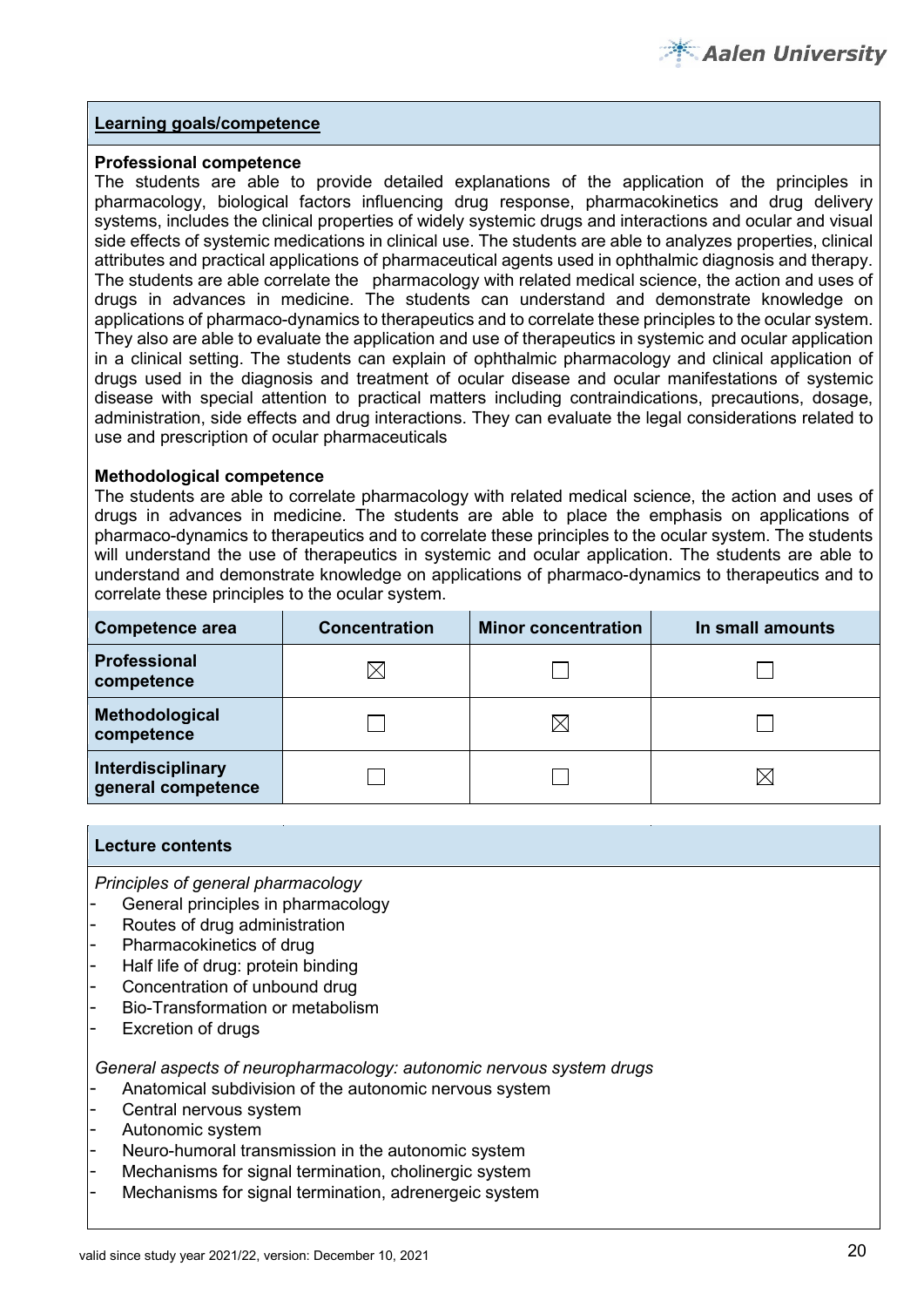#### **Professional competence**

The students are able to provide detailed explanations of the application of the principles in pharmacology, biological factors influencing drug response, pharmacokinetics and drug delivery systems, includes the clinical properties of widely systemic drugs and interactions and ocular and visual side effects of systemic medications in clinical use. The students are able to analyzes properties, clinical attributes and practical applications of pharmaceutical agents used in ophthalmic diagnosis and therapy. The students are able correlate the pharmacology with related medical science, the action and uses of drugs in advances in medicine. The students can understand and demonstrate knowledge on applications of pharmaco-dynamics to therapeutics and to correlate these principles to the ocular system. They also are able to evaluate the application and use of therapeutics in systemic and ocular application in a clinical setting. The students can explain of ophthalmic pharmacology and clinical application of drugs used in the diagnosis and treatment of ocular disease and ocular manifestations of systemic disease with special attention to practical matters including contraindications, precautions, dosage, administration, side effects and drug interactions. They can evaluate the legal considerations related to use and prescription of ocular pharmaceuticals

#### **Methodological competence**

The students are able to correlate pharmacology with related medical science, the action and uses of drugs in advances in medicine. The students are able to place the emphasis on applications of pharmaco-dynamics to therapeutics and to correlate these principles to the ocular system. The students will understand the use of therapeutics in systemic and ocular application. The students are able to understand and demonstrate knowledge on applications of pharmaco-dynamics to therapeutics and to correlate these principles to the ocular system.

| <b>Competence area</b>                  | <b>Concentration</b> | <b>Minor concentration</b> | In small amounts |  |
|-----------------------------------------|----------------------|----------------------------|------------------|--|
| Professional<br>competence              |                      |                            |                  |  |
| Methodological<br>competence            |                      | IХ                         |                  |  |
| Interdisciplinary<br>general competence |                      |                            |                  |  |

#### **Lecture contents**

*Principles of general pharmacology* 

- General principles in pharmacology
- Routes of drug administration
- Pharmacokinetics of drug
- Half life of drug: protein binding
- Concentration of unbound drug
- Bio-Transformation or metabolism
- Excretion of drugs

*General aspects of neuropharmacology: autonomic nervous system drugs*

- Anatomical subdivision of the autonomic nervous system
- Central nervous system
- Autonomic system
- Neuro-humoral transmission in the autonomic system
- Mechanisms for signal termination, cholinergic system
- Mechanisms for signal termination, adrenergeic system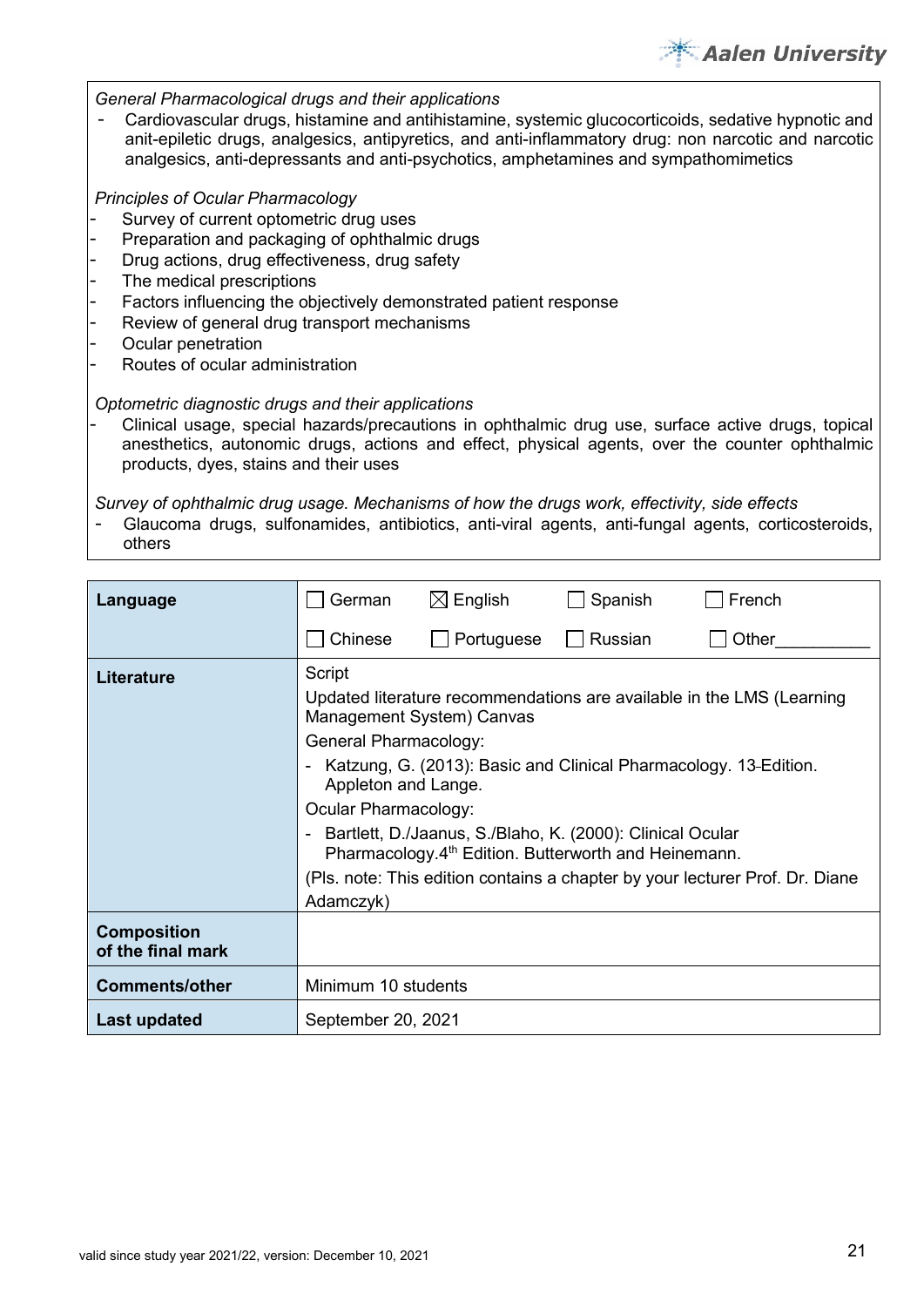

#### *General Pharmacological drugs and their applications*

- Cardiovascular drugs, histamine and antihistamine, systemic glucocorticoids, sedative hypnotic and anit-epiletic drugs, analgesics, antipyretics, and anti-inflammatory drug: non narcotic and narcotic analgesics, anti-depressants and anti-psychotics, amphetamines and sympathomimetics

#### *Principles of Ocular Pharmacology*

- Survey of current optometric drug uses
- Preparation and packaging of ophthalmic drugs
- Drug actions, drug effectiveness, drug safety
- The medical prescriptions
- Factors influencing the objectively demonstrated patient response
- Review of general drug transport mechanisms
- Ocular penetration
- Routes of ocular administration

#### *Optometric diagnostic drugs and their applications*

- Clinical usage, special hazards/precautions in ophthalmic drug use, surface active drugs, topical anesthetics, autonomic drugs, actions and effect, physical agents, over the counter ophthalmic products, dyes, stains and their uses

*Survey of ophthalmic drug usage. Mechanisms of how the drugs work, effectivity, side effects*

- Glaucoma drugs, sulfonamides, antibiotics, anti-viral agents, anti-fungal agents, corticosteroids, others

| Language                                | German                                                                         | $\boxtimes$ English                                                                                                                                          | Spanish        | French                                                                                                                                      |  |  |  |  |
|-----------------------------------------|--------------------------------------------------------------------------------|--------------------------------------------------------------------------------------------------------------------------------------------------------------|----------------|---------------------------------------------------------------------------------------------------------------------------------------------|--|--|--|--|
|                                         | Chinese                                                                        | Portuguese                                                                                                                                                   | <b>Russian</b> | Other                                                                                                                                       |  |  |  |  |
| <b>Literature</b>                       | Script<br>General Pharmacology:<br>Appleton and Lange.<br>Ocular Pharmacology: | Management System) Canvas<br>- Bartlett, D./Jaanus, S./Blaho, K. (2000): Clinical Ocular<br>Pharmacology.4 <sup>th</sup> Edition. Butterworth and Heinemann. |                | Updated literature recommendations are available in the LMS (Learning<br>- Katzung, G. (2013): Basic and Clinical Pharmacology. 13-Edition. |  |  |  |  |
|                                         | Adamczyk)                                                                      | (Pls. note: This edition contains a chapter by your lecturer Prof. Dr. Diane                                                                                 |                |                                                                                                                                             |  |  |  |  |
| <b>Composition</b><br>of the final mark |                                                                                |                                                                                                                                                              |                |                                                                                                                                             |  |  |  |  |
| <b>Comments/other</b>                   | Minimum 10 students                                                            |                                                                                                                                                              |                |                                                                                                                                             |  |  |  |  |
| <b>Last updated</b>                     | September 20, 2021                                                             |                                                                                                                                                              |                |                                                                                                                                             |  |  |  |  |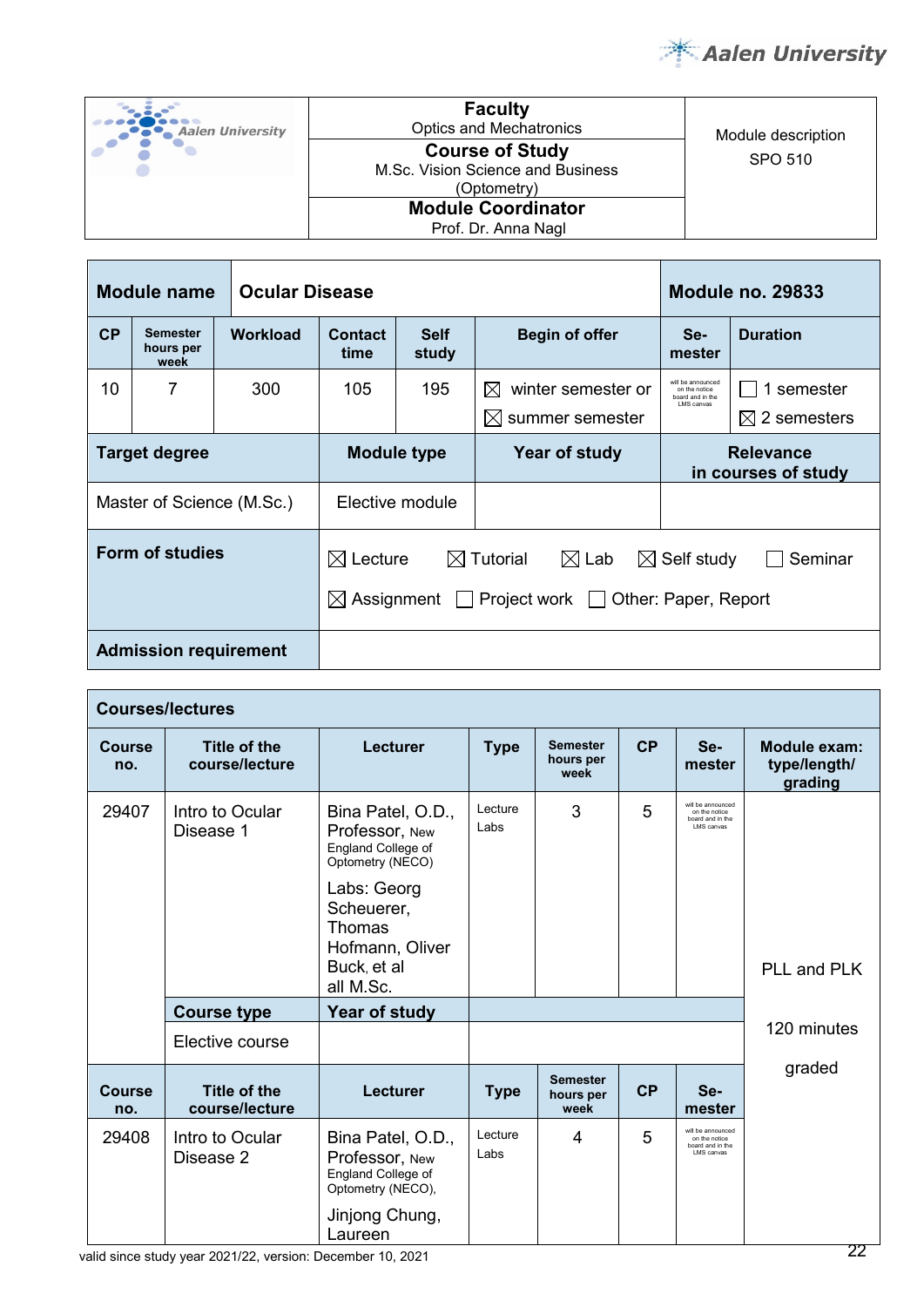

| Aalen University | <b>Faculty</b><br><b>Optics and Mechatronics</b>                           | Module description |
|------------------|----------------------------------------------------------------------------|--------------------|
|                  | <b>Course of Study</b><br>M.Sc. Vision Science and Business<br>(Optometry) | SPO 510            |
|                  | <b>Module Coordinator</b><br>Prof. Dr. Anna Nagl                           |                    |

| <b>Ocular Disease</b><br>Module name                                                                                                                                                         |                                      |                           |                                                                         |                                                                         |                      | <b>Module no. 29833</b>                                                     |                                         |  |
|----------------------------------------------------------------------------------------------------------------------------------------------------------------------------------------------|--------------------------------------|---------------------------|-------------------------------------------------------------------------|-------------------------------------------------------------------------|----------------------|-----------------------------------------------------------------------------|-----------------------------------------|--|
| CP                                                                                                                                                                                           | <b>Semester</b><br>hours per<br>week | <b>Workload</b>           | <b>Self</b><br><b>Begin of offer</b><br><b>Contact</b><br>study<br>time |                                                                         | Se-<br>mester        | <b>Duration</b>                                                             |                                         |  |
| 10                                                                                                                                                                                           | 7                                    | 300                       | 105                                                                     | 195<br>winter semester or<br>$\boxtimes$<br>$\boxtimes$ summer semester |                      | will be announced<br>on the notice<br>board and in the<br><b>LMS</b> canvas | 1 semester<br>$\boxtimes$ 2 semesters   |  |
| <b>Target degree</b>                                                                                                                                                                         |                                      |                           | <b>Module type</b>                                                      |                                                                         | <b>Year of study</b> |                                                                             | <b>Relevance</b><br>in courses of study |  |
|                                                                                                                                                                                              |                                      | Master of Science (M.Sc.) | Elective module                                                         |                                                                         |                      |                                                                             |                                         |  |
| <b>Form of studies</b><br>$\boxtimes$ Lecture<br>$\boxtimes$ Self study<br>$\boxtimes$ Tutorial<br>$\boxtimes$ Lab<br>$\boxtimes$ Assignment $\Box$ Project work $\Box$ Other: Paper, Report |                                      |                           |                                                                         |                                                                         | Seminar              |                                                                             |                                         |  |
| <b>Admission requirement</b>                                                                                                                                                                 |                                      |                           |                                                                         |                                                                         |                      |                                                                             |                                         |  |

| <b>Courses/lectures</b>               |                                       |                                                                                                                                                                     |                 |                                      |    |                                                                       |                                         |  |  |
|---------------------------------------|---------------------------------------|---------------------------------------------------------------------------------------------------------------------------------------------------------------------|-----------------|--------------------------------------|----|-----------------------------------------------------------------------|-----------------------------------------|--|--|
| <b>Course</b><br>no.                  | Title of the<br>course/lecture        | Lecturer                                                                                                                                                            | <b>Type</b>     | <b>Semester</b><br>hours per<br>week | CP | Se-<br>mester                                                         | Module exam:<br>type/length/<br>grading |  |  |
| 29407<br>Intro to Ocular<br>Disease 1 |                                       | Bina Patel, O.D.,<br>Professor, New<br>England College of<br>Optometry (NECO)<br>Labs: Georg<br>Scheuerer,<br>Thomas<br>Hofmann, Oliver<br>Buck, et al<br>all M.Sc. | Lecture<br>Labs | 3                                    | 5  | will be announced<br>on the notice<br>board and in the<br>I MS canvas | PLL and PLK                             |  |  |
|                                       | <b>Course type</b>                    | Year of study                                                                                                                                                       |                 |                                      |    |                                                                       | 120 minutes                             |  |  |
|                                       | Elective course                       |                                                                                                                                                                     |                 |                                      |    |                                                                       |                                         |  |  |
| <b>Course</b><br>no.                  | <b>Title of the</b><br>course/lecture | <b>Lecturer</b>                                                                                                                                                     | <b>Type</b>     | <b>Semester</b><br>hours per<br>week | CP | Se-<br>mester                                                         | graded                                  |  |  |
| 29408                                 | Intro to Ocular<br>Disease 2          | Bina Patel, O.D.,<br>Professor, New<br>England College of<br>Optometry (NECO),<br>Jinjong Chung,<br>Laureen                                                         | Lecture<br>Labs | 4                                    | 5  | will be announced<br>on the notice<br>board and in the<br>LMS canvas  |                                         |  |  |

valid since study year 2021/22, version: December 10, 2021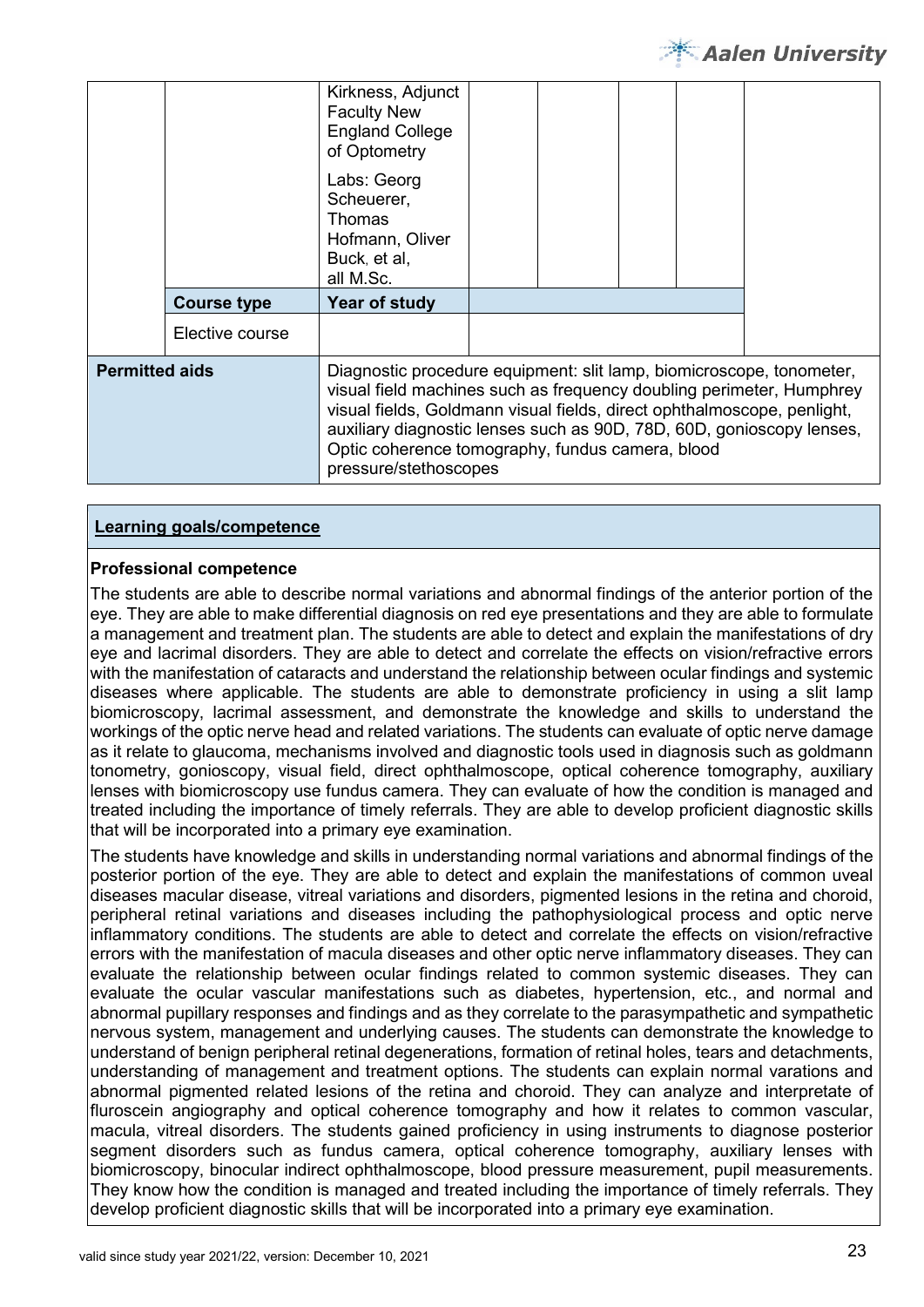

|                       |                    | Kirkness, Adjunct<br><b>Faculty New</b><br><b>England College</b><br>of Optometry<br>Labs: Georg<br>Scheuerer,<br>Thomas                                                                                                                                                                                                                                                      |  |  |  |
|-----------------------|--------------------|-------------------------------------------------------------------------------------------------------------------------------------------------------------------------------------------------------------------------------------------------------------------------------------------------------------------------------------------------------------------------------|--|--|--|
|                       |                    | Hofmann, Oliver<br>Buck, et al,<br>all M.Sc.                                                                                                                                                                                                                                                                                                                                  |  |  |  |
|                       | <b>Course type</b> | Year of study                                                                                                                                                                                                                                                                                                                                                                 |  |  |  |
|                       | Elective course    |                                                                                                                                                                                                                                                                                                                                                                               |  |  |  |
| <b>Permitted aids</b> |                    | Diagnostic procedure equipment: slit lamp, biomicroscope, tonometer,<br>visual field machines such as frequency doubling perimeter, Humphrey<br>visual fields, Goldmann visual fields, direct ophthalmoscope, penlight,<br>auxiliary diagnostic lenses such as 90D, 78D, 60D, gonioscopy lenses,<br>Optic coherence tomography, fundus camera, blood<br>pressure/stethoscopes |  |  |  |

#### **Professional competence**

The students are able to describe normal variations and abnormal findings of the anterior portion of the eye. They are able to make differential diagnosis on red eye presentations and they are able to formulate a management and treatment plan. The students are able to detect and explain the manifestations of dry eye and lacrimal disorders. They are able to detect and correlate the effects on vision/refractive errors with the manifestation of cataracts and understand the relationship between ocular findings and systemic diseases where applicable. The students are able to demonstrate proficiency in using a slit lamp biomicroscopy, lacrimal assessment, and demonstrate the knowledge and skills to understand the workings of the optic nerve head and related variations. The students can evaluate of optic nerve damage as it relate to glaucoma, mechanisms involved and diagnostic tools used in diagnosis such as goldmann tonometry, gonioscopy, visual field, direct ophthalmoscope, optical coherence tomography, auxiliary lenses with biomicroscopy use fundus camera. They can evaluate of how the condition is managed and treated including the importance of timely referrals. They are able to develop proficient diagnostic skills that will be incorporated into a primary eye examination.

The students have knowledge and skills in understanding normal variations and abnormal findings of the posterior portion of the eye. They are able to detect and explain the manifestations of common uveal diseases macular disease, vitreal variations and disorders, pigmented lesions in the retina and choroid, peripheral retinal variations and diseases including the pathophysiological process and optic nerve inflammatory conditions. The students are able to detect and correlate the effects on vision/refractive errors with the manifestation of macula diseases and other optic nerve inflammatory diseases. They can evaluate the relationship between ocular findings related to common systemic diseases. They can evaluate the ocular vascular manifestations such as diabetes, hypertension, etc., and normal and abnormal pupillary responses and findings and as they correlate to the parasympathetic and sympathetic nervous system, management and underlying causes. The students can demonstrate the knowledge to understand of benign peripheral retinal degenerations, formation of retinal holes, tears and detachments, understanding of management and treatment options. The students can explain normal varations and abnormal pigmented related lesions of the retina and choroid. They can analyze and interpretate of fluroscein angiography and optical coherence tomography and how it relates to common vascular, macula, vitreal disorders. The students gained proficiency in using instruments to diagnose posterior segment disorders such as fundus camera, optical coherence tomography, auxiliary lenses with biomicroscopy, binocular indirect ophthalmoscope, blood pressure measurement, pupil measurements. They know how the condition is managed and treated including the importance of timely referrals. They develop proficient diagnostic skills that will be incorporated into a primary eye examination.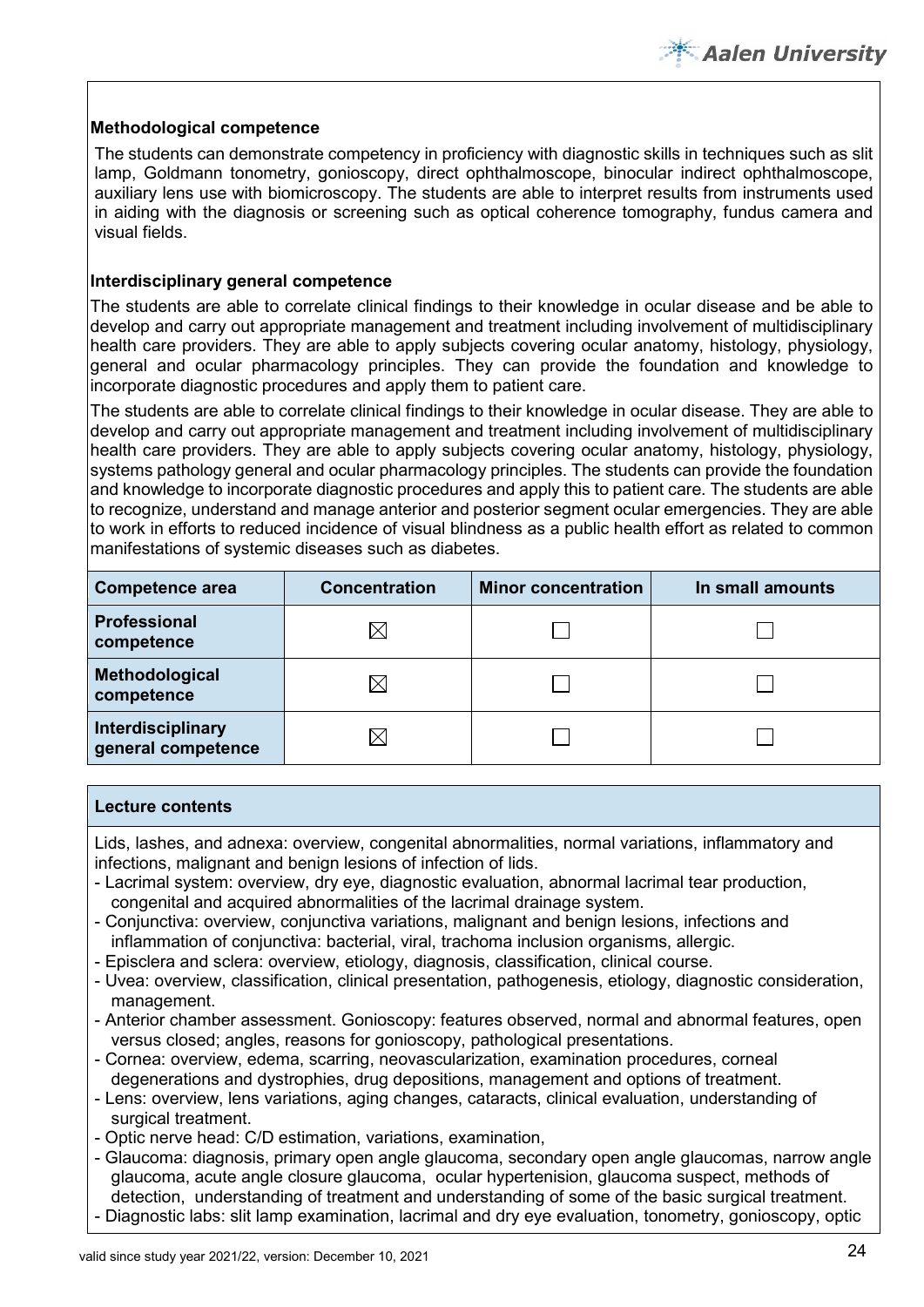## **Methodological competence**

The students can demonstrate competency in proficiency with diagnostic skills in techniques such as slit lamp, Goldmann tonometry, gonioscopy, direct ophthalmoscope, binocular indirect ophthalmoscope, auxiliary lens use with biomicroscopy. The students are able to interpret results from instruments used in aiding with the diagnosis or screening such as optical coherence tomography, fundus camera and visual fields.

#### **Interdisciplinary general competence**

The students are able to correlate clinical findings to their knowledge in ocular disease and be able to develop and carry out appropriate management and treatment including involvement of multidisciplinary health care providers. They are able to apply subjects covering ocular anatomy, histology, physiology, general and ocular pharmacology principles. They can provide the foundation and knowledge to incorporate diagnostic procedures and apply them to patient care.

The students are able to correlate clinical findings to their knowledge in ocular disease. They are able to develop and carry out appropriate management and treatment including involvement of multidisciplinary health care providers. They are able to apply subjects covering ocular anatomy, histology, physiology, systems pathology general and ocular pharmacology principles. The students can provide the foundation and knowledge to incorporate diagnostic procedures and apply this to patient care. The students are able to recognize, understand and manage anterior and posterior segment ocular emergencies. They are able to work in efforts to reduced incidence of visual blindness as a public health effort as related to common manifestations of systemic diseases such as diabetes.

| <b>Competence area</b>                  | <b>Concentration</b> | <b>Minor concentration</b> | In small amounts |
|-----------------------------------------|----------------------|----------------------------|------------------|
| Professional<br>competence              |                      |                            |                  |
| Methodological<br>competence            |                      |                            |                  |
| Interdisciplinary<br>general competence |                      |                            |                  |

#### **Lecture contents**

Lids, lashes, and adnexa: overview, congenital abnormalities, normal variations, inflammatory and infections, malignant and benign lesions of infection of lids.

- Lacrimal system: overview, dry eye, diagnostic evaluation, abnormal lacrimal tear production, congenital and acquired abnormalities of the lacrimal drainage system.
- Conjunctiva: overview, conjunctiva variations, malignant and benign lesions, infections and inflammation of conjunctiva: bacterial, viral, trachoma inclusion organisms, allergic.
- Episclera and sclera: overview, etiology, diagnosis, classification, clinical course.
- Uvea: overview, classification, clinical presentation, pathogenesis, etiology, diagnostic consideration, management.
- Anterior chamber assessment. Gonioscopy: features observed, normal and abnormal features, open versus closed; angles, reasons for gonioscopy, pathological presentations.
- Cornea: overview, edema, scarring, neovascularization, examination procedures, corneal degenerations and dystrophies, drug depositions, management and options of treatment.
- Lens: overview, lens variations, aging changes, cataracts, clinical evaluation, understanding of surgical treatment.
- Optic nerve head: C/D estimation, variations, examination,
- Glaucoma: diagnosis, primary open angle glaucoma, secondary open angle glaucomas, narrow angle glaucoma, acute angle closure glaucoma, ocular hypertenision, glaucoma suspect, methods of detection, understanding of treatment and understanding of some of the basic surgical treatment.
- Diagnostic labs: slit lamp examination, lacrimal and dry eye evaluation, tonometry, gonioscopy, optic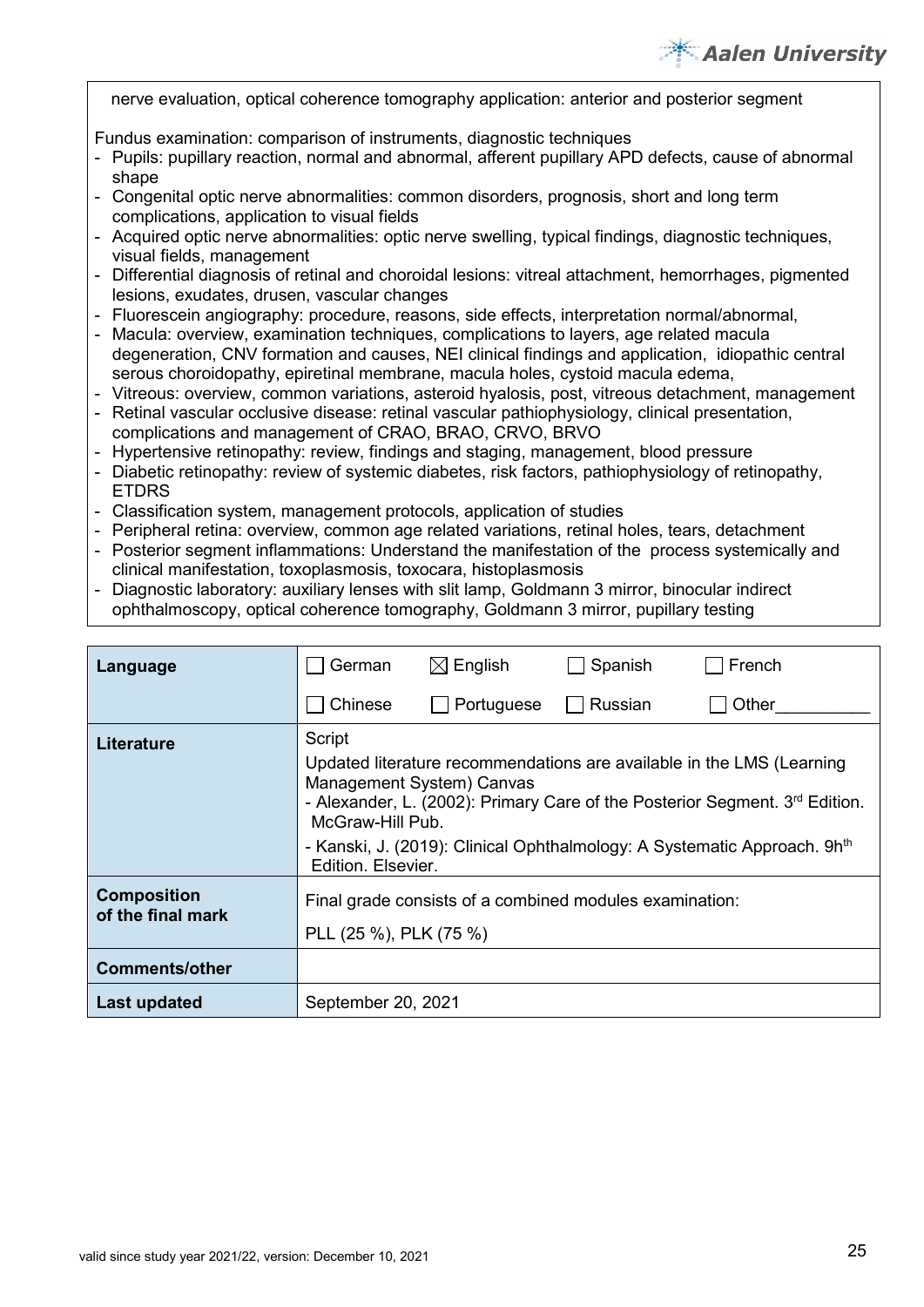# **Aalen University**

nerve evaluation, optical coherence tomography application: anterior and posterior segment

Fundus examination: comparison of instruments, diagnostic techniques

- Pupils: pupillary reaction, normal and abnormal, afferent pupillary APD defects, cause of abnormal shape
- Congenital optic nerve abnormalities: common disorders, prognosis, short and long term complications, application to visual fields
- Acquired optic nerve abnormalities: optic nerve swelling, typical findings, diagnostic techniques, visual fields, management
- Differential diagnosis of retinal and choroidal lesions: vitreal attachment, hemorrhages, pigmented lesions, exudates, drusen, vascular changes
- Fluorescein angiography: procedure, reasons, side effects, interpretation normal/abnormal,
- Macula: overview, examination techniques, complications to layers, age related macula degeneration, CNV formation and causes, NEI clinical findings and application, idiopathic central serous choroidopathy, epiretinal membrane, macula holes, cystoid macula edema,
- Vitreous: overview, common variations, asteroid hyalosis, post, vitreous detachment, management
- Retinal vascular occlusive disease: retinal vascular pathiophysiology, clinical presentation, complications and management of CRAO, BRAO, CRVO, BRVO
- Hypertensive retinopathy: review, findings and staging, management, blood pressure
- Diabetic retinopathy: review of systemic diabetes, risk factors, pathiophysiology of retinopathy, **ETDRS**
- Classification system, management protocols, application of studies
- Peripheral retina: overview, common age related variations, retinal holes, tears, detachment
- Posterior segment inflammations: Understand the manifestation of the process systemically and clinical manifestation, toxoplasmosis, toxocara, histoplasmosis
- Diagnostic laboratory: auxiliary lenses with slit lamp, Goldmann 3 mirror, binocular indirect ophthalmoscopy, optical coherence tomography, Goldmann 3 mirror, pupillary testing

| Language                                | German                       | $\boxtimes$ English                                                                                                                                                                                                                                                                           | Spanish        | French |  |  |  |  |  |
|-----------------------------------------|------------------------------|-----------------------------------------------------------------------------------------------------------------------------------------------------------------------------------------------------------------------------------------------------------------------------------------------|----------------|--------|--|--|--|--|--|
|                                         | Chinese                      | Portuguese                                                                                                                                                                                                                                                                                    | <b>Russian</b> | Other  |  |  |  |  |  |
| <b>Literature</b>                       | Script<br>Edition, Elsevier. | Updated literature recommendations are available in the LMS (Learning<br>Management System) Canvas<br>- Alexander, L. (2002): Primary Care of the Posterior Segment. 3rd Edition.<br>McGraw-Hill Pub.<br>- Kanski, J. (2019): Clinical Ophthalmology: A Systematic Approach. 9h <sup>th</sup> |                |        |  |  |  |  |  |
| <b>Composition</b><br>of the final mark |                              | Final grade consists of a combined modules examination:<br>PLL (25 %), PLK (75 %)                                                                                                                                                                                                             |                |        |  |  |  |  |  |
| <b>Comments/other</b>                   |                              |                                                                                                                                                                                                                                                                                               |                |        |  |  |  |  |  |
| <b>Last updated</b>                     | September 20, 2021           |                                                                                                                                                                                                                                                                                               |                |        |  |  |  |  |  |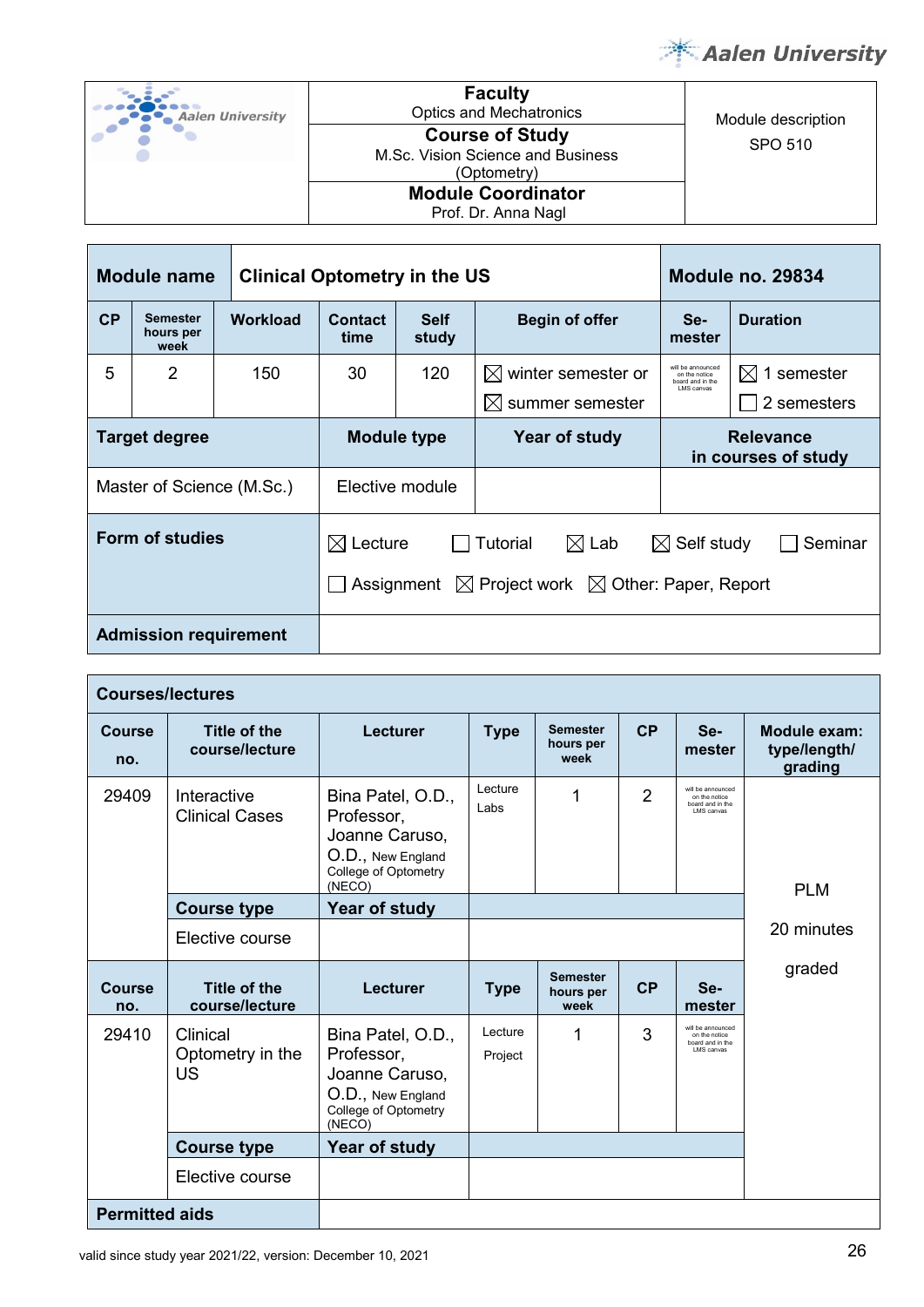

| Aalen University | <b>Faculty</b><br><b>Optics and Mechatronics</b>                           | Module description |
|------------------|----------------------------------------------------------------------------|--------------------|
|                  | <b>Course of Study</b><br>M.Sc. Vision Science and Business<br>(Optometry) | SPO 510            |
|                  | <b>Module Coordinator</b><br>Prof. Dr. Anna Nagl                           |                    |

| Module name<br><b>Clinical Optometry in the US</b> |                                      |                 |                        |                      | <b>Module no. 29834</b>                                                                             |                                                                      |                                |  |
|----------------------------------------------------|--------------------------------------|-----------------|------------------------|----------------------|-----------------------------------------------------------------------------------------------------|----------------------------------------------------------------------|--------------------------------|--|
| CP                                                 | <b>Semester</b><br>hours per<br>week | <b>Workload</b> | <b>Contact</b><br>time | <b>Self</b><br>study | <b>Begin of offer</b>                                                                               | Se-<br>mester                                                        | <b>Duration</b>                |  |
| 5                                                  | 2                                    | 150             | 30                     | 120                  | $\boxtimes$ winter semester or<br>summer semester<br>$\mathbb{X}$                                   | will be announced<br>on the notice<br>board and in the<br>LMS canvas | M<br>1 semester<br>2 semesters |  |
| <b>Target degree</b>                               |                                      |                 | Module type            |                      | Year of study                                                                                       | <b>Relevance</b><br>in courses of study                              |                                |  |
| Master of Science (M.Sc.)                          |                                      |                 | Elective module        |                      |                                                                                                     |                                                                      |                                |  |
|                                                    | Form of studies                      |                 | $\boxtimes$ Lecture    |                      | $\boxtimes$ Lab<br>Tutorial<br>Assignment $\boxtimes$ Project work $\boxtimes$ Other: Paper, Report | $\boxtimes$ Self study                                               | Seminar                        |  |
| <b>Admission requirement</b>                       |                                      |                 |                        |                      |                                                                                                     |                                                                      |                                |  |

| <b>Courses/lectures</b> |                                           |                                                                                                          |                    |                                      |                |                                                                       |                                         |
|-------------------------|-------------------------------------------|----------------------------------------------------------------------------------------------------------|--------------------|--------------------------------------|----------------|-----------------------------------------------------------------------|-----------------------------------------|
| Course<br>no.           | Title of the<br>course/lecture            | Lecturer                                                                                                 | <b>Type</b>        | <b>Semester</b><br>hours per<br>week | CP             | Se-<br>mester                                                         | Module exam:<br>type/length/<br>grading |
| 29409                   | Interactive<br><b>Clinical Cases</b>      | Bina Patel, O.D.,<br>Professor,<br>Joanne Caruso,<br>O.D., New England<br>College of Optometry<br>(NECO) | Lecture<br>Labs    | 1                                    | $\overline{2}$ | will be announced<br>on the notice<br>board and in the<br>LMS canvas  | <b>PLM</b>                              |
|                         | <b>Course type</b>                        | Year of study                                                                                            |                    |                                      |                |                                                                       |                                         |
|                         | Elective course                           |                                                                                                          |                    |                                      |                |                                                                       | 20 minutes                              |
| <b>Course</b><br>no.    | Title of the<br>course/lecture            | Lecturer                                                                                                 | <b>Type</b>        | <b>Semester</b><br>hours per<br>week | CP             | Se-<br>mester                                                         | graded                                  |
| 29410                   | Clinical<br>Optometry in the<br><b>US</b> | Bina Patel, O.D.,<br>Professor,<br>Joanne Caruso,<br>O.D., New England<br>College of Optometry<br>(NECO) | Lecture<br>Project | 1                                    | 3              | will be announced<br>on the notice<br>board and in the<br>I MS canvas |                                         |
|                         | <b>Course type</b>                        | Year of study                                                                                            |                    |                                      |                |                                                                       |                                         |
|                         | Elective course                           |                                                                                                          |                    |                                      |                |                                                                       |                                         |
| <b>Permitted aids</b>   |                                           |                                                                                                          |                    |                                      |                |                                                                       |                                         |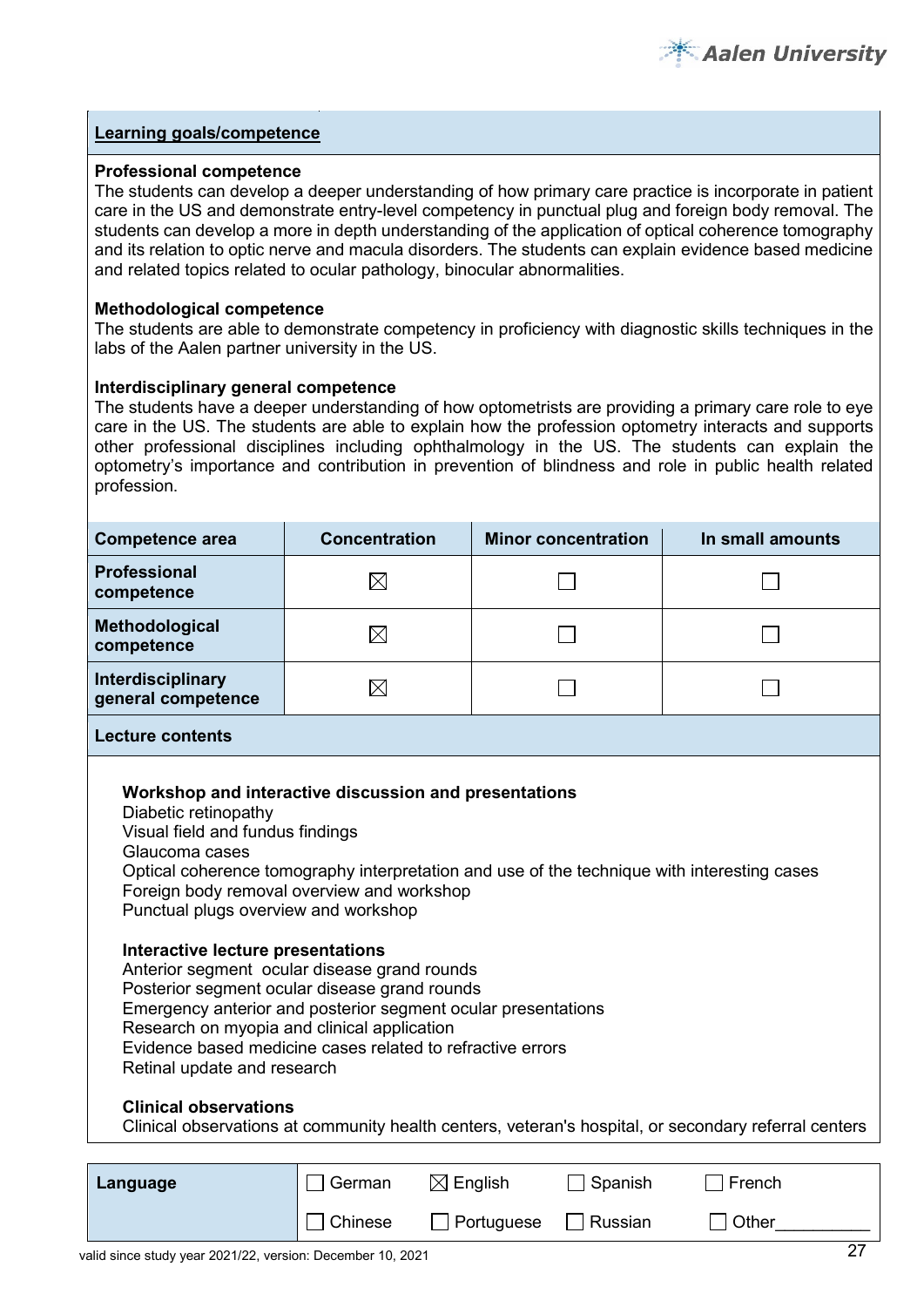

#### **Professional competence**

The students can develop a deeper understanding of how primary care practice is incorporate in patient care in the US and demonstrate entry-level competency in punctual plug and foreign body removal. The students can develop a more in depth understanding of the application of optical coherence tomography and its relation to optic nerve and macula disorders. The students can explain evidence based medicine and related topics related to ocular pathology, binocular abnormalities.

#### **Methodological competence**

The students are able to demonstrate competency in proficiency with diagnostic skills techniques in the labs of the Aalen partner university in the US.

#### **Interdisciplinary general competence**

The students have a deeper understanding of how optometrists are providing a primary care role to eye care in the US. The students are able to explain how the profession optometry interacts and supports other professional disciplines including ophthalmology in the US. The students can explain the optometry's importance and contribution in prevention of blindness and role in public health related profession.

| <b>Competence area</b>                                                                                                                                                                                                 | <b>Concentration</b>                                                                                                                                                                                                                                                                                                                                                               | <b>Minor concentration</b>                                                                  | In small amounts                                                                                     |
|------------------------------------------------------------------------------------------------------------------------------------------------------------------------------------------------------------------------|------------------------------------------------------------------------------------------------------------------------------------------------------------------------------------------------------------------------------------------------------------------------------------------------------------------------------------------------------------------------------------|---------------------------------------------------------------------------------------------|------------------------------------------------------------------------------------------------------|
| <b>Professional</b><br>competence                                                                                                                                                                                      | $\boxtimes$                                                                                                                                                                                                                                                                                                                                                                        |                                                                                             |                                                                                                      |
| Methodological<br>competence                                                                                                                                                                                           | $\boxtimes$                                                                                                                                                                                                                                                                                                                                                                        |                                                                                             |                                                                                                      |
| Interdisciplinary<br>general competence                                                                                                                                                                                | $\boxtimes$                                                                                                                                                                                                                                                                                                                                                                        |                                                                                             |                                                                                                      |
| <b>Lecture contents</b>                                                                                                                                                                                                |                                                                                                                                                                                                                                                                                                                                                                                    |                                                                                             |                                                                                                      |
| Diabetic retinopathy<br>Visual field and fundus findings<br>Glaucoma cases<br>Punctual plugs overview and workshop<br>Interactive lecture presentations<br>Retinal update and research<br><b>Clinical observations</b> | Workshop and interactive discussion and presentations<br>Foreign body removal overview and workshop<br>Anterior segment ocular disease grand rounds<br>Posterior segment ocular disease grand rounds<br>Emergency anterior and posterior segment ocular presentations<br>Research on myopia and clinical application<br>Evidence based medicine cases related to refractive errors | Optical coherence tomography interpretation and use of the technique with interesting cases | Clinical observations at community health centers, veteran's hospital, or secondary referral centers |
| Language                                                                                                                                                                                                               | German                                                                                                                                                                                                                                                                                                                                                                             | Spanish<br>$\boxtimes$ English                                                              | French                                                                                               |

 $\Box$  Chinese  $\Box$  Portuguese  $\Box$  Russian  $\Box$  Other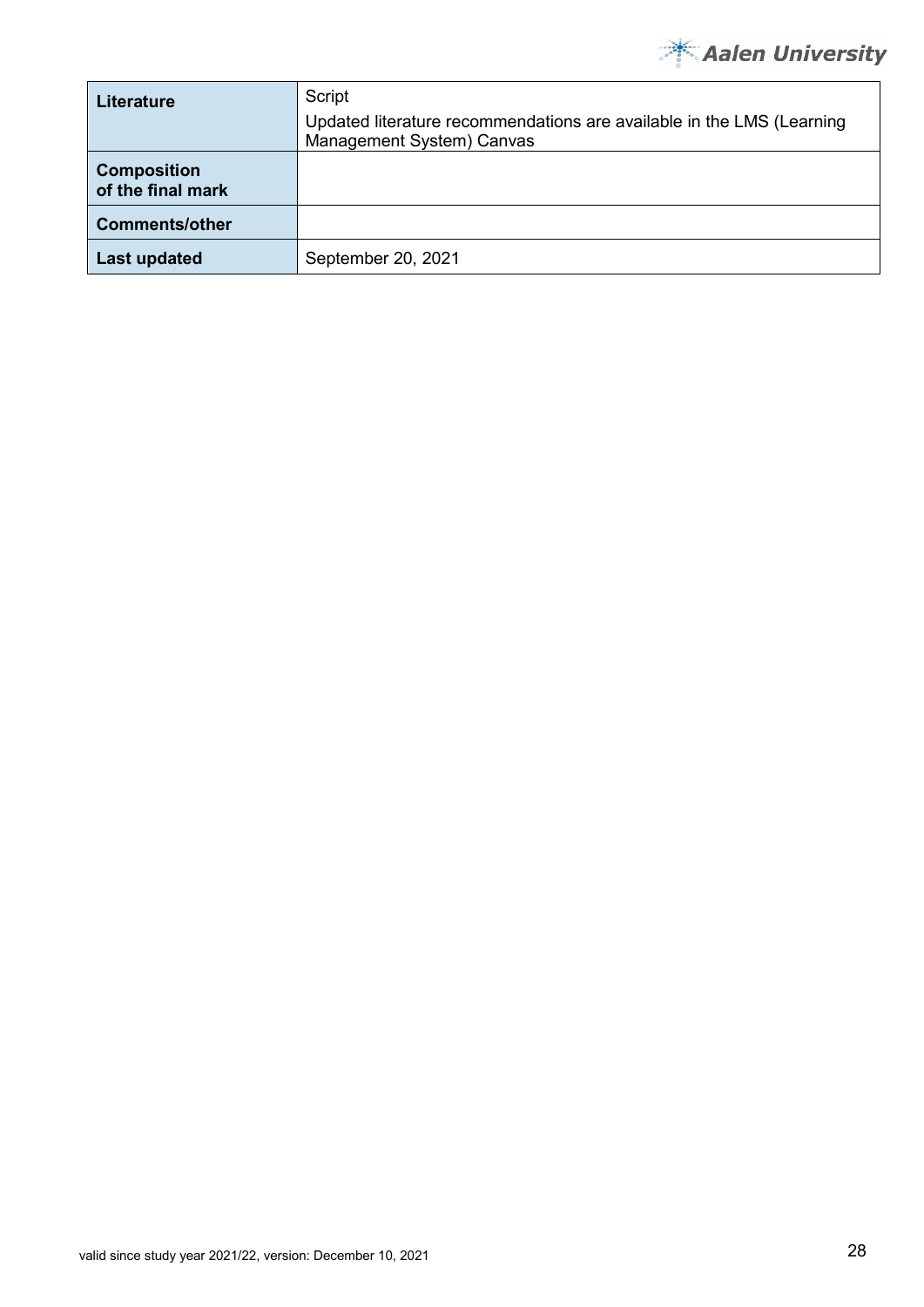

| <b>Literature</b>                       | Script<br>Updated literature recommendations are available in the LMS (Learning<br>Management System) Canvas |
|-----------------------------------------|--------------------------------------------------------------------------------------------------------------|
| <b>Composition</b><br>of the final mark |                                                                                                              |
| <b>Comments/other</b>                   |                                                                                                              |
| <b>Last updated</b>                     | September 20, 2021                                                                                           |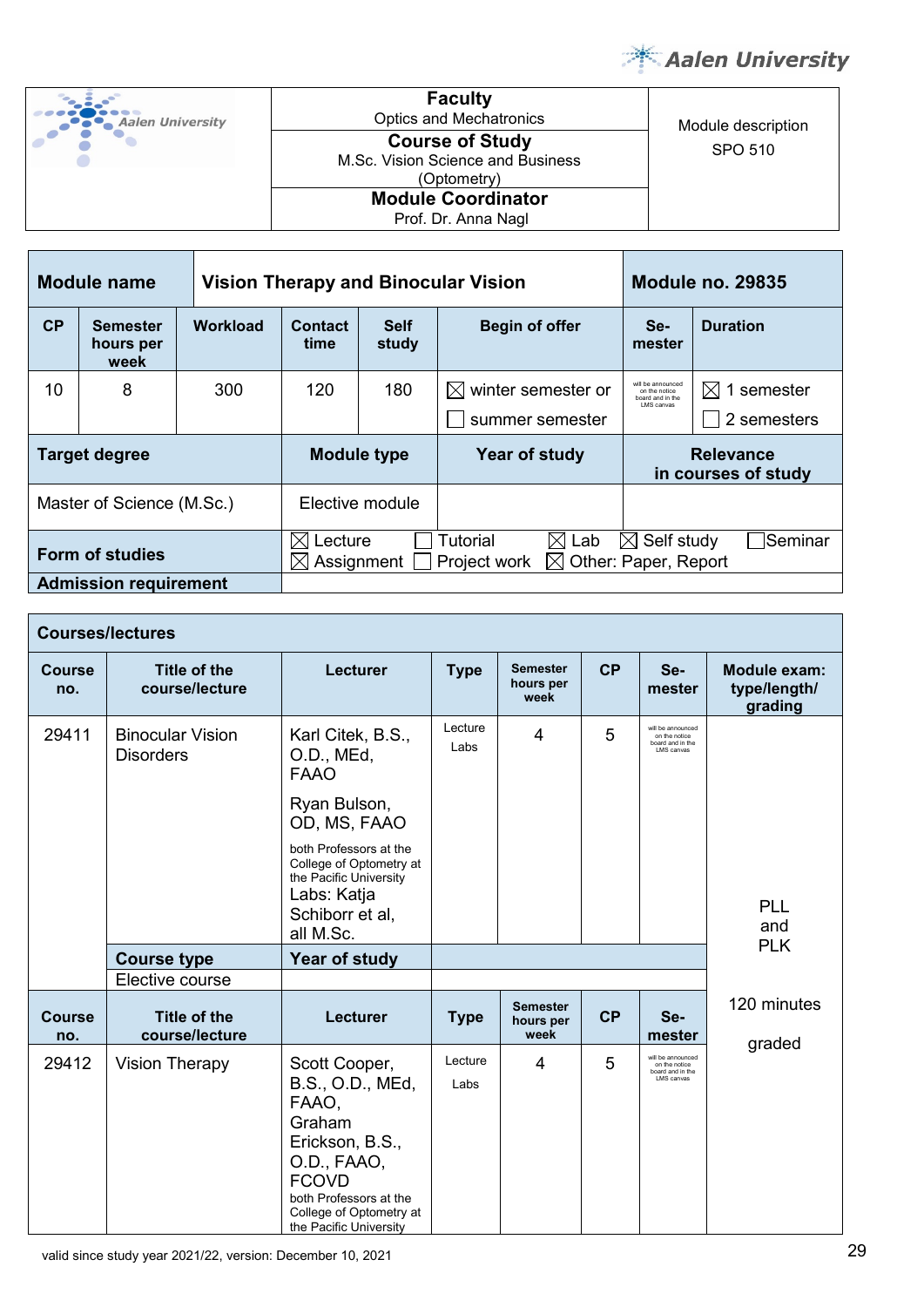

| Aalen University | <b>Faculty</b><br><b>Optics and Mechatronics</b>                           | Module description |
|------------------|----------------------------------------------------------------------------|--------------------|
|                  | <b>Course of Study</b><br>M.Sc. Vision Science and Business<br>(Optometry) | SPO 510            |
|                  | <b>Module Coordinator</b><br>Prof. Dr. Anna Nagl                           |                    |

| Module name                  |                                      |          | <b>Vision Therapy and Binocular Vision</b>                           |                      |                              |                                                        | <b>Module no. 29835</b> |  |  |
|------------------------------|--------------------------------------|----------|----------------------------------------------------------------------|----------------------|------------------------------|--------------------------------------------------------|-------------------------|--|--|
| CP                           | <b>Semester</b><br>hours per<br>week | Workload | Contact<br>time                                                      | <b>Self</b><br>study | <b>Begin of offer</b>        | Se-<br>mester                                          | <b>Duration</b>         |  |  |
| 10                           | 8                                    | 300      | 120                                                                  | 180                  | winter semester or<br>IХI    | will be announced<br>on the notice<br>board and in the | 1 semester<br>IХI       |  |  |
|                              |                                      |          |                                                                      |                      | summer semester              | I MS canvas                                            | 2 semesters             |  |  |
| <b>Target degree</b>         |                                      |          | <b>Module type</b>                                                   |                      | Year of study                | <b>Relevance</b><br>in courses of study                |                         |  |  |
| Master of Science (M.Sc.)    |                                      |          |                                                                      | Elective module      |                              |                                                        |                         |  |  |
| <b>Form of studies</b>       |                                      |          | IX<br>Lecture                                                        |                      | Tutorial<br>$\bowtie$<br>Lab | Self study<br>M                                        | Seminar                 |  |  |
|                              |                                      |          | Other: Paper, Report<br>Assignment<br>Project work<br>$\bowtie$<br>M |                      |                              |                                                        |                         |  |  |
| <b>Admission requirement</b> |                                      |          |                                                                      |                      |                              |                                                        |                         |  |  |

|                      | <b>Courses/lectures</b>                     |                                                                                                                                                                                       |                 |                                      |                     |                                                                      |                                         |
|----------------------|---------------------------------------------|---------------------------------------------------------------------------------------------------------------------------------------------------------------------------------------|-----------------|--------------------------------------|---------------------|----------------------------------------------------------------------|-----------------------------------------|
| <b>Course</b><br>no. | <b>Title of the</b><br>course/lecture       | <b>Lecturer</b>                                                                                                                                                                       | <b>Type</b>     | <b>Semester</b><br>hours per<br>week | CP<br>Se-<br>mester |                                                                      | Module exam:<br>type/length/<br>grading |
| 29411                | <b>Binocular Vision</b><br><b>Disorders</b> | Karl Citek, B.S.,<br>O.D., MEd,<br><b>FAAO</b>                                                                                                                                        | Lecture<br>Labs | 4                                    | 5                   | will be announced<br>on the notice<br>board and in the<br>LMS canvas |                                         |
|                      |                                             | Ryan Bulson,<br>OD, MS, FAAO                                                                                                                                                          |                 |                                      |                     |                                                                      |                                         |
|                      |                                             | both Professors at the<br>College of Optometry at<br>the Pacific University<br>Labs: Katja<br>Schiborr et al,                                                                         |                 |                                      |                     |                                                                      | <b>PLL</b><br>and                       |
|                      | <b>Course type</b>                          | all M.Sc.<br><b>Year of study</b>                                                                                                                                                     |                 |                                      |                     |                                                                      | <b>PLK</b>                              |
|                      | Elective course                             |                                                                                                                                                                                       |                 |                                      |                     |                                                                      |                                         |
| <b>Course</b><br>no. | <b>Title of the</b><br>course/lecture       | Lecturer                                                                                                                                                                              | <b>Type</b>     | <b>Semester</b><br>hours per<br>week | <b>CP</b>           | Se-<br>mester                                                        | 120 minutes<br>graded                   |
| 29412                | <b>Vision Therapy</b>                       | Scott Cooper,<br>B.S., O.D., MEd,<br>FAAO,<br>Graham<br>Erickson, B.S.,<br>O.D., FAAO,<br><b>FCOVD</b><br>both Professors at the<br>College of Optometry at<br>the Pacific University | Lecture<br>Labs | 4                                    | 5                   | will be announced<br>on the notice<br>board and in the<br>LMS canvas |                                         |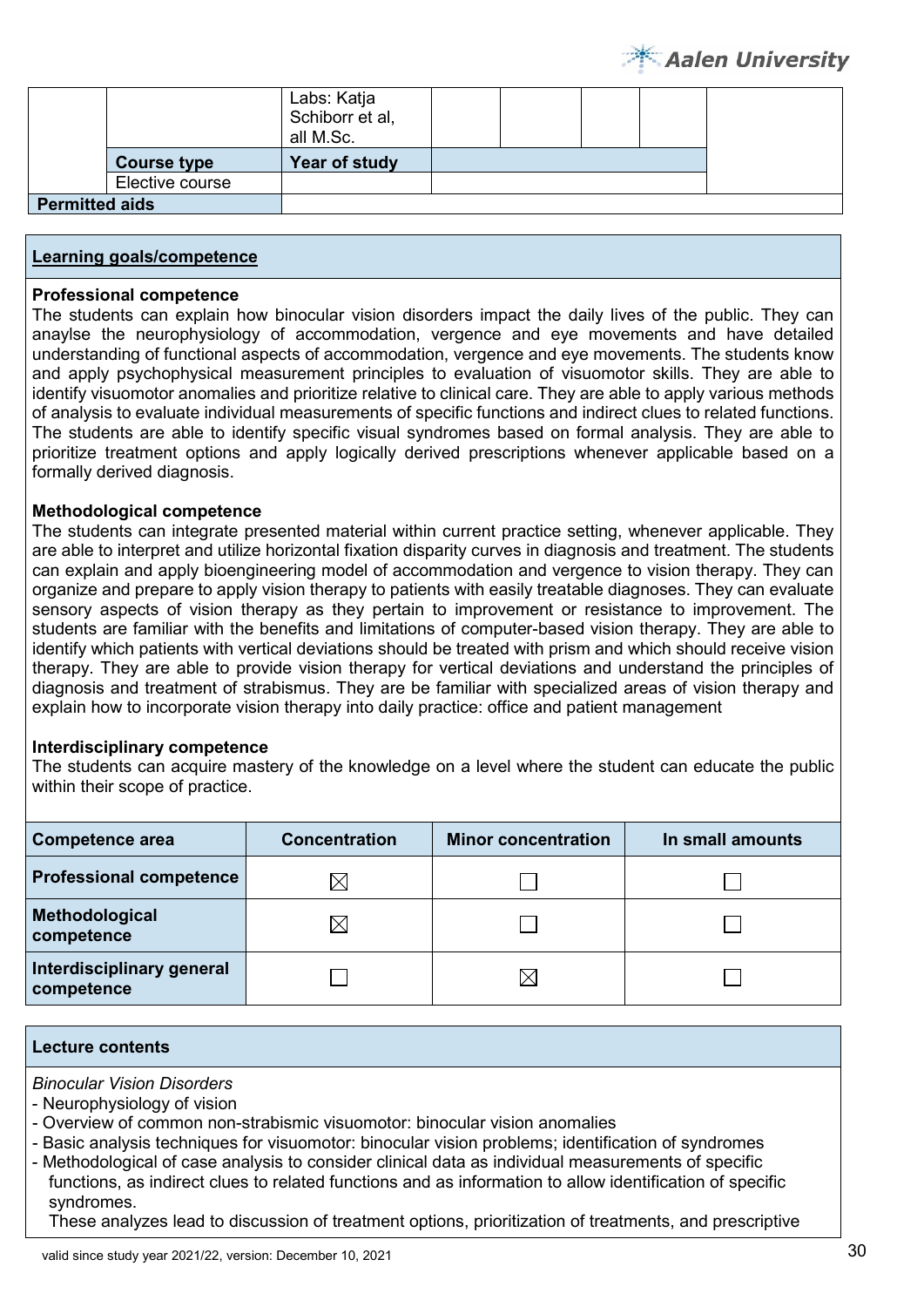|                       |                    | Labs: Katja<br>Schiborr et al,<br>all M.Sc. |  |  |  |
|-----------------------|--------------------|---------------------------------------------|--|--|--|
|                       | <b>Course type</b> | Year of study                               |  |  |  |
|                       | Elective course    |                                             |  |  |  |
| <b>Permitted aids</b> |                    |                                             |  |  |  |

#### **Professional competence**

The students can explain how binocular vision disorders impact the daily lives of the public. They can anaylse the neurophysiology of accommodation, vergence and eye movements and have detailed understanding of functional aspects of accommodation, vergence and eye movements. The students know and apply psychophysical measurement principles to evaluation of visuomotor skills. They are able to identify visuomotor anomalies and prioritize relative to clinical care. They are able to apply various methods of analysis to evaluate individual measurements of specific functions and indirect clues to related functions. The students are able to identify specific visual syndromes based on formal analysis. They are able to prioritize treatment options and apply logically derived prescriptions whenever applicable based on a formally derived diagnosis.

#### **Methodological competence**

The students can integrate presented material within current practice setting, whenever applicable. They are able to interpret and utilize horizontal fixation disparity curves in diagnosis and treatment. The students can explain and apply bioengineering model of accommodation and vergence to vision therapy. They can organize and prepare to apply vision therapy to patients with easily treatable diagnoses. They can evaluate sensory aspects of vision therapy as they pertain to improvement or resistance to improvement. The students are familiar with the benefits and limitations of computer-based vision therapy. They are able to identify which patients with vertical deviations should be treated with prism and which should receive vision therapy. They are able to provide vision therapy for vertical deviations and understand the principles of diagnosis and treatment of strabismus. They are be familiar with specialized areas of vision therapy and explain how to incorporate vision therapy into daily practice: office and patient management

#### **Interdisciplinary competence**

The students can acquire mastery of the knowledge on a level where the student can educate the public within their scope of practice.

| <b>Competence area</b>                  | <b>Concentration</b> | <b>Minor concentration</b> | In small amounts |
|-----------------------------------------|----------------------|----------------------------|------------------|
| <b>Professional competence</b>          | M                    |                            |                  |
| Methodological<br>competence            | $\boxtimes$          |                            |                  |
| Interdisciplinary general<br>competence |                      | $\boxtimes$                |                  |

#### **Lecture contents**

*Binocular Vision Disorders*

- Neurophysiology of vision

- Overview of common non-strabismic visuomotor: binocular vision anomalies
- Basic analysis techniques for visuomotor: binocular vision problems; identification of syndromes
- Methodological of case analysis to consider clinical data as individual measurements of specific functions, as indirect clues to related functions and as information to allow identification of specific syndromes.

These analyzes lead to discussion of treatment options, prioritization of treatments, and prescriptive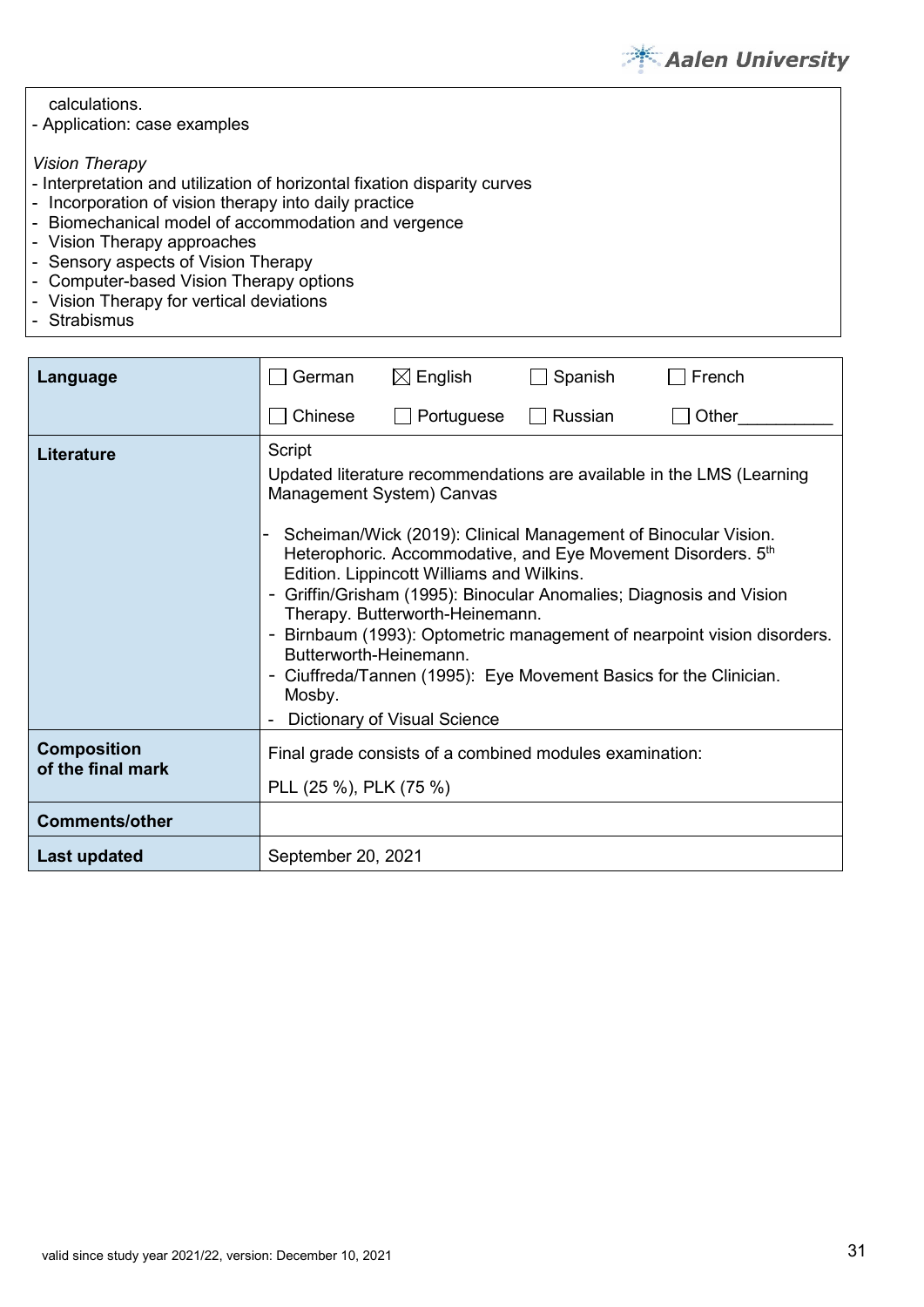

| calculations.<br>- Application: case examples                            |  |
|--------------------------------------------------------------------------|--|
| <b>Vision Therapy</b>                                                    |  |
| - Interpretation and utilization of horizontal fixation disparity curves |  |
| - Incorporation of vision therapy into daily practice                    |  |
| - Biomechanical model of accommodation and vergence                      |  |
| - Vision Therapy approaches                                              |  |
| - Sensory aspects of Vision Therapy                                      |  |
| - Computer-based Vision Therapy options                                  |  |
| - Vision Therapy for vertical deviations                                 |  |
| $C$ trobiomuo                                                            |  |

- Strabismus

| Language                                | German                                               | $\boxtimes$ English                                                                                                                                                                                                                                                         | Spanish | French                                                                                                                                                                                                                                                                                 |
|-----------------------------------------|------------------------------------------------------|-----------------------------------------------------------------------------------------------------------------------------------------------------------------------------------------------------------------------------------------------------------------------------|---------|----------------------------------------------------------------------------------------------------------------------------------------------------------------------------------------------------------------------------------------------------------------------------------------|
|                                         | Chinese                                              | Portuguese                                                                                                                                                                                                                                                                  | Russian | Other                                                                                                                                                                                                                                                                                  |
| <b>Literature</b>                       | Script<br>Butterworth-Heinemann.<br>$\sim$<br>Mosby. | Management System) Canvas<br>Scheiman/Wick (2019): Clinical Management of Binocular Vision.<br>Heterophoric. Accommodative, and Eye Movement Disorders. 5th<br>Edition. Lippincott Williams and Wilkins.<br>Therapy. Butterworth-Heinemann.<br>Dictionary of Visual Science |         | Updated literature recommendations are available in the LMS (Learning<br>Griffin/Grisham (1995): Binocular Anomalies; Diagnosis and Vision<br>Birnbaum (1993): Optometric management of nearpoint vision disorders.<br>Ciuffreda/Tannen (1995): Eye Movement Basics for the Clinician. |
| <b>Composition</b><br>of the final mark | PLL (25 %), PLK (75 %)                               | Final grade consists of a combined modules examination:                                                                                                                                                                                                                     |         |                                                                                                                                                                                                                                                                                        |
| <b>Comments/other</b>                   |                                                      |                                                                                                                                                                                                                                                                             |         |                                                                                                                                                                                                                                                                                        |
| Last updated                            | September 20, 2021                                   |                                                                                                                                                                                                                                                                             |         |                                                                                                                                                                                                                                                                                        |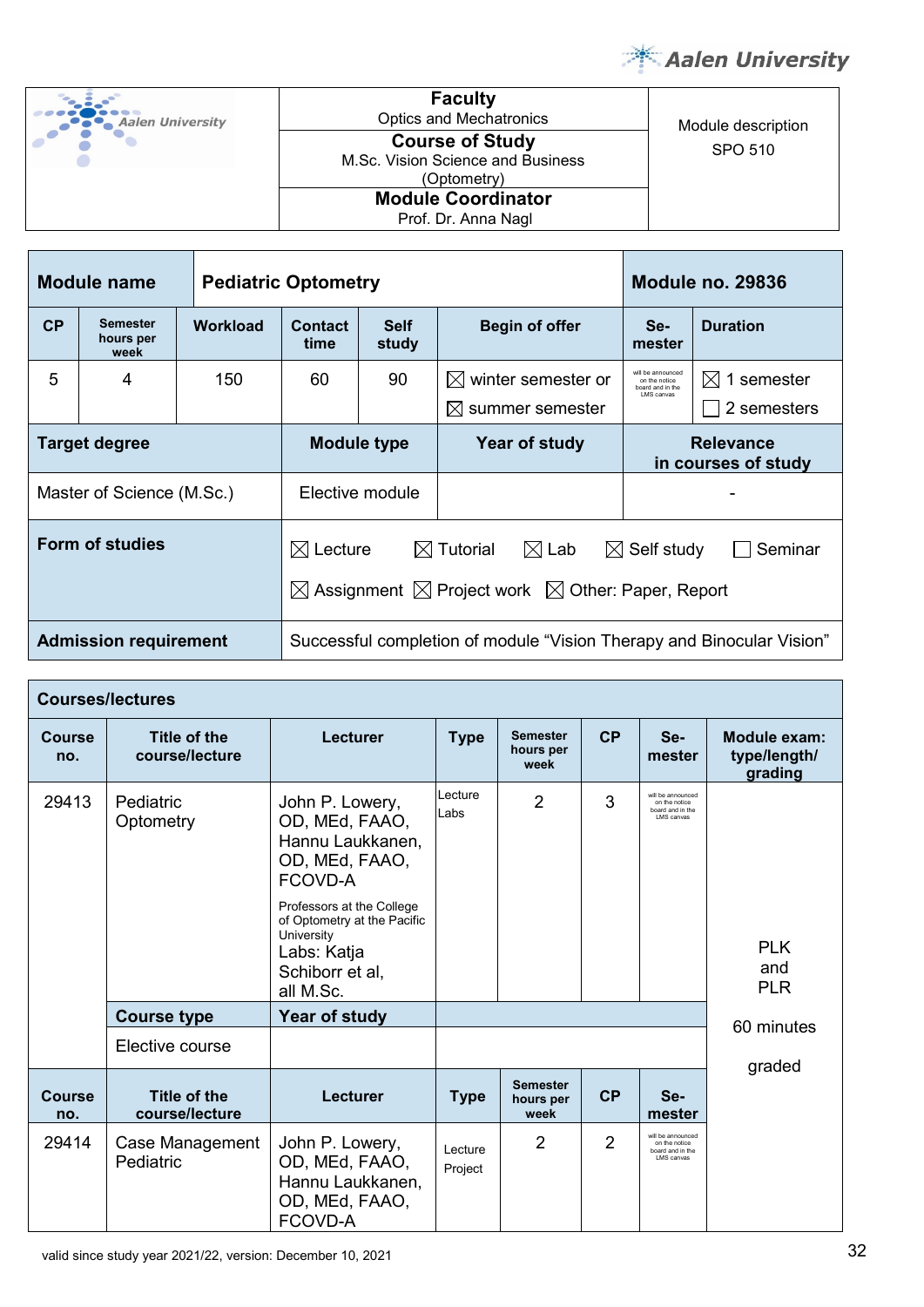

| <b>Aalen University</b> |  |
|-------------------------|--|
|                         |  |

**Faculty** Optics and Mechatronics Module description M.Sc. Vision Science and Business (Optometry) **Module Coordinator**

| <b>Course of Study</b><br><b>Sc. Vision Science and Business.</b><br>(Optometry) | SPO 510 |
|----------------------------------------------------------------------------------|---------|
| <b>Module Coordinator</b><br>Prof. Dr. Anna Nagl                                 |         |

| Module name                  |                                      | <b>Pediatric Optometry</b> |                                                                                                                                                                                         |  | <b>Module no. 29836</b>                                               |                                          |                 |
|------------------------------|--------------------------------------|----------------------------|-----------------------------------------------------------------------------------------------------------------------------------------------------------------------------------------|--|-----------------------------------------------------------------------|------------------------------------------|-----------------|
| CP                           | <b>Semester</b><br>hours per<br>week | <b>Workload</b>            | Contact<br><b>Self</b><br>study<br>time                                                                                                                                                 |  | <b>Begin of offer</b>                                                 | Se-<br>mester                            | <b>Duration</b> |
| 5                            | 4                                    | 150                        | 90<br>$\boxtimes$ winter semester or<br>60<br>$\boxtimes$ summer semester                                                                                                               |  | will be announced<br>on the notice<br>board and in the<br>I MS canvas | $\boxtimes$<br>1 semester<br>2 semesters |                 |
| <b>Target degree</b>         |                                      |                            | <b>Module type</b>                                                                                                                                                                      |  | Year of study                                                         | <b>Relevance</b><br>in courses of study  |                 |
| Master of Science (M.Sc.)    |                                      |                            | Elective module                                                                                                                                                                         |  |                                                                       |                                          |                 |
| <b>Form of studies</b>       |                                      |                            | $\boxtimes$ Lab<br>$\boxtimes$ Lecture<br>$\boxtimes$ Tutorial<br>$\boxtimes$ Self study<br>Seminar<br>$\boxtimes$ Assignment $\boxtimes$ Project work $\boxtimes$ Other: Paper, Report |  |                                                                       |                                          |                 |
| <b>Admission requirement</b> |                                      |                            | Successful completion of module "Vision Therapy and Binocular Vision"                                                                                                                   |  |                                                                       |                                          |                 |

|                      | <b>Courses/lectures</b>               |                                                                                                                                                                                                             |                     |                                      |                |                                                                      |                                         |
|----------------------|---------------------------------------|-------------------------------------------------------------------------------------------------------------------------------------------------------------------------------------------------------------|---------------------|--------------------------------------|----------------|----------------------------------------------------------------------|-----------------------------------------|
| <b>Course</b><br>no. | Title of the<br>course/lecture        | <b>Lecturer</b>                                                                                                                                                                                             | <b>Type</b>         | <b>Semester</b><br>hours per<br>week | CP             | Se-<br>mester                                                        | Module exam:<br>type/length/<br>grading |
| 29413                | Pediatric<br>Optometry                | John P. Lowery,<br>OD, MEd, FAAO,<br>Hannu Laukkanen,<br>OD, MEd, FAAO,<br>FCOVD-A<br>Professors at the College<br>of Optometry at the Pacific<br>University<br>Labs: Katja<br>Schiborr et al,<br>all M.Sc. | Lecture<br>Labs     | $\overline{2}$                       | 3              | will be announced<br>on the notice<br>board and in the<br>LMS canvas | <b>PLK</b><br>and<br><b>PLR</b>         |
|                      | <b>Course type</b>                    | Year of study                                                                                                                                                                                               |                     |                                      |                |                                                                      | 60 minutes                              |
|                      | Elective course                       |                                                                                                                                                                                                             |                     |                                      |                |                                                                      | graded                                  |
| <b>Course</b><br>no. | <b>Title of the</b><br>course/lecture | Lecturer                                                                                                                                                                                                    | <b>Type</b>         | <b>Semester</b><br>hours per<br>week | CP             | Se-<br>mester                                                        |                                         |
| 29414                | Case Management<br>Pediatric          | John P. Lowery,<br>OD, MEd, FAAO,<br>Hannu Laukkanen,<br>OD, MEd, FAAO,<br>FCOVD-A                                                                                                                          | I ecture<br>Project | $\overline{2}$                       | $\overline{2}$ | will be announced<br>on the notice<br>board and in the<br>LMS canvas |                                         |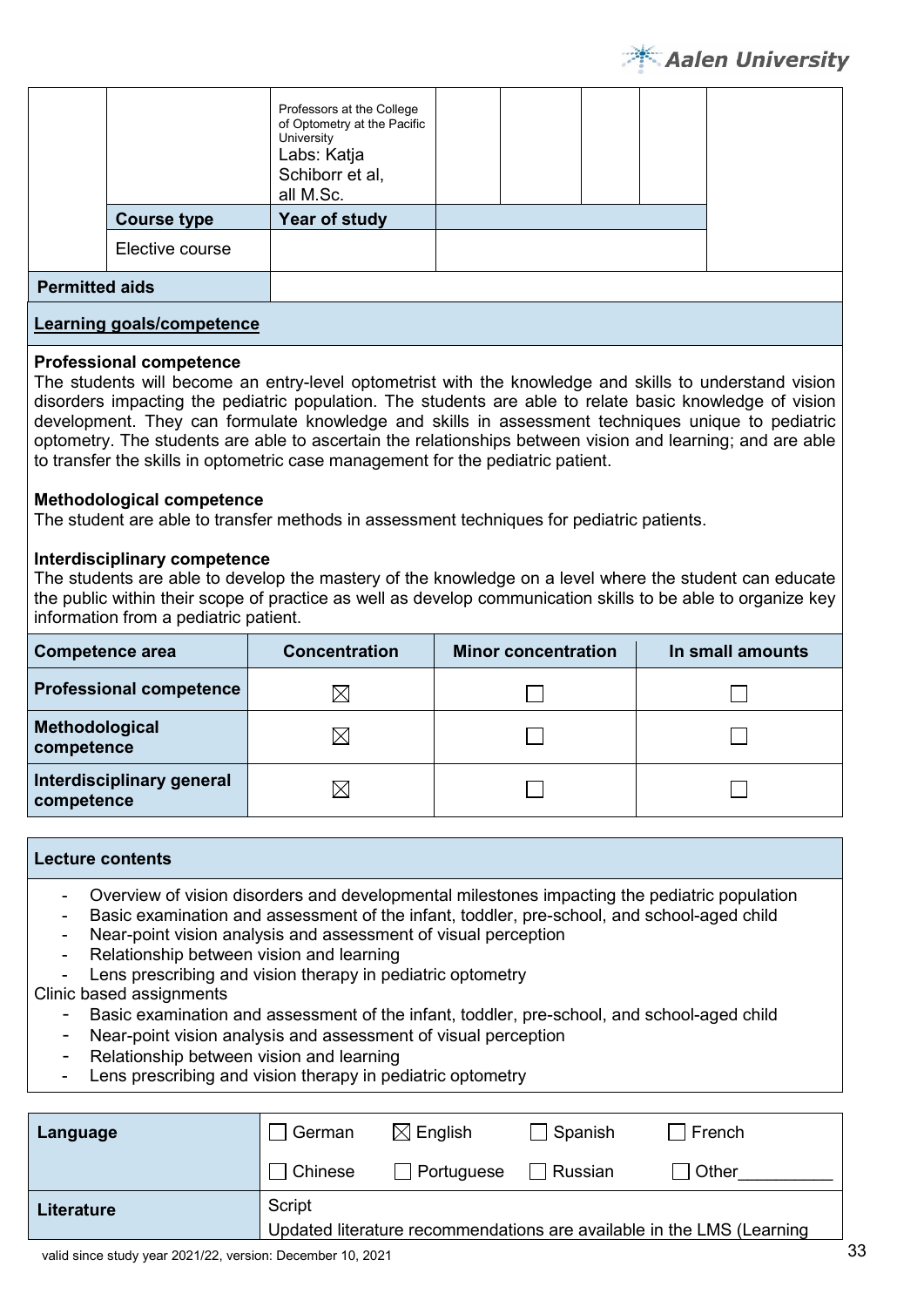

|                                  |                    | Professors at the College<br>of Optometry at the Pacific<br>University<br>Labs: Katja<br>Schiborr et al,<br>all M.Sc. |  |  |  |
|----------------------------------|--------------------|-----------------------------------------------------------------------------------------------------------------------|--|--|--|
|                                  | <b>Course type</b> | Year of study                                                                                                         |  |  |  |
|                                  | Elective course    |                                                                                                                       |  |  |  |
| <b>Permitted aids</b>            |                    |                                                                                                                       |  |  |  |
| <b>Learning goals/competence</b> |                    |                                                                                                                       |  |  |  |

#### **Professional competence**

The students will become an entry-level optometrist with the knowledge and skills to understand vision disorders impacting the pediatric population. The students are able to relate basic knowledge of vision development. They can formulate knowledge and skills in assessment techniques unique to pediatric optometry. The students are able to ascertain the relationships between vision and learning; and are able to transfer the skills in optometric case management for the pediatric patient.

#### **Methodological competence**

The student are able to transfer methods in assessment techniques for pediatric patients.

#### **Interdisciplinary competence**

The students are able to develop the mastery of the knowledge on a level where the student can educate the public within their scope of practice as well as develop communication skills to be able to organize key information from a pediatric patient.

| Competence area                         | <b>Concentration</b> | <b>Minor concentration</b> | In small amounts |
|-----------------------------------------|----------------------|----------------------------|------------------|
| <b>Professional competence</b>          | IХ                   |                            |                  |
| Methodological<br>competence            | IX                   |                            |                  |
| Interdisciplinary general<br>competence | IХ                   |                            |                  |

#### **Lecture contents**

- Overview of vision disorders and developmental milestones impacting the pediatric population
- Basic examination and assessment of the infant, toddler, pre-school, and school-aged child
- Near-point vision analysis and assessment of visual perception
- Relationship between vision and learning
- Lens prescribing and vision therapy in pediatric optometry

Clinic based assignments

- Basic examination and assessment of the infant, toddler, pre-school, and school-aged child
- Near-point vision analysis and assessment of visual perception
- Relationship between vision and learning
- Lens prescribing and vision therapy in pediatric optometry

| Language          | ∣ German                                                              | $\boxtimes$ English | $\Box$ Spanish | $\mathsf{F}$ rench |  |
|-------------------|-----------------------------------------------------------------------|---------------------|----------------|--------------------|--|
|                   | □ Chinese                                                             | Portuguese          | $\Box$ Russian | <b>Other</b>       |  |
| <b>Literature</b> | Script                                                                |                     |                |                    |  |
|                   | Updated literature recommendations are available in the LMS (Learning |                     |                |                    |  |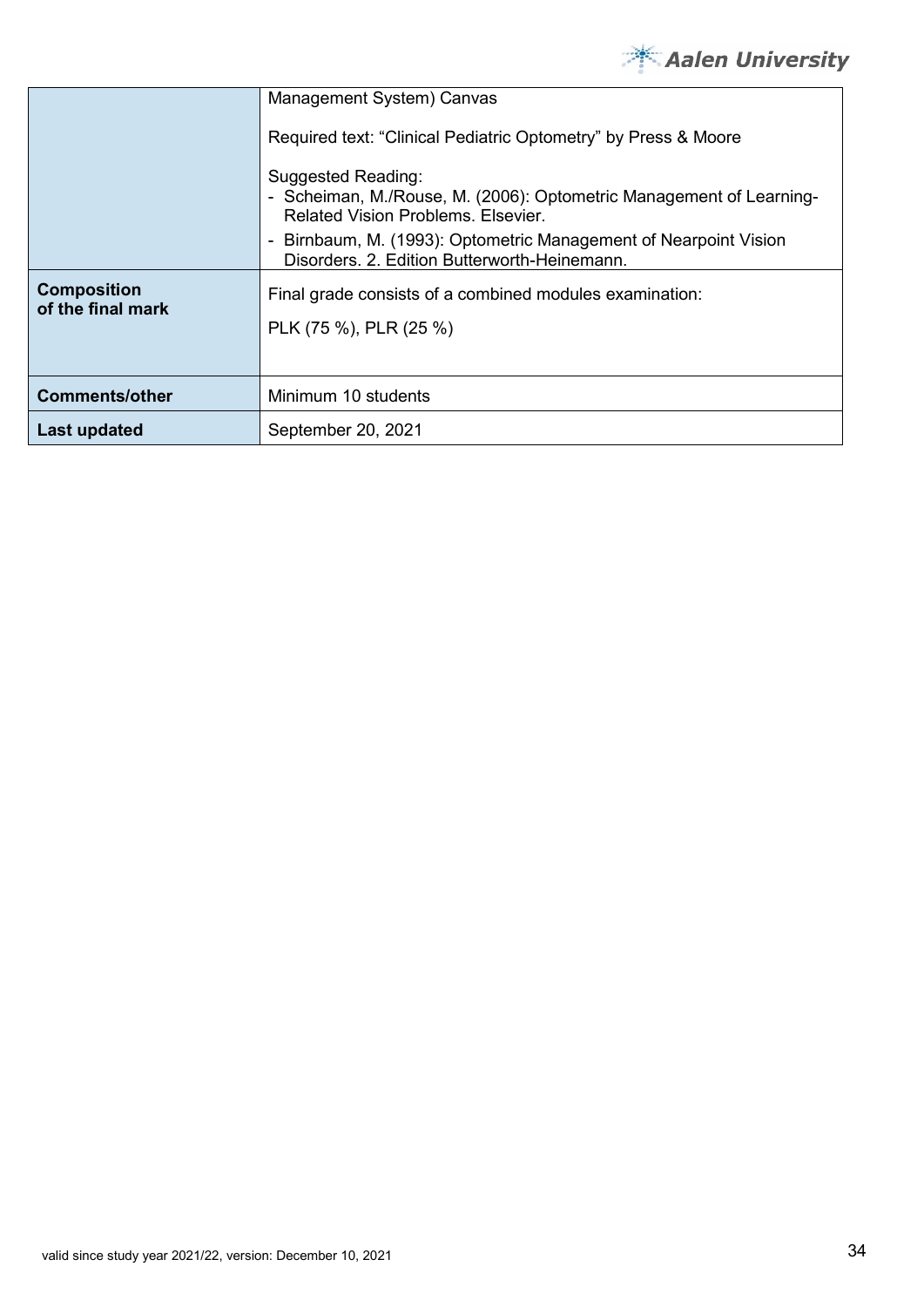

|                                         | Management System) Canvas                                                                                                              |
|-----------------------------------------|----------------------------------------------------------------------------------------------------------------------------------------|
|                                         | Required text: "Clinical Pediatric Optometry" by Press & Moore                                                                         |
|                                         | Suggested Reading:<br>- Scheiman, M./Rouse, M. (2006): Optometric Management of Learning-<br><b>Related Vision Problems, Elsevier,</b> |
|                                         | Birnbaum, M. (1993): Optometric Management of Nearpoint Vision<br>$\blacksquare$<br>Disorders, 2. Edition Butterworth-Heinemann.       |
| <b>Composition</b><br>of the final mark | Final grade consists of a combined modules examination:<br>PLK (75 %), PLR (25 %)                                                      |
| <b>Comments/other</b>                   | Minimum 10 students                                                                                                                    |
| Last updated                            | September 20, 2021                                                                                                                     |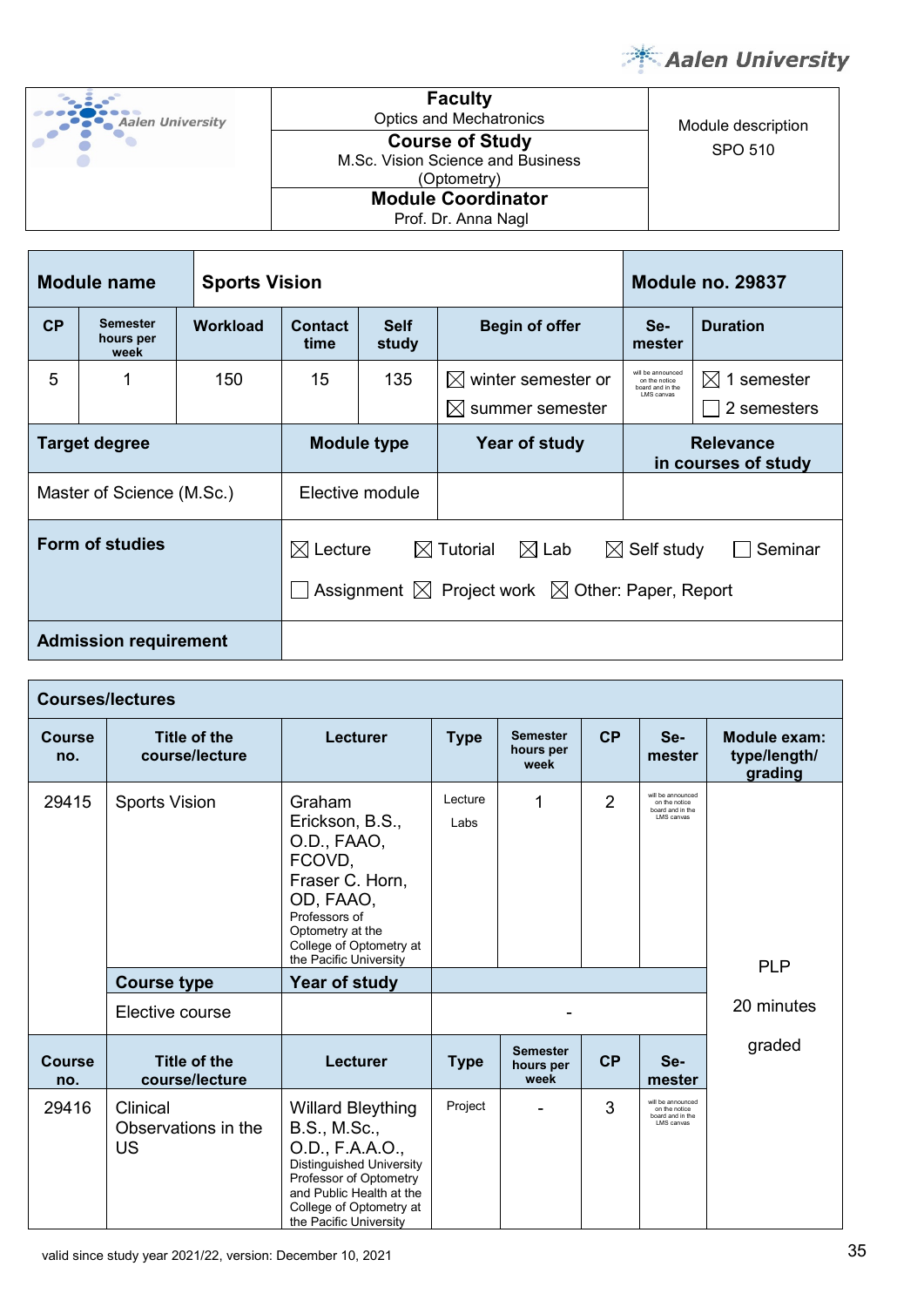



**Faculty** Optics and Mechatronics Module description SPO 510 **Course of Study**  M.Sc. Vision Science and Business (Optometry) **Module Coordinator**

Т

Prof. Dr. Anna Nagl

| Module name<br><b>Sports Vision</b> |                                      |          |                                                |                 | <b>Module no. 29837</b>                                                                                         |                                         |                                       |
|-------------------------------------|--------------------------------------|----------|------------------------------------------------|-----------------|-----------------------------------------------------------------------------------------------------------------|-----------------------------------------|---------------------------------------|
| CP                                  | <b>Semester</b><br>hours per<br>week | Workload | <b>Contact</b><br><b>Self</b><br>study<br>time |                 | <b>Begin of offer</b>                                                                                           | Se-<br>mester                           | <b>Duration</b>                       |
| 5                                   |                                      | 150      | 15                                             | 135             | $\boxtimes$ winter semester or<br>$\boxtimes$ summer semester                                                   |                                         | $\boxtimes$ 1 semester<br>2 semesters |
| <b>Target degree</b>                |                                      |          | <b>Module type</b>                             |                 | Year of study                                                                                                   | <b>Relevance</b><br>in courses of study |                                       |
| Master of Science (M.Sc.)           |                                      |          |                                                | Elective module |                                                                                                                 |                                         |                                       |
| Form of studies                     |                                      |          | $\boxtimes$ Lecture                            |                 | $\boxtimes$ Tutorial<br>$\boxtimes$ Lab<br>Assignment $\boxtimes$ Project work $\boxtimes$ Other: Paper, Report | $\boxtimes$ Self study                  | Seminar                               |
| <b>Admission requirement</b>        |                                      |          |                                                |                 |                                                                                                                 |                                         |                                       |

| <b>Courses/lectures</b> |                                              |                                                                                                                                                                                                    |                 |                                      |                |                                                                       |                                         |
|-------------------------|----------------------------------------------|----------------------------------------------------------------------------------------------------------------------------------------------------------------------------------------------------|-----------------|--------------------------------------|----------------|-----------------------------------------------------------------------|-----------------------------------------|
| <b>Course</b><br>no.    | <b>Title of the</b><br>course/lecture        | <b>Lecturer</b>                                                                                                                                                                                    | <b>Type</b>     | <b>Semester</b><br>hours per<br>week | CP             | Se-<br>mester                                                         | Module exam:<br>type/length/<br>grading |
| 29415                   | <b>Sports Vision</b>                         | Graham<br>Erickson, B.S.,<br>O.D., FAAO,<br>FCOVD,<br>Fraser C. Horn,<br>OD, FAAO,<br>Professors of<br>Optometry at the<br>College of Optometry at<br>the Pacific University                       | Lecture<br>Labs | 1                                    | $\overline{2}$ | will be announced<br>on the notice<br>board and in the<br>I MS canvas | <b>PLP</b>                              |
|                         | <b>Course type</b>                           | Year of study                                                                                                                                                                                      |                 |                                      |                |                                                                       |                                         |
|                         | Elective course                              |                                                                                                                                                                                                    |                 |                                      |                |                                                                       | 20 minutes                              |
| <b>Course</b><br>no.    | <b>Title of the</b><br>course/lecture        | <b>Lecturer</b>                                                                                                                                                                                    | <b>Type</b>     | <b>Semester</b><br>hours per<br>week | <b>CP</b>      | Se-<br>mester                                                         | graded                                  |
| 29416                   | Clinical<br>Observations in the<br><b>US</b> | <b>Willard Bleything</b><br>B.S., M.Sc.,<br>O.D., F.A.A.O.,<br>Distinguished University<br>Professor of Optometry<br>and Public Health at the<br>College of Optometry at<br>the Pacific University | Project         |                                      | 3              | will be announced<br>on the notice<br>board and in the<br>LMS canvas  |                                         |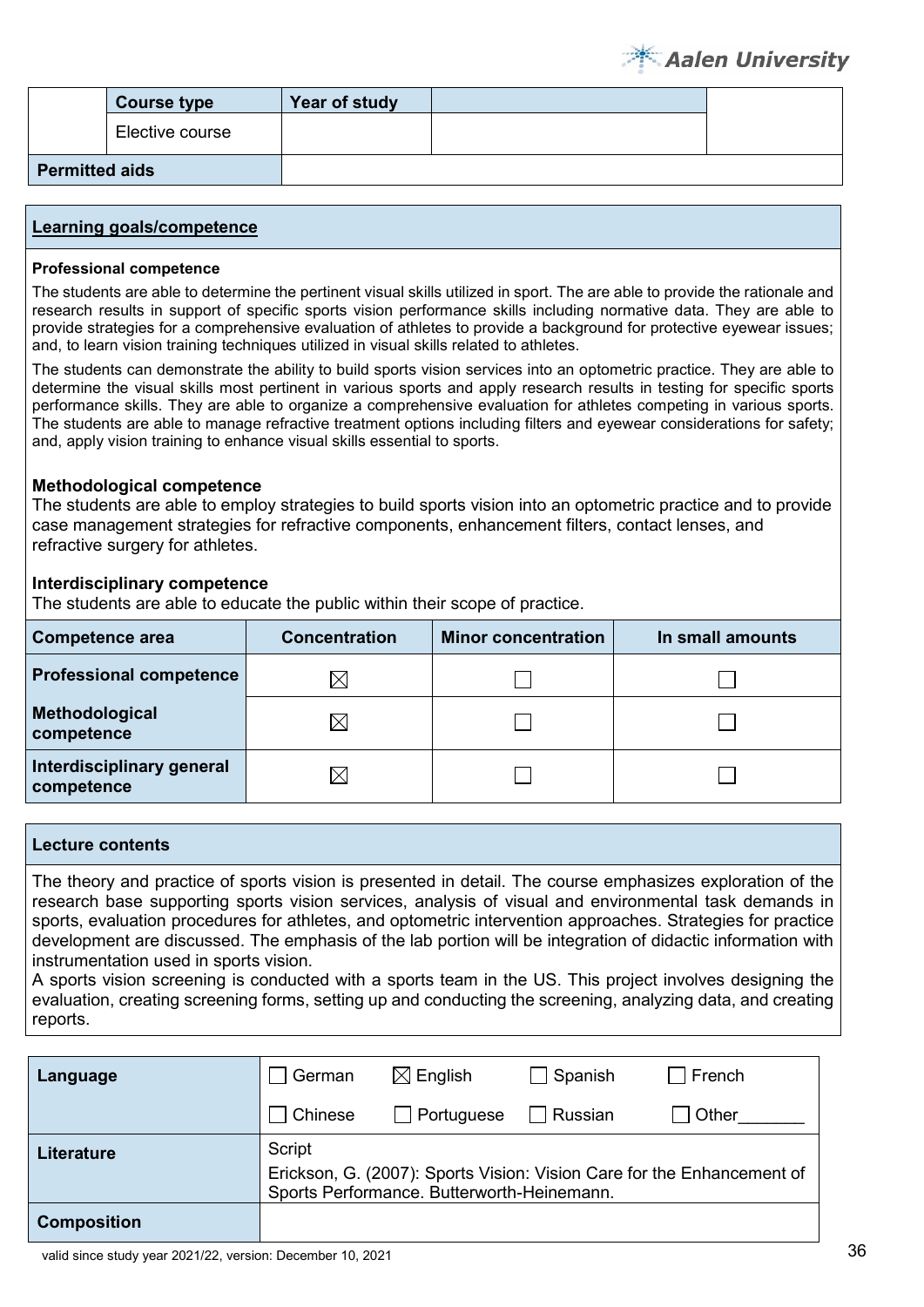|                       | <b>Course type</b> | Year of study |  |
|-----------------------|--------------------|---------------|--|
|                       | Elective course    |               |  |
| <b>Permitted aids</b> |                    |               |  |

#### **Professional competence**

The students are able to determine the pertinent visual skills utilized in sport. The are able to provide the rationale and research results in support of specific sports vision performance skills including normative data. They are able to provide strategies for a comprehensive evaluation of athletes to provide a background for protective eyewear issues; and, to learn vision training techniques utilized in visual skills related to athletes.

The students can demonstrate the ability to build sports vision services into an optometric practice. They are able to determine the visual skills most pertinent in various sports and apply research results in testing for specific sports performance skills. They are able to organize a comprehensive evaluation for athletes competing in various sports. The students are able to manage refractive treatment options including filters and eyewear considerations for safety; and, apply vision training to enhance visual skills essential to sports.

#### **Methodological competence**

The students are able to employ strategies to build sports vision into an optometric practice and to provide case management strategies for refractive components, enhancement filters, contact lenses, and refractive surgery for athletes.

#### **Interdisciplinary competence**

The students are able to educate the public within their scope of practice.

| <b>Competence area</b>                  | <b>Concentration</b> | <b>Minor concentration</b> | In small amounts |
|-----------------------------------------|----------------------|----------------------------|------------------|
| <b>Professional competence</b>          | IX                   |                            |                  |
| Methodological<br>competence            | $\times$             |                            |                  |
| Interdisciplinary general<br>competence | IX                   |                            |                  |

#### **Lecture contents**

The theory and practice of sports vision is presented in detail. The course emphasizes exploration of the research base supporting sports vision services, analysis of visual and environmental task demands in sports, evaluation procedures for athletes, and optometric intervention approaches. Strategies for practice development are discussed. The emphasis of the lab portion will be integration of didactic information with instrumentation used in sports vision.

A sports vision screening is conducted with a sports team in the US. This project involves designing the evaluation, creating screening forms, setting up and conducting the screening, analyzing data, and creating reports.

| Language           | German                                                                                                                         | $\boxtimes$ English | ∃ Spanish | ∣ French |
|--------------------|--------------------------------------------------------------------------------------------------------------------------------|---------------------|-----------|----------|
|                    | Chinese                                                                                                                        | $\Box$ Portuguese   | Russian   | l Other  |
| <b>Literature</b>  | Script<br>Erickson, G. (2007): Sports Vision: Vision Care for the Enhancement of<br>Sports Performance. Butterworth-Heinemann. |                     |           |          |
| <b>Composition</b> |                                                                                                                                |                     |           |          |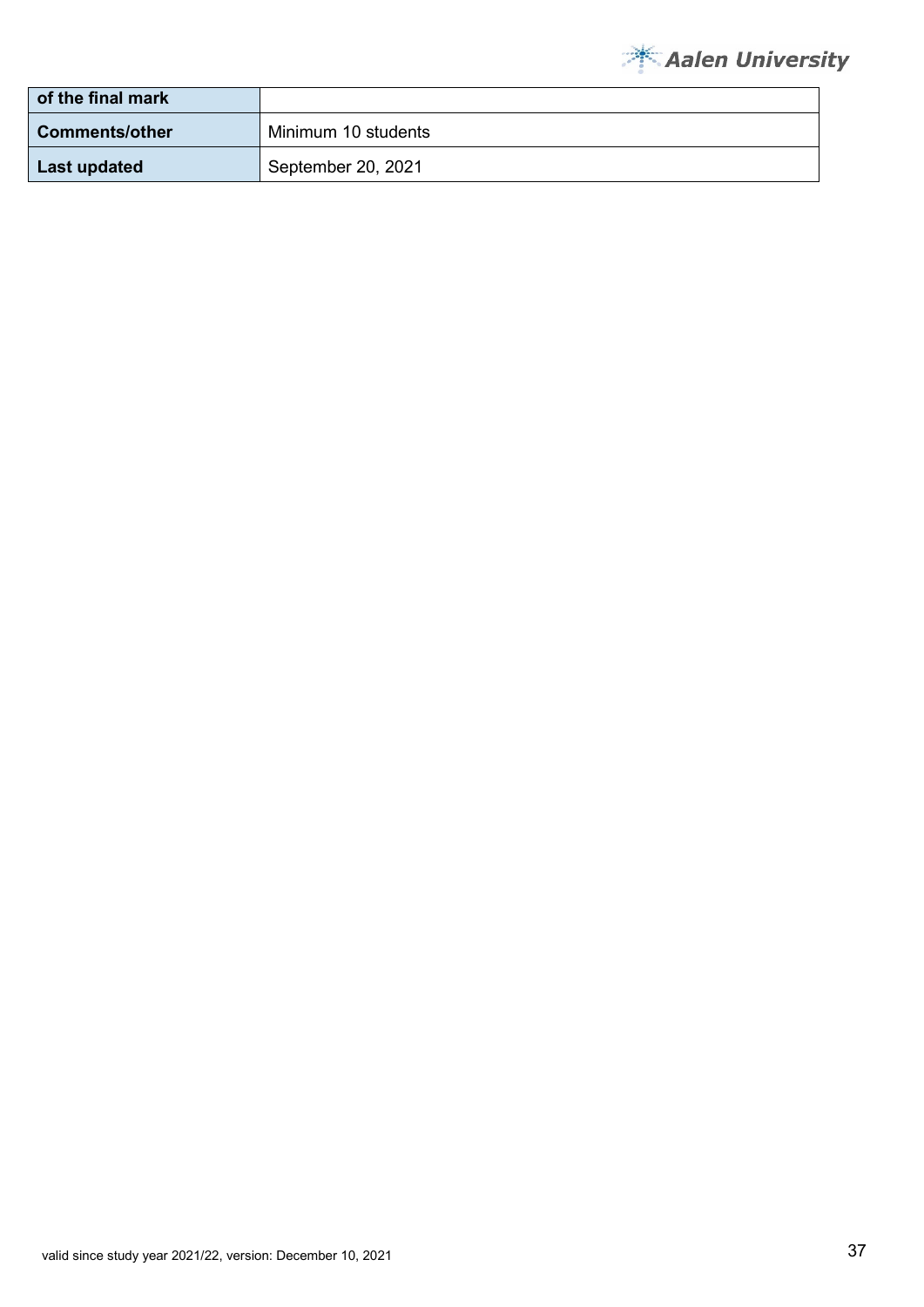

| of the final mark     |                     |
|-----------------------|---------------------|
| <b>Comments/other</b> | Minimum 10 students |
| Last updated          | September 20, 2021  |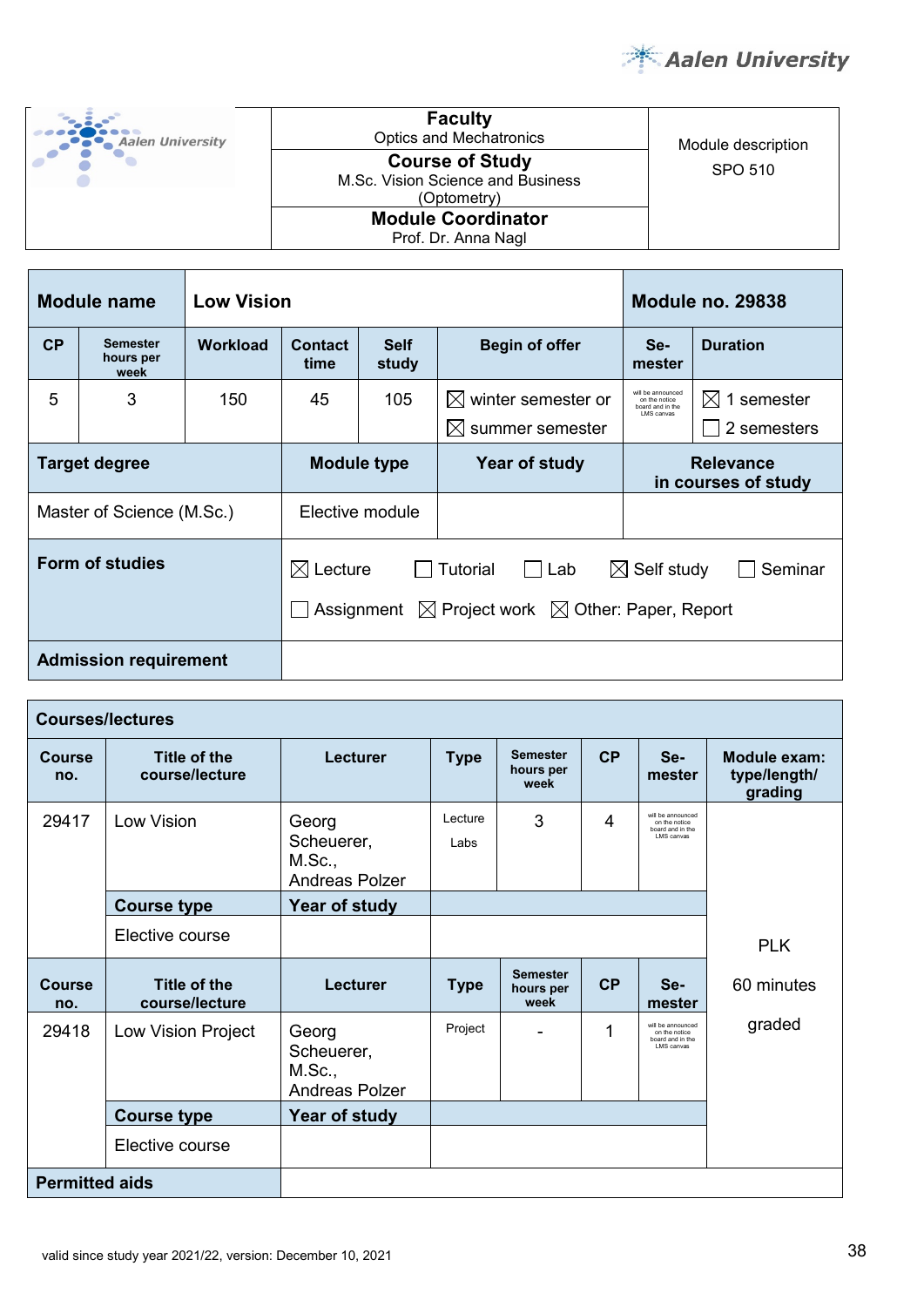

| <b>Aalen University</b> | <b>Faculty</b><br><b>Optics and Mechatronics</b>                           | Module description |
|-------------------------|----------------------------------------------------------------------------|--------------------|
|                         | <b>Course of Study</b><br>M.Sc. Vision Science and Business<br>(Optometry) | SPO 510            |
|                         | <b>Module Coordinator</b><br>Prof. Dr. Anna Nagl                           |                    |

| <b>Low Vision</b><br><b>Module name</b> |                                      |          |                                                |            | <b>Module no. 29838</b>                                                               |                                                                       |                                |
|-----------------------------------------|--------------------------------------|----------|------------------------------------------------|------------|---------------------------------------------------------------------------------------|-----------------------------------------------------------------------|--------------------------------|
| CP                                      | <b>Semester</b><br>hours per<br>week | Workload | <b>Contact</b><br><b>Self</b><br>study<br>time |            | <b>Begin of offer</b>                                                                 | Se-<br>mester                                                         | <b>Duration</b>                |
| 5                                       | 3                                    | 150      | 45                                             | 105        | winter semester or<br>$\bowtie$<br>$\bowtie$<br>summer semester                       | will be announced<br>on the notice<br>board and in the<br>I MS canvas | 1 semester<br>M<br>2 semesters |
| <b>Target degree</b>                    |                                      |          | <b>Module type</b>                             |            | Year of study                                                                         | <b>Relevance</b><br>in courses of study                               |                                |
| Master of Science (M.Sc.)               |                                      |          | Elective module                                |            |                                                                                       |                                                                       |                                |
| <b>Form of studies</b>                  |                                      |          | $\boxtimes$ Lecture                            | Assignment | <b>Tutorial</b><br>l Lab<br>$\boxtimes$ Project work $\boxtimes$ Other: Paper, Report | $\boxtimes$ Self study                                                | Seminar                        |
| <b>Admission requirement</b>            |                                      |          |                                                |            |                                                                                       |                                                                       |                                |

| <b>Courses/lectures</b> |                                |                                                        |                 |                                      |    |                                                                       |                                         |
|-------------------------|--------------------------------|--------------------------------------------------------|-----------------|--------------------------------------|----|-----------------------------------------------------------------------|-----------------------------------------|
| Course<br>no.           | Title of the<br>course/lecture | Lecturer                                               | <b>Type</b>     | <b>Semester</b><br>hours per<br>week | CP | Se-<br>mester                                                         | Module exam:<br>type/length/<br>grading |
| 29417                   | Low Vision                     | Georg<br>Scheuerer,<br>M.Sc.,<br><b>Andreas Polzer</b> | Lecture<br>Labs | 3                                    | 4  | will be announced<br>on the notice<br>board and in the<br>LMS canvas  |                                         |
|                         | <b>Course type</b>             | Year of study                                          |                 |                                      |    |                                                                       |                                         |
|                         | Elective course                |                                                        |                 |                                      |    |                                                                       | <b>PLK</b>                              |
| <b>Course</b><br>no.    | Title of the<br>course/lecture | Lecturer                                               | <b>Type</b>     | <b>Semester</b><br>hours per<br>week | CP | Se-<br>mester                                                         | 60 minutes                              |
| 29418                   | Low Vision Project             | Georg<br>Scheuerer,<br>M.Sc.,<br><b>Andreas Polzer</b> | Project         |                                      | 1  | will be announced<br>on the notice<br>board and in the<br>I MS canvas | graded                                  |
|                         | <b>Course type</b>             | Year of study                                          |                 |                                      |    |                                                                       |                                         |
|                         | Elective course                |                                                        |                 |                                      |    |                                                                       |                                         |
| <b>Permitted aids</b>   |                                |                                                        |                 |                                      |    |                                                                       |                                         |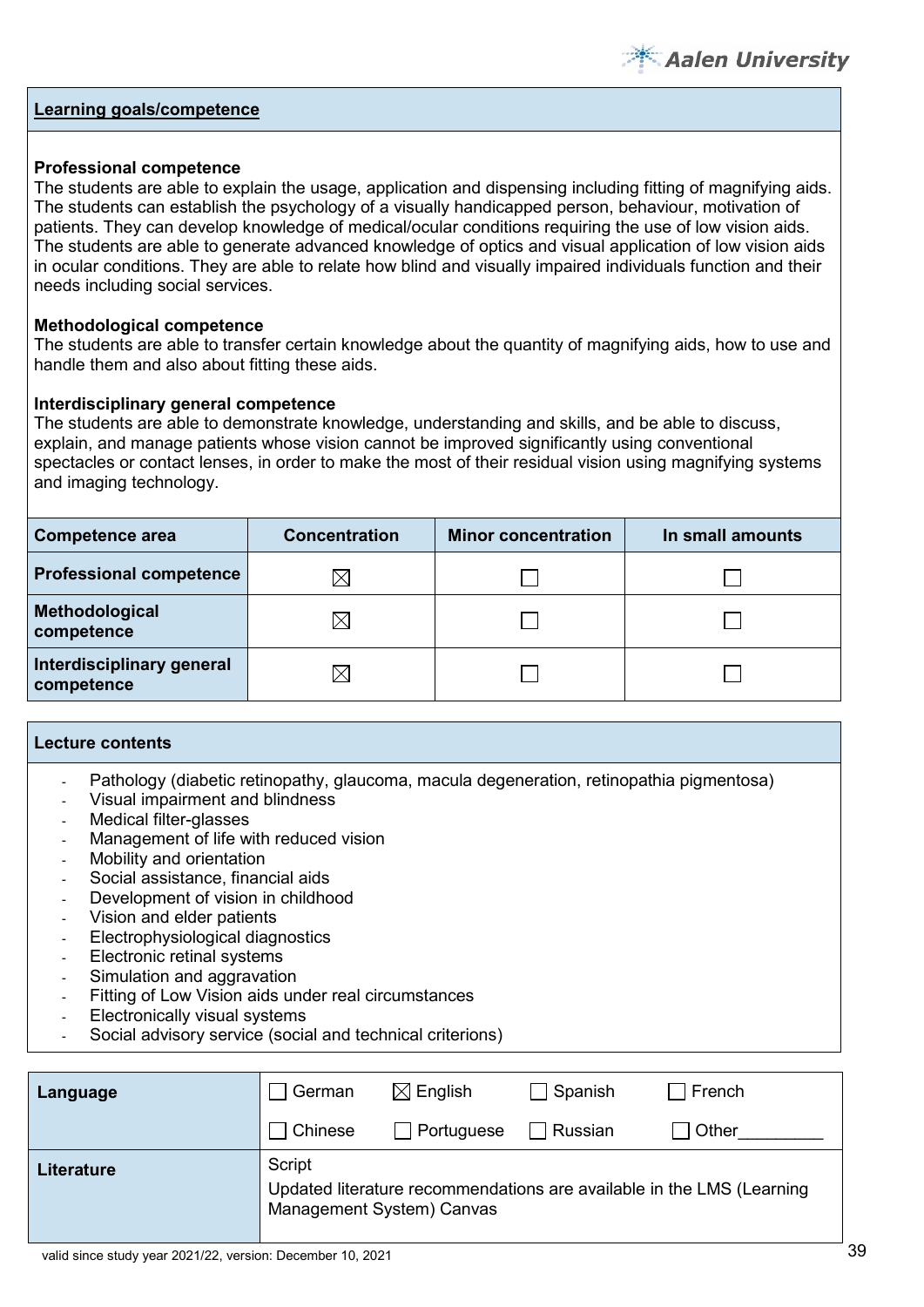

#### **Professional competence**

The students are able to explain the usage, application and dispensing including fitting of magnifying aids. The students can establish the psychology of a visually handicapped person, behaviour, motivation of patients. They can develop knowledge of medical/ocular conditions requiring the use of low vision aids. The students are able to generate advanced knowledge of optics and visual application of low vision aids in ocular conditions. They are able to relate how blind and visually impaired individuals function and their needs including social services.

#### **Methodological competence**

The students are able to transfer certain knowledge about the quantity of magnifying aids, how to use and handle them and also about fitting these aids.

#### **Interdisciplinary general competence**

The students are able to demonstrate knowledge, understanding and skills, and be able to discuss, explain, and manage patients whose vision cannot be improved significantly using conventional spectacles or contact lenses, in order to make the most of their residual vision using magnifying systems and imaging technology.

| <b>Competence area</b>                  | <b>Concentration</b> | <b>Minor concentration</b> | In small amounts |
|-----------------------------------------|----------------------|----------------------------|------------------|
| <b>Professional competence</b>          | X                    |                            |                  |
| Methodological<br>competence            | $\boxtimes$          |                            |                  |
| Interdisciplinary general<br>competence | $\boxtimes$          |                            |                  |

#### **Lecture contents**

- Pathology (diabetic retinopathy, glaucoma, macula degeneration, retinopathia pigmentosa)
- Visual impairment and blindness
- Medical filter-glasses
- Management of life with reduced vision
- Mobility and orientation
- Social assistance, financial aids
- Development of vision in childhood
- Vision and elder patients
- Electrophysiological diagnostics
- Electronic retinal systems
- Simulation and aggravation
- Fitting of Low Vision aids under real circumstances
- Electronically visual systems
- Social advisory service (social and technical criterions)

| Language   | ∣ German                            | $\boxtimes$ English | $\Box$ Spanish | French                                                                |
|------------|-------------------------------------|---------------------|----------------|-----------------------------------------------------------------------|
|            | Chinese                             | $\Box$ Portuguese   | Russian        | Other                                                                 |
| Literature | Script<br>Management System) Canvas |                     |                | Updated literature recommendations are available in the LMS (Learning |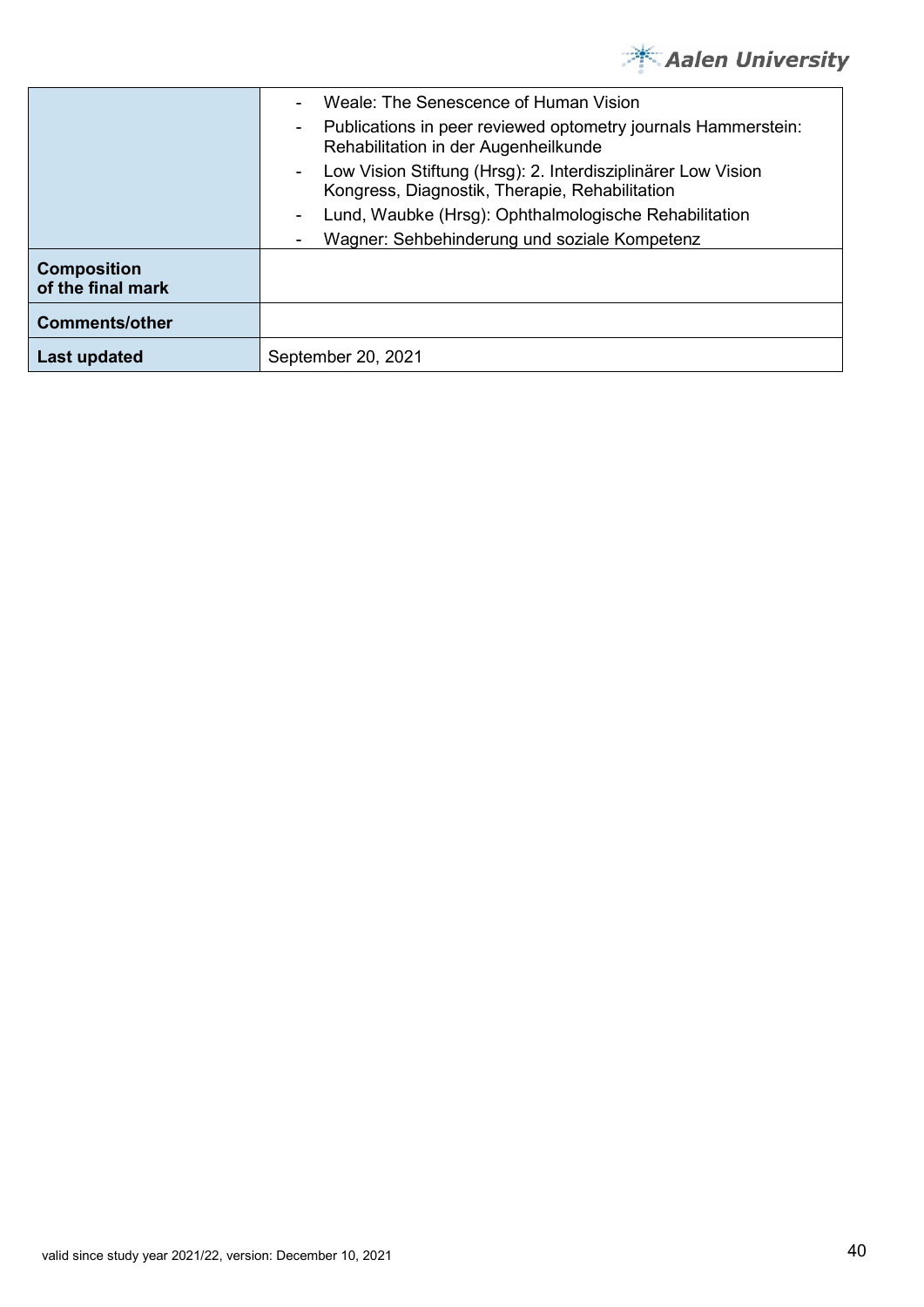

|                                         | Weale: The Senescence of Human Vision                                                                                    |
|-----------------------------------------|--------------------------------------------------------------------------------------------------------------------------|
|                                         | Publications in peer reviewed optometry journals Hammerstein:<br>Rehabilitation in der Augenheilkunde                    |
|                                         | Low Vision Stiftung (Hrsg): 2. Interdisziplinärer Low Vision<br>$\sim$<br>Kongress, Diagnostik, Therapie, Rehabilitation |
|                                         | Lund, Waubke (Hrsg): Ophthalmologische Rehabilitation                                                                    |
|                                         | Wagner: Sehbehinderung und soziale Kompetenz                                                                             |
| <b>Composition</b><br>of the final mark |                                                                                                                          |
| <b>Comments/other</b>                   |                                                                                                                          |
| Last updated                            | September 20, 2021                                                                                                       |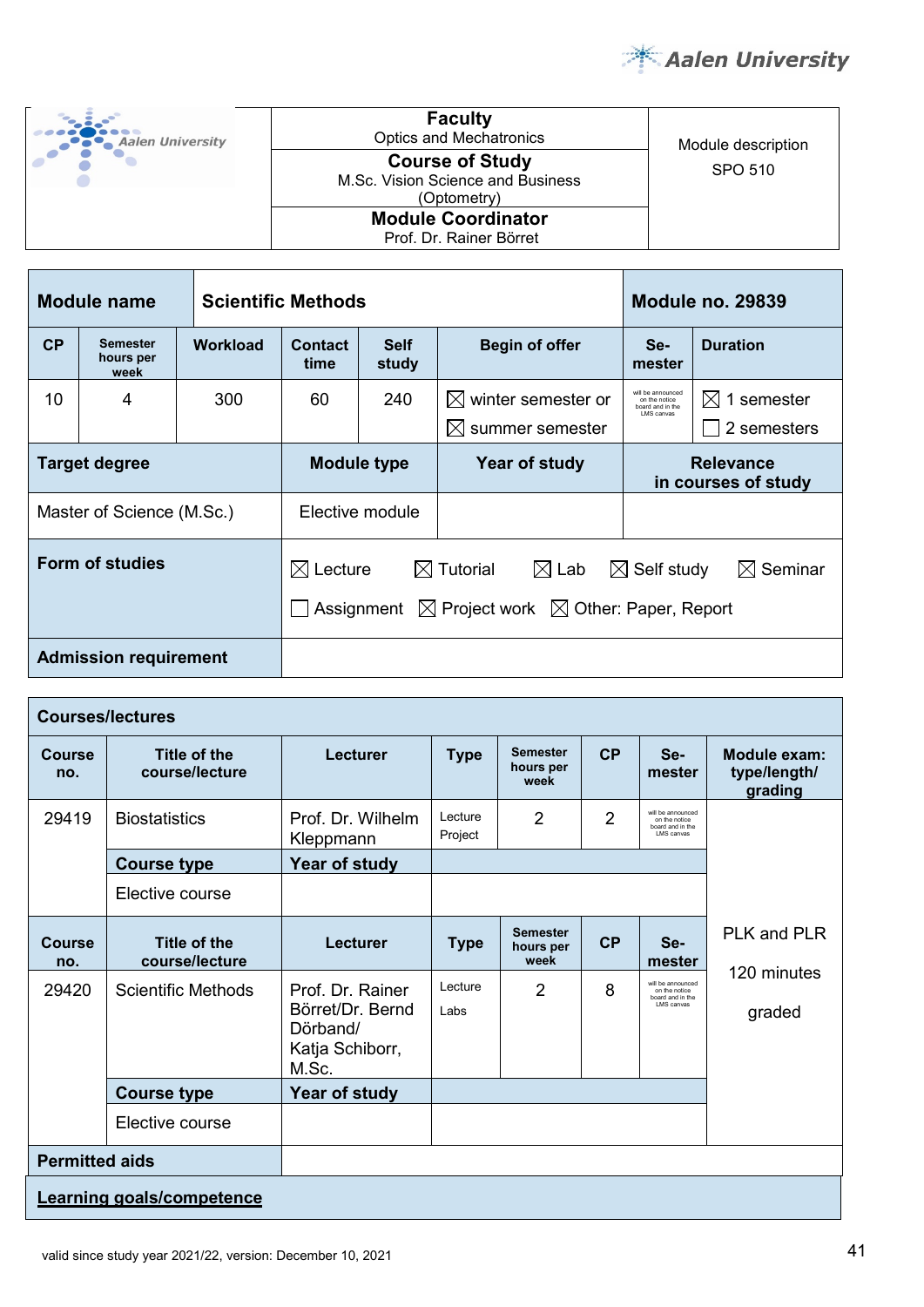

| <b>Aalen University</b> | <b>Faculty</b><br><b>Optics and Mechatronics</b>                           | Module description |
|-------------------------|----------------------------------------------------------------------------|--------------------|
|                         | <b>Course of Study</b><br>M.Sc. Vision Science and Business<br>(Optometry) | SPO 510            |
|                         | <b>Module Coordinator</b><br>Prof. Dr. Rainer Börret                       |                    |

|    | <b>Module name</b>                   | <b>Scientific Methods</b> |                                                                                                                                                                                            |                      |                                                                    | Module no. 29839                                                     |                                        |
|----|--------------------------------------|---------------------------|--------------------------------------------------------------------------------------------------------------------------------------------------------------------------------------------|----------------------|--------------------------------------------------------------------|----------------------------------------------------------------------|----------------------------------------|
| CP | <b>Semester</b><br>hours per<br>week | Workload                  | <b>Contact</b><br>time                                                                                                                                                                     | <b>Self</b><br>study | <b>Begin of offer</b>                                              | Se-<br>mester                                                        | <b>Duration</b>                        |
| 10 | 4                                    | 300                       | 60                                                                                                                                                                                         | 240                  | winter semester or<br>$\mathbb{X}$<br>$\bowtie$<br>summer semester | will be announced<br>on the notice<br>board and in the<br>LMS canvas | 1 semester<br>$\bowtie$<br>2 semesters |
|    | <b>Target degree</b>                 |                           | <b>Relevance</b><br><b>Module type</b><br>Year of study<br>in courses of study                                                                                                             |                      |                                                                    |                                                                      |                                        |
|    | Master of Science (M.Sc.)            |                           |                                                                                                                                                                                            | Elective module      |                                                                    |                                                                      |                                        |
|    | <b>Form of studies</b>               |                           | $\boxtimes$ Lab<br>$\boxtimes$ Lecture<br>$\boxtimes$ Tutorial<br>$\boxtimes$ Self study<br>$\boxtimes$ Seminar<br>$\boxtimes$ Project work $\boxtimes$ Other: Paper, Report<br>Assignment |                      |                                                                    |                                                                      |                                        |
|    | <b>Admission requirement</b>         |                           |                                                                                                                                                                                            |                      |                                                                    |                                                                      |                                        |

|                       | <b>Courses/lectures</b>               |                                                                              |                    |                                      |    |                                                                      |                                         |
|-----------------------|---------------------------------------|------------------------------------------------------------------------------|--------------------|--------------------------------------|----|----------------------------------------------------------------------|-----------------------------------------|
| Course<br>no.         | <b>Title of the</b><br>course/lecture | Lecturer                                                                     | <b>Type</b>        | <b>Semester</b><br>hours per<br>week | CP | Se-<br>mester                                                        | Module exam:<br>type/length/<br>grading |
| 29419                 | <b>Biostatistics</b>                  | Prof. Dr. Wilhelm<br>Kleppmann                                               | Lecture<br>Project | 2                                    | 2  | will be announced<br>on the notice<br>board and in the<br>LMS canvas |                                         |
|                       | <b>Course type</b>                    | Year of study                                                                |                    |                                      |    |                                                                      |                                         |
|                       | Elective course                       |                                                                              |                    |                                      |    |                                                                      |                                         |
| <b>Course</b><br>no.  | <b>Title of the</b><br>course/lecture | Lecturer                                                                     | <b>Type</b>        | <b>Semester</b><br>hours per<br>week | CP | Se-<br>mester                                                        | PLK and PLR                             |
| 29420                 | <b>Scientific Methods</b>             | Prof. Dr. Rainer<br>Börret/Dr. Bernd<br>Dörband/<br>Katja Schiborr,<br>M.Sc. | Lecture<br>Labs    | 2                                    | 8  | will be announced<br>on the notice<br>board and in the<br>LMS canvas | 120 minutes<br>graded                   |
|                       | <b>Course type</b>                    | Year of study                                                                |                    |                                      |    |                                                                      |                                         |
|                       | Elective course                       |                                                                              |                    |                                      |    |                                                                      |                                         |
| <b>Permitted aids</b> |                                       |                                                                              |                    |                                      |    |                                                                      |                                         |
|                       | Learning goals/competence             |                                                                              |                    |                                      |    |                                                                      |                                         |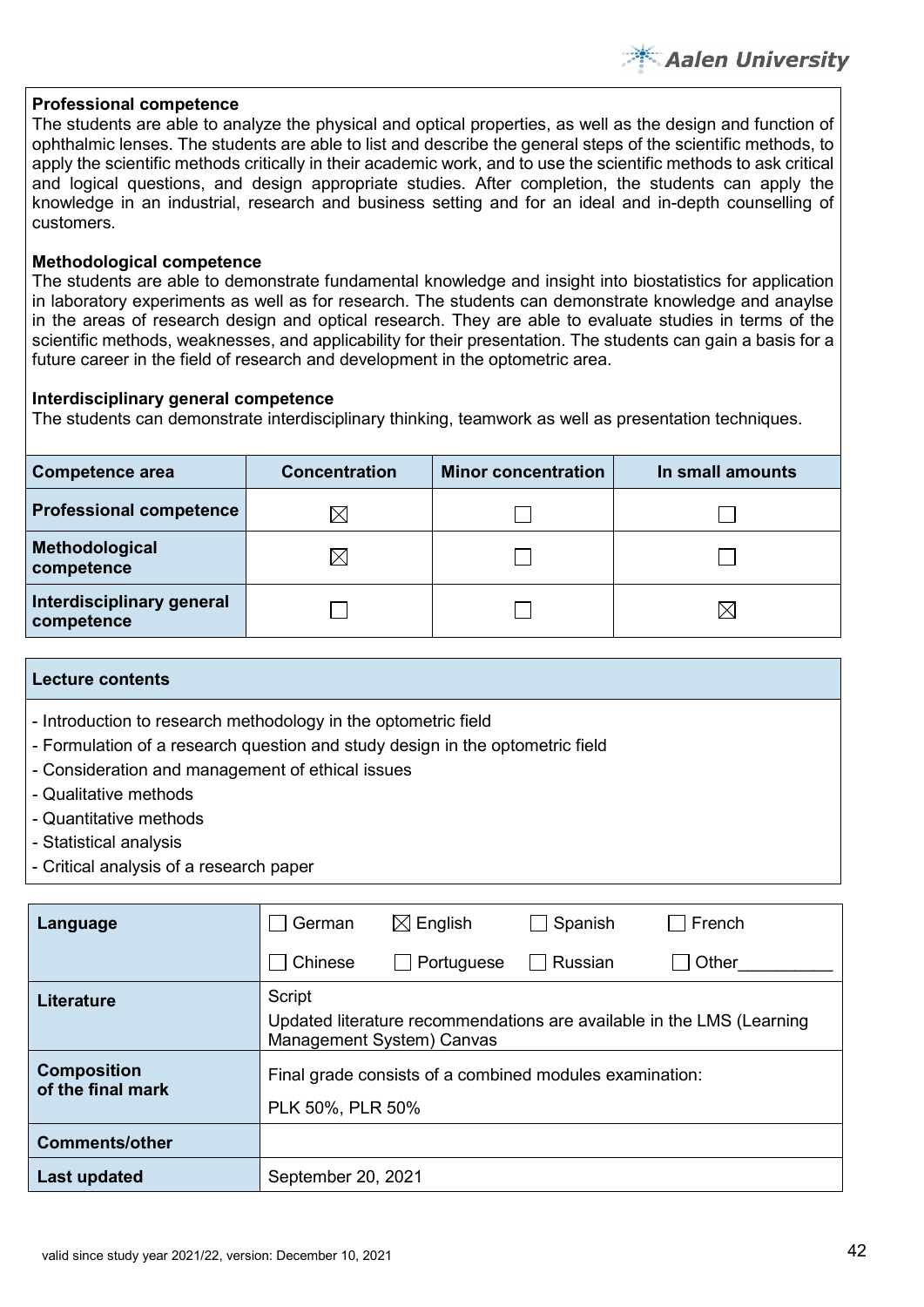# **Professional competence**

The students are able to analyze the physical and optical properties, as well as the design and function of ophthalmic lenses. The students are able to list and describe the general steps of the scientific methods, to apply the scientific methods critically in their academic work, and to use the scientific methods to ask critical and logical questions, and design appropriate studies. After completion, the students can apply the knowledge in an industrial, research and business setting and for an ideal and in-depth counselling of customers.

# **Methodological competence**

The students are able to demonstrate fundamental knowledge and insight into biostatistics for application in laboratory experiments as well as for research. The students can demonstrate knowledge and anaylse in the areas of research design and optical research. They are able to evaluate studies in terms of the scientific methods, weaknesses, and applicability for their presentation. The students can gain a basis for a future career in the field of research and development in the optometric area.

# **Interdisciplinary general competence**

The students can demonstrate interdisciplinary thinking, teamwork as well as presentation techniques.

| <b>Competence area</b>                  | <b>Concentration</b> | <b>Minor concentration</b> | In small amounts |
|-----------------------------------------|----------------------|----------------------------|------------------|
| <b>Professional competence</b>          | IX                   |                            |                  |
| Methodological<br>competence            | IX                   |                            |                  |
| Interdisciplinary general<br>competence |                      |                            | ⋉                |

## **Lecture contents**

- Introduction to research methodology in the optometric field
- Formulation of a research question and study design in the optometric field
- Consideration and management of ethical issues
- Qualitative methods
- Quantitative methods
- Statistical analysis
- Critical analysis of a research paper

| Language                                | German             | $\boxtimes$ English       | Spanish                                                 | French                                                                |
|-----------------------------------------|--------------------|---------------------------|---------------------------------------------------------|-----------------------------------------------------------------------|
|                                         | Chinese            | Portuguese                | Russian                                                 | Other                                                                 |
| <b>Literature</b>                       | Script             | Management System) Canvas |                                                         | Updated literature recommendations are available in the LMS (Learning |
| <b>Composition</b><br>of the final mark | PLK 50%, PLR 50%   |                           | Final grade consists of a combined modules examination: |                                                                       |
| <b>Comments/other</b>                   |                    |                           |                                                         |                                                                       |
| Last updated                            | September 20, 2021 |                           |                                                         |                                                                       |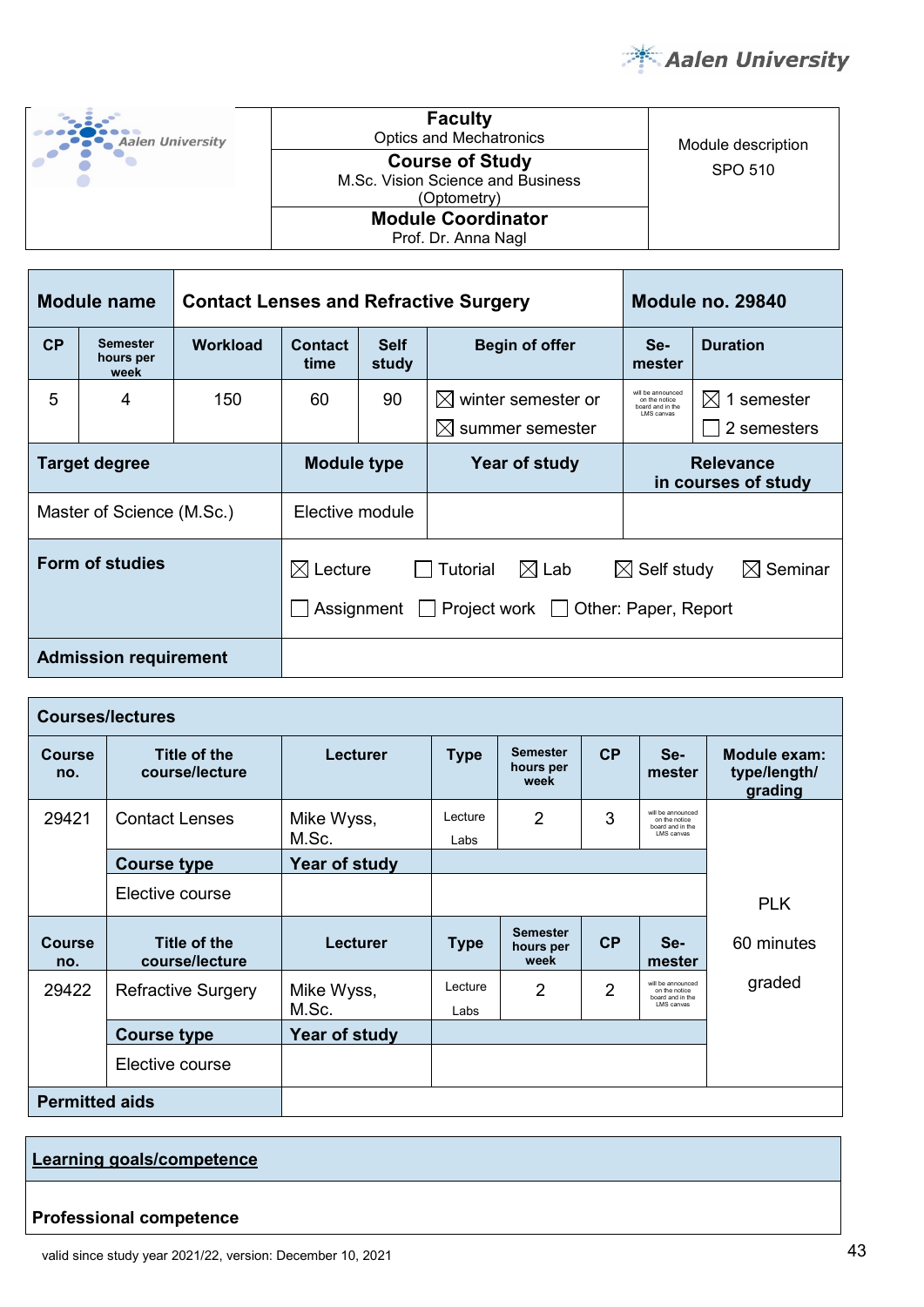

| <b>Aalen University</b> | <b>Faculty</b><br><b>Optics and Mechatronics</b>                           | Module description |
|-------------------------|----------------------------------------------------------------------------|--------------------|
|                         | <b>Course of Study</b><br>M.Sc. Vision Science and Business<br>(Optometry) | SPO 510            |
|                         | <b>Module Coordinator</b><br>Prof. Dr. Anna Nagl                           |                    |

|    | <b>Module name</b>                   |          | <b>Contact Lenses and Refractive Surgery</b>                                                                                                                      |                                                                            |               | <b>Module no. 29840</b>                                              |                                |
|----|--------------------------------------|----------|-------------------------------------------------------------------------------------------------------------------------------------------------------------------|----------------------------------------------------------------------------|---------------|----------------------------------------------------------------------|--------------------------------|
| CP | <b>Semester</b><br>hours per<br>week | Workload | Contact<br><b>Self</b><br><b>Begin of offer</b><br>study<br>time                                                                                                  |                                                                            | Se-<br>mester | <b>Duration</b>                                                      |                                |
| 5  | 4                                    | 150      | 60                                                                                                                                                                | 90<br>winter semester or<br>$\mathbb{X}$<br>$\boxtimes$<br>summer semester |               | will be announced<br>on the notice<br>board and in the<br>LMS canvas | 1 semester<br>M<br>2 semesters |
|    | <b>Target degree</b>                 |          | <b>Module type</b><br>Year of study                                                                                                                               |                                                                            |               | <b>Relevance</b><br>in courses of study                              |                                |
|    | Master of Science (M.Sc.)            |          | Elective module                                                                                                                                                   |                                                                            |               |                                                                      |                                |
|    | Form of studies                      |          | Lecture<br>$\boxtimes$ Self study<br>$\boxtimes$ Seminar<br>Tutorial<br>$\boxtimes$ Lab<br>$\bowtie$<br>Project work $\Box$<br>Other: Paper, Report<br>Assignment |                                                                            |               |                                                                      |                                |
|    | <b>Admission requirement</b>         |          |                                                                                                                                                                   |                                                                            |               |                                                                      |                                |

|                       | <b>Courses/lectures</b>               |                     |                 |                                      |                |                                                                              |                                                |
|-----------------------|---------------------------------------|---------------------|-----------------|--------------------------------------|----------------|------------------------------------------------------------------------------|------------------------------------------------|
| <b>Course</b><br>no.  | Title of the<br>course/lecture        | <b>Lecturer</b>     | <b>Type</b>     | <b>Semester</b><br>hours per<br>week | CP             | Se-<br>mester                                                                | <b>Module exam:</b><br>type/length/<br>grading |
| 29421                 | <b>Contact Lenses</b>                 | Mike Wyss,<br>M.Sc. | Lecture<br>Labs | $\overline{2}$                       | 3              | will be announced.<br>on the notice<br>board and in the<br><b>LMS</b> canvas |                                                |
|                       | <b>Course type</b>                    | Year of study       |                 |                                      |                |                                                                              |                                                |
|                       | Elective course                       |                     |                 |                                      |                |                                                                              | <b>PLK</b>                                     |
| <b>Course</b><br>no.  | <b>Title of the</b><br>course/lecture | <b>Lecturer</b>     | <b>Type</b>     | <b>Semester</b><br>hours per<br>week | CP             | Se-<br>mester                                                                | 60 minutes                                     |
| 29422                 | <b>Refractive Surgery</b>             | Mike Wyss,<br>M.Sc. | Lecture<br>Labs | 2                                    | $\overline{2}$ | will be announced<br>on the notice<br>board and in the<br>LMS canvas         | graded                                         |
|                       | <b>Course type</b>                    | Year of study       |                 |                                      |                |                                                                              |                                                |
|                       | Elective course                       |                     |                 |                                      |                |                                                                              |                                                |
| <b>Permitted aids</b> |                                       |                     |                 |                                      |                |                                                                              |                                                |

# **Professional competence**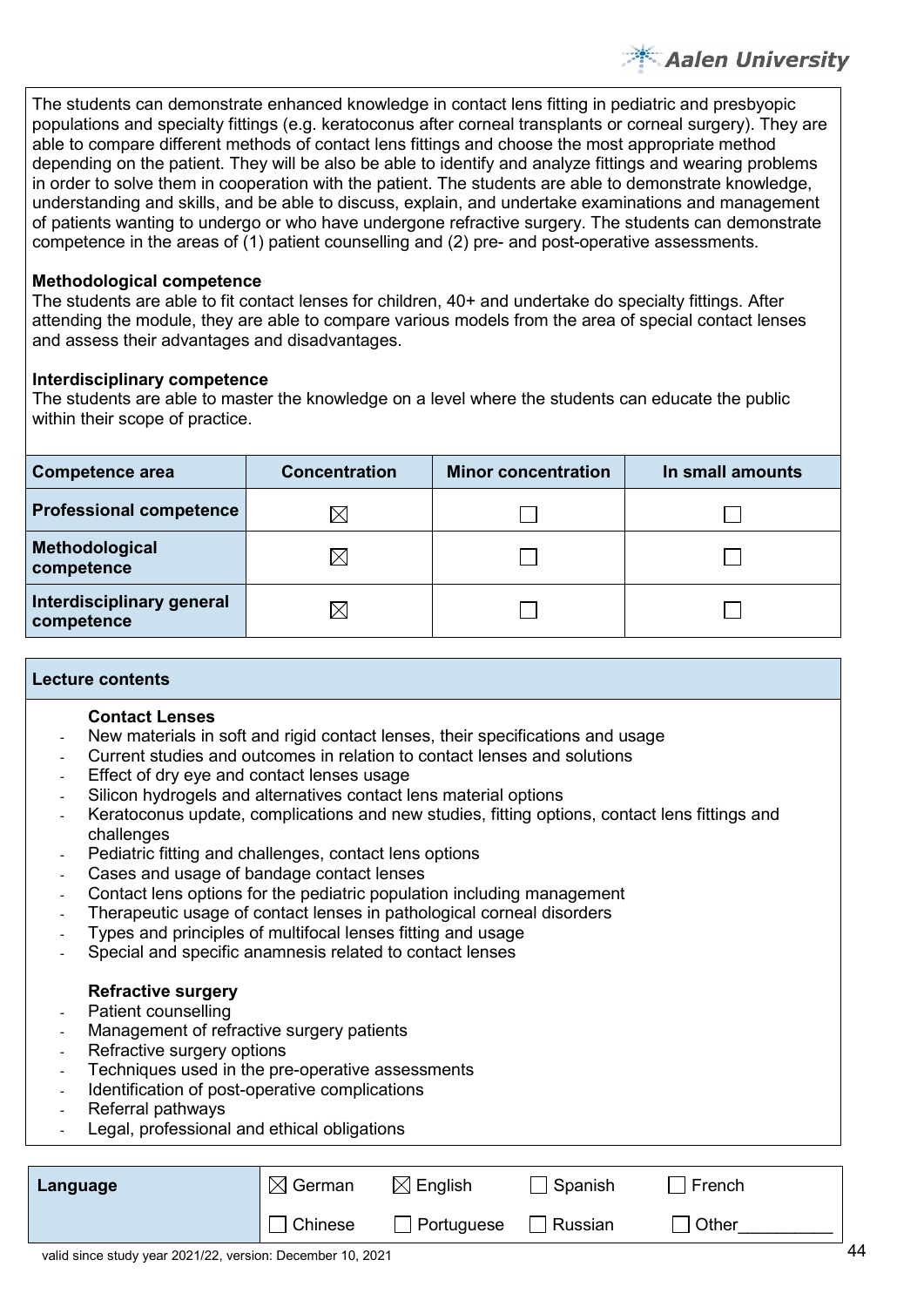The students can demonstrate enhanced knowledge in contact lens fitting in pediatric and presbyopic populations and specialty fittings (e.g. keratoconus after corneal transplants or corneal surgery). They are able to compare different methods of contact lens fittings and choose the most appropriate method depending on the patient. They will be also be able to identify and analyze fittings and wearing problems in order to solve them in cooperation with the patient. The students are able to demonstrate knowledge, understanding and skills, and be able to discuss, explain, and undertake examinations and management of patients wanting to undergo or who have undergone refractive surgery. The students can demonstrate competence in the areas of (1) patient counselling and (2) pre- and post-operative assessments.

# **Methodological competence**

The students are able to fit contact lenses for children, 40+ and undertake do specialty fittings. After attending the module, they are able to compare various models from the area of special contact lenses and assess their advantages and disadvantages.

# **Interdisciplinary competence**

The students are able to master the knowledge on a level where the students can educate the public within their scope of practice.

| <b>Competence area</b>                  | <b>Concentration</b> | <b>Minor concentration</b> | In small amounts |
|-----------------------------------------|----------------------|----------------------------|------------------|
| <b>Professional competence</b>          | IX                   |                            |                  |
| Methodological<br>competence            | ⋉                    |                            |                  |
| Interdisciplinary general<br>competence | IX                   |                            |                  |

# **Lecture contents**

# **Contact Lenses**

- New materials in soft and rigid contact lenses, their specifications and usage
- Current studies and outcomes in relation to contact lenses and solutions
- Effect of dry eye and contact lenses usage
- Silicon hydrogels and alternatives contact lens material options
- Keratoconus update, complications and new studies, fitting options, contact lens fittings and challenges
- Pediatric fitting and challenges, contact lens options
- Cases and usage of bandage contact lenses
- Contact lens options for the pediatric population including management
- Therapeutic usage of contact lenses in pathological corneal disorders
- Types and principles of multifocal lenses fitting and usage
- Special and specific anamnesis related to contact lenses

# **Refractive surgery**

- Patient counselling
- Management of refractive surgery patients
- Refractive surgery options
- Techniques used in the pre-operative assessments
- Identification of post-operative complications
- Referral pathways
- Legal, professional and ethical obligations

| Language | $\boxtimes$<br>German | $\boxtimes$ English | Spanish | French |
|----------|-----------------------|---------------------|---------|--------|
|          | Chinese               | Portuguese          | Russian | Other  |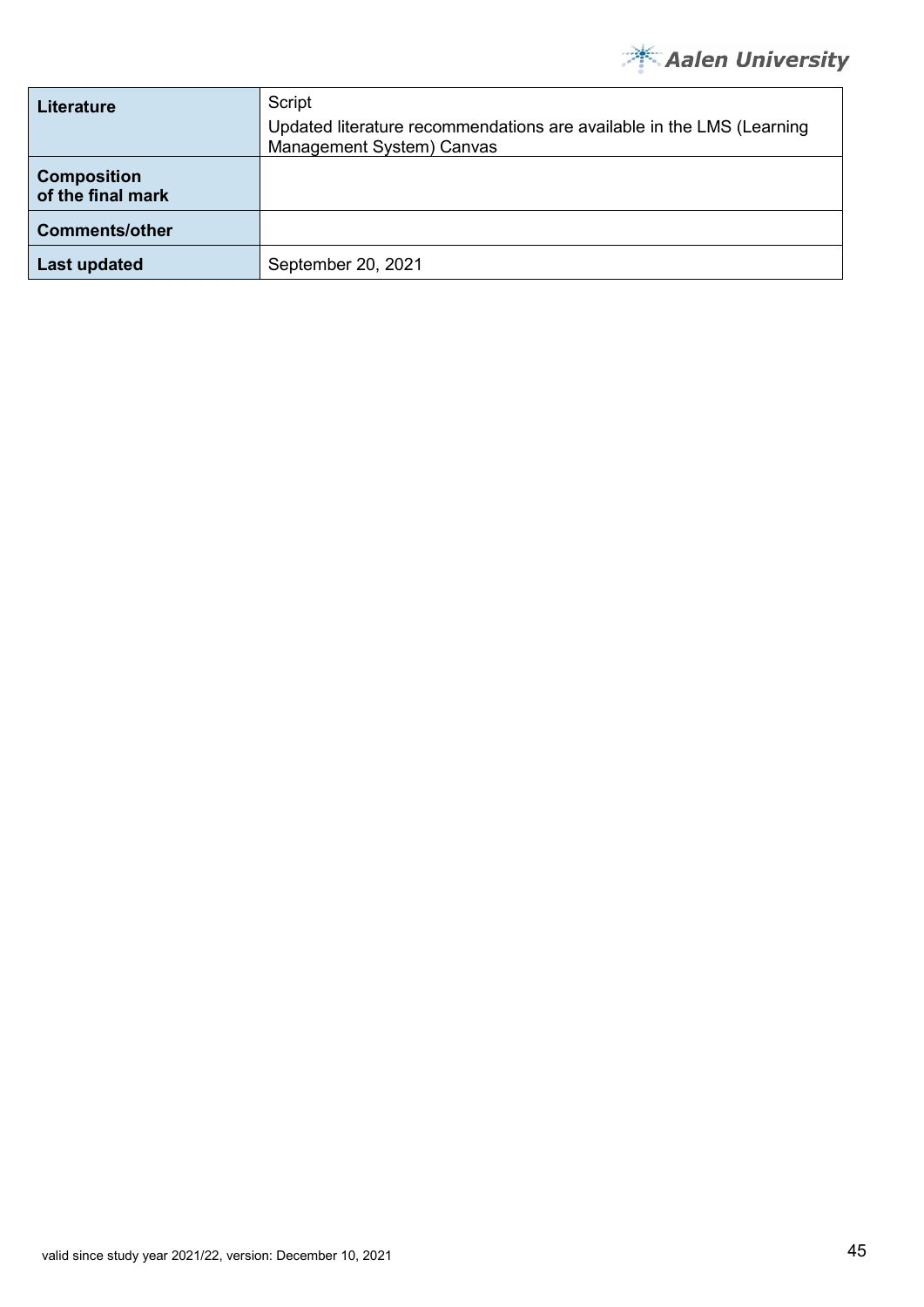

| <b>Literature</b>                       | Script<br>Updated literature recommendations are available in the LMS (Learning<br>Management System) Canvas |
|-----------------------------------------|--------------------------------------------------------------------------------------------------------------|
| <b>Composition</b><br>of the final mark |                                                                                                              |
| <b>Comments/other</b>                   |                                                                                                              |
| <b>Last updated</b>                     | September 20, 2021                                                                                           |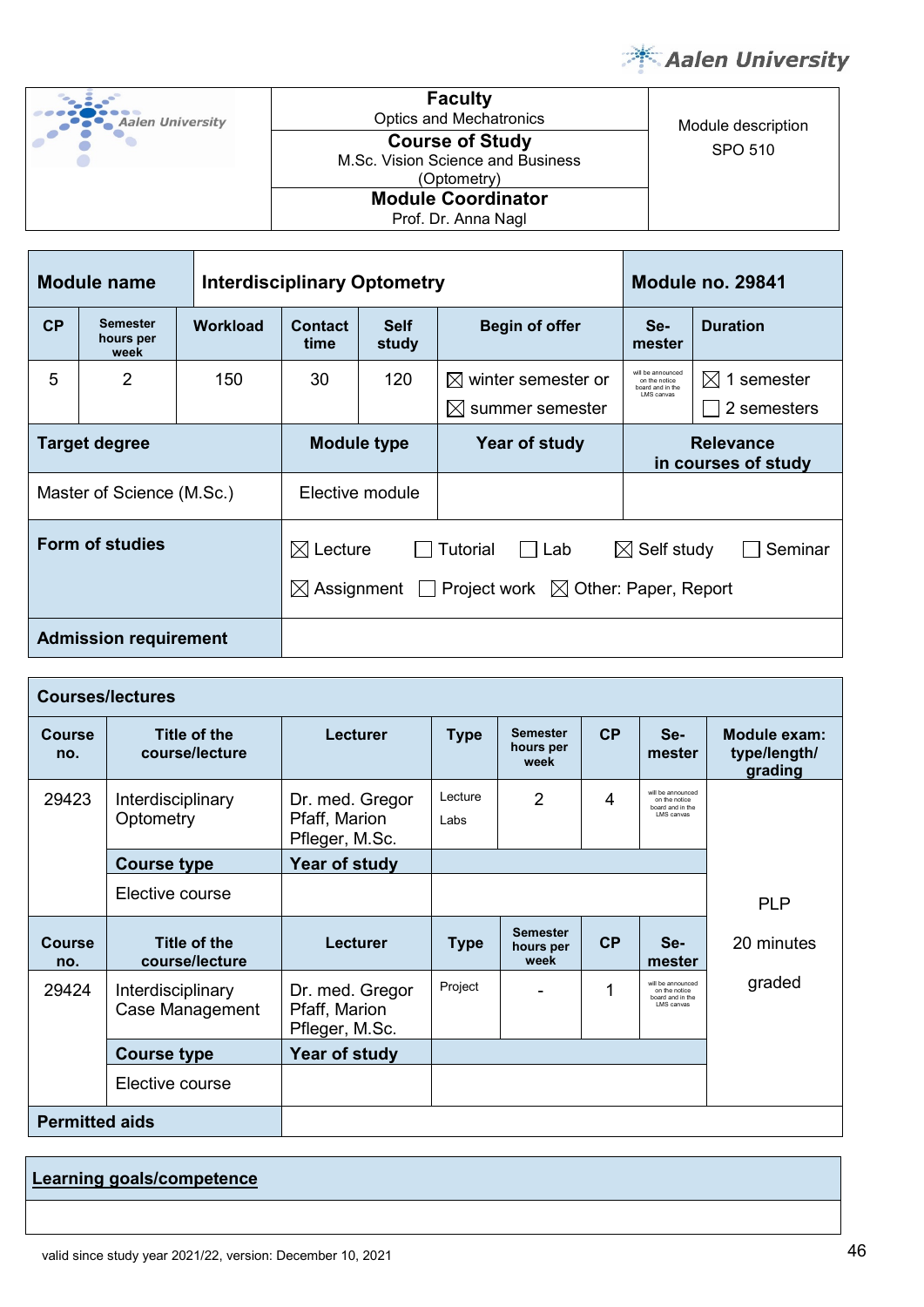

Module description

| <b>Aalen University</b> |
|-------------------------|
|                         |

**Faculty**<br>Optics and Mechatronics **Course of Study** SPO 510 M.Sc. Vision Science and Business (Optometry) **Module Coordinator**

| <b>Module name</b>        |                               |                 | <b>Interdisciplinary Optometry</b> |                      | Module no. 29841                                              |                                                                       |                                         |
|---------------------------|-------------------------------|-----------------|------------------------------------|----------------------|---------------------------------------------------------------|-----------------------------------------------------------------------|-----------------------------------------|
| CP                        | Semester<br>hours per<br>week | <b>Workload</b> | <b>Contact</b><br>time             | <b>Self</b><br>study | <b>Begin of offer</b>                                         | Se-<br>mester                                                         | <b>Duration</b>                         |
| 5                         | 2                             | 150             | 30                                 | 120                  | $\boxtimes$ winter semester or<br>$\boxtimes$ summer semester | will be announced<br>on the notice<br>board and in the<br>I MS canvas | $\boxtimes$ 1 semester<br>2 semesters   |
| Target degree             |                               |                 | <b>Module type</b>                 |                      | Year of study                                                 |                                                                       | <b>Relevance</b><br>in courses of study |
| Master of Science (M.Sc.) |                               |                 | Elective module                    |                      |                                                               |                                                                       |                                         |
| Form of studies           |                               |                 | Lecture<br>IХI                     |                      | <b>Tutorial</b><br>Lab                                        | Self study<br>$\bowtie$                                               | Seminar                                 |

 $\boxtimes$  Assignment  $\Box$  Project work  $\boxtimes$  Other: Paper, Report

**Admission requirement**

|                       | <b>Courses/lectures</b>               |                                                    |                                                                            |                                      |                                         |                                                                             |            |  |  |  |
|-----------------------|---------------------------------------|----------------------------------------------------|----------------------------------------------------------------------------|--------------------------------------|-----------------------------------------|-----------------------------------------------------------------------------|------------|--|--|--|
| Course<br>no.         | Title of the<br>course/lecture        | Lecturer                                           | CP<br><b>Semester</b><br><b>Type</b><br>Se-<br>hours per<br>mester<br>week |                                      | Module exam:<br>type/length/<br>grading |                                                                             |            |  |  |  |
| 29423                 | Interdisciplinary<br>Optometry        | Dr. med. Gregor<br>Pfaff, Marion<br>Pfleger, M.Sc. | Lecture<br>Labs                                                            | $\overline{2}$                       | 4                                       | will be announced<br>on the notice<br>board and in the<br>I MS canvas       |            |  |  |  |
|                       | <b>Course type</b>                    | Year of study                                      |                                                                            |                                      |                                         |                                                                             |            |  |  |  |
|                       | Elective course                       |                                                    |                                                                            |                                      |                                         |                                                                             | <b>PLP</b> |  |  |  |
| Course<br>no.         | <b>Title of the</b><br>course/lecture | Lecturer                                           | <b>Type</b>                                                                | <b>Semester</b><br>hours per<br>week | CP                                      | Se-<br>mester                                                               | 20 minutes |  |  |  |
| 29424                 | Interdisciplinary<br>Case Management  | Dr. med. Gregor<br>Pfaff, Marion<br>Pfleger, M.Sc. | Project                                                                    |                                      | 1                                       | will be announced<br>on the notice<br>board and in the<br><b>LMS</b> canvas | graded     |  |  |  |
|                       | <b>Course type</b>                    | Year of study                                      |                                                                            |                                      |                                         |                                                                             |            |  |  |  |
|                       | Elective course                       |                                                    |                                                                            |                                      |                                         |                                                                             |            |  |  |  |
| <b>Permitted aids</b> |                                       |                                                    |                                                                            |                                      |                                         |                                                                             |            |  |  |  |

**Learning goals/competence**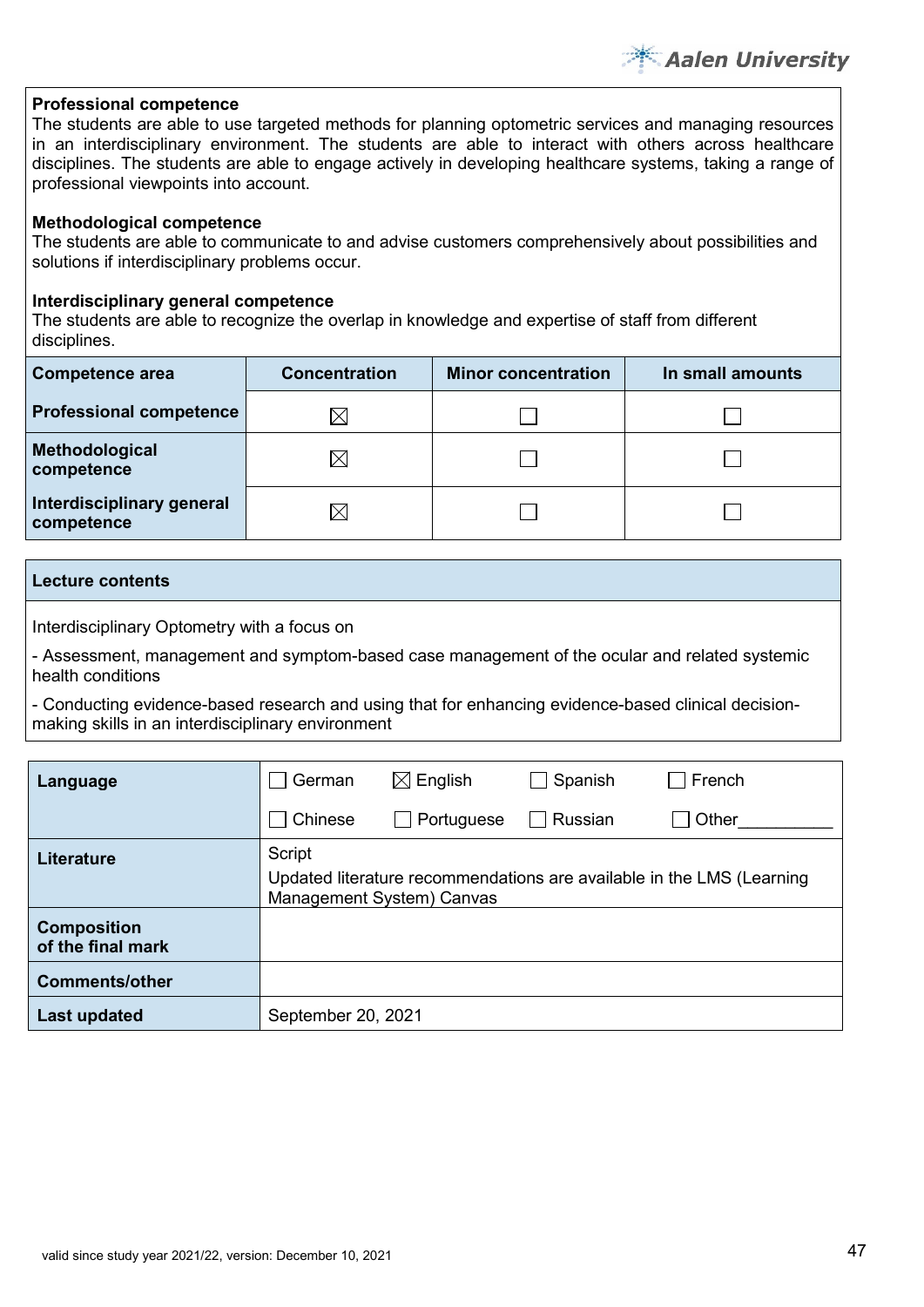**Aalen University** 

# **Professional competence**

The students are able to use targeted methods for planning optometric services and managing resources in an interdisciplinary environment. The students are able to interact with others across healthcare disciplines. The students are able to engage actively in developing healthcare systems, taking a range of professional viewpoints into account.

# **Methodological competence**

The students are able to communicate to and advise customers comprehensively about possibilities and solutions if interdisciplinary problems occur.

# **Interdisciplinary general competence**

The students are able to recognize the overlap in knowledge and expertise of staff from different disciplines.

| <b>Competence area</b>                  | <b>Concentration</b> | <b>Minor concentration</b> | In small amounts |
|-----------------------------------------|----------------------|----------------------------|------------------|
| <b>Professional competence</b>          | IX                   |                            |                  |
| Methodological<br>competence            | $\boxtimes$          |                            |                  |
| Interdisciplinary general<br>competence | IX                   |                            |                  |

#### **Lecture contents**

Interdisciplinary Optometry with a focus on

- Assessment, management and symptom-based case management of the ocular and related systemic health conditions

- Conducting evidence-based research and using that for enhancing evidence-based clinical decisionmaking skills in an interdisciplinary environment

| Language                                | German             | $\boxtimes$ English                                                                                | Spanish           | French |  |  |  |  |  |
|-----------------------------------------|--------------------|----------------------------------------------------------------------------------------------------|-------------------|--------|--|--|--|--|--|
|                                         | Chinese            | $\Box$ Portuguese                                                                                  | Russian<br>$\Box$ | Other  |  |  |  |  |  |
| <b>Literature</b>                       | Script             | Updated literature recommendations are available in the LMS (Learning<br>Management System) Canvas |                   |        |  |  |  |  |  |
| <b>Composition</b><br>of the final mark |                    |                                                                                                    |                   |        |  |  |  |  |  |
| <b>Comments/other</b>                   |                    |                                                                                                    |                   |        |  |  |  |  |  |
| <b>Last updated</b>                     | September 20, 2021 |                                                                                                    |                   |        |  |  |  |  |  |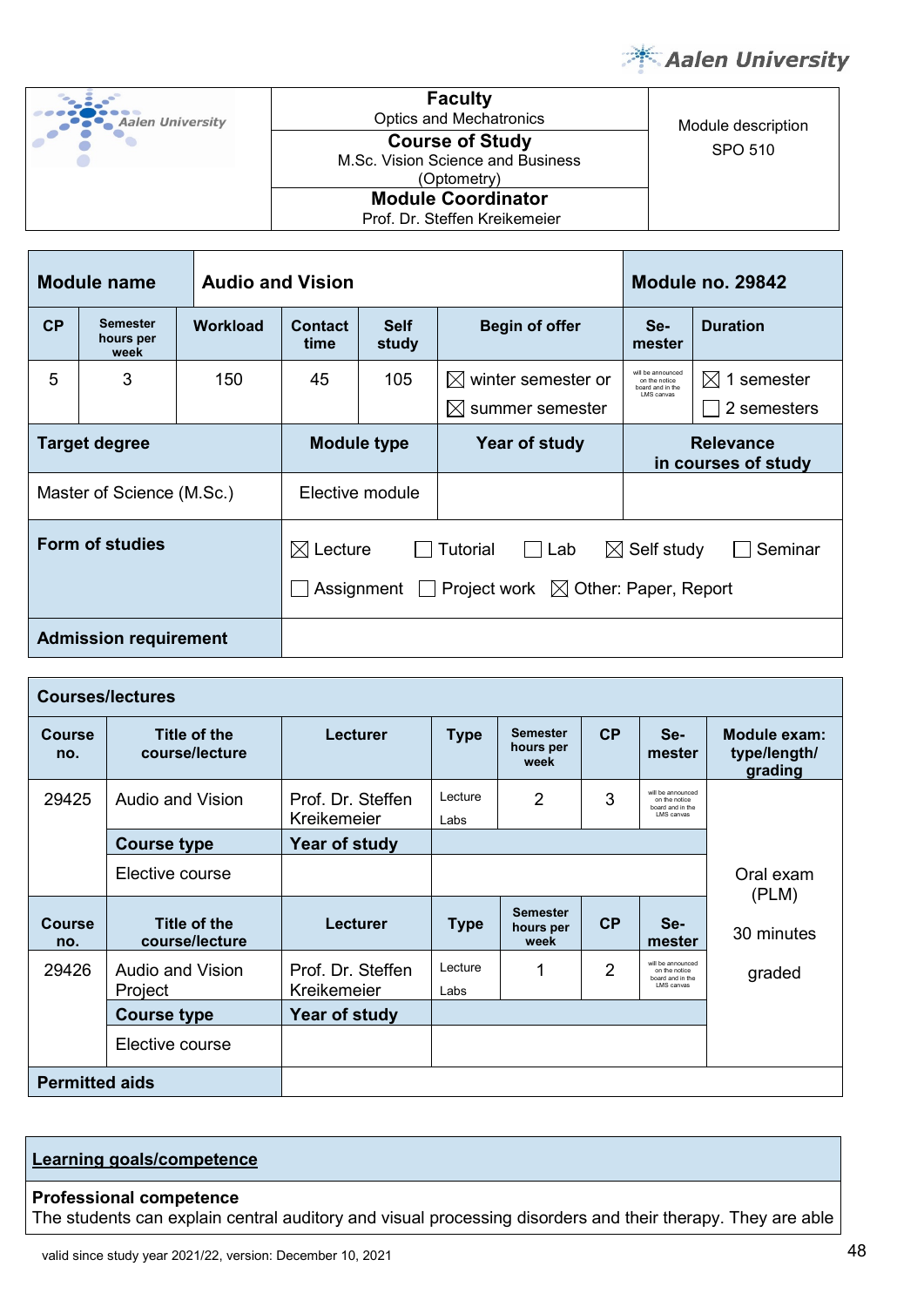

| <b>Aalen University</b> |
|-------------------------|
|                         |

**Faculty**<br>Optics and Mechatronics pucs and Mechatronics<br> **Course of Study**<br>
COURSE OF Study SPO 510 **Course of Study**  M.Sc. Vision Science and Business (Optometry) **Module Coordinator**

Prof. Dr. Steffen Kreikemeier

| <b>Module name</b><br><b>Audio and Vision</b> |                                      |          |                                                | Module no. 29842 |                                                                                                      |                                                                      |                                         |  |
|-----------------------------------------------|--------------------------------------|----------|------------------------------------------------|------------------|------------------------------------------------------------------------------------------------------|----------------------------------------------------------------------|-----------------------------------------|--|
| <b>CP</b>                                     | <b>Semester</b><br>hours per<br>week | Workload | <b>Self</b><br><b>Contact</b><br>study<br>time |                  | <b>Begin of offer</b>                                                                                | Se-<br>mester                                                        | <b>Duration</b>                         |  |
| 5                                             | 3                                    | 150      | 45                                             | 105              | winter semester or<br>IXI.<br>$\boxtimes$ summer semester                                            | will be announced<br>on the notice<br>board and in the<br>LMS canvas | 1 semester<br>IХI<br>2 semesters        |  |
| <b>Target degree</b>                          |                                      |          | <b>Module type</b>                             |                  | Year of study                                                                                        |                                                                      | <b>Relevance</b><br>in courses of study |  |
|                                               | Master of Science (M.Sc.)            |          | Elective module                                |                  |                                                                                                      |                                                                      |                                         |  |
| Form of studies                               |                                      |          | $\boxtimes$ Lecture                            |                  | Tutorial<br>Lab<br>$\blacksquare$<br>Assignment $\Box$ Project work $\boxtimes$ Other: Paper, Report | $\boxtimes$ Self study                                               | Seminar                                 |  |
| <b>Admission requirement</b>                  |                                      |          |                                                |                  |                                                                                                      |                                                                      |                                         |  |

| <b>Courses/lectures</b> |                                |                                  |                                                                                                   |                                      |                                         |                                                                       |                    |  |
|-------------------------|--------------------------------|----------------------------------|---------------------------------------------------------------------------------------------------|--------------------------------------|-----------------------------------------|-----------------------------------------------------------------------|--------------------|--|
| <b>Course</b><br>no.    | Title of the<br>course/lecture | Lecturer                         | CP<br><b>Semester</b><br>Se-<br><b>Type</b><br>hours per<br>mester<br>week                        |                                      | Module exam:<br>type/length/<br>grading |                                                                       |                    |  |
| 29425                   | Audio and Vision               | Prof. Dr. Steffen<br>Kreikemeier | will be announced<br>3<br>Lecture<br>2<br>on the notice<br>board and in the<br>LMS canvas<br>Labs |                                      |                                         |                                                                       |                    |  |
|                         | <b>Course type</b>             | Year of study                    |                                                                                                   |                                      |                                         |                                                                       |                    |  |
|                         | Elective course                |                                  |                                                                                                   |                                      |                                         |                                                                       | Oral exam<br>(PLM) |  |
| <b>Course</b><br>no.    | Title of the<br>course/lecture | Lecturer                         | <b>Type</b>                                                                                       | <b>Semester</b><br>hours per<br>week | CP                                      | Se-<br>mester                                                         | 30 minutes         |  |
| 29426                   | Audio and Vision<br>Project    | Prof. Dr. Steffen<br>Kreikemeier | Lecture<br>Labs                                                                                   | 1                                    | 2                                       | will be announced<br>on the notice<br>board and in the<br>I MS canvas | graded             |  |
|                         | <b>Course type</b>             | Year of study                    |                                                                                                   |                                      |                                         |                                                                       |                    |  |
|                         | Elective course                |                                  |                                                                                                   |                                      |                                         |                                                                       |                    |  |
| <b>Permitted aids</b>   |                                |                                  |                                                                                                   |                                      |                                         |                                                                       |                    |  |

# **Learning goals/competence**

#### **Professional competence**

The students can explain central auditory and visual processing disorders and their therapy. They are able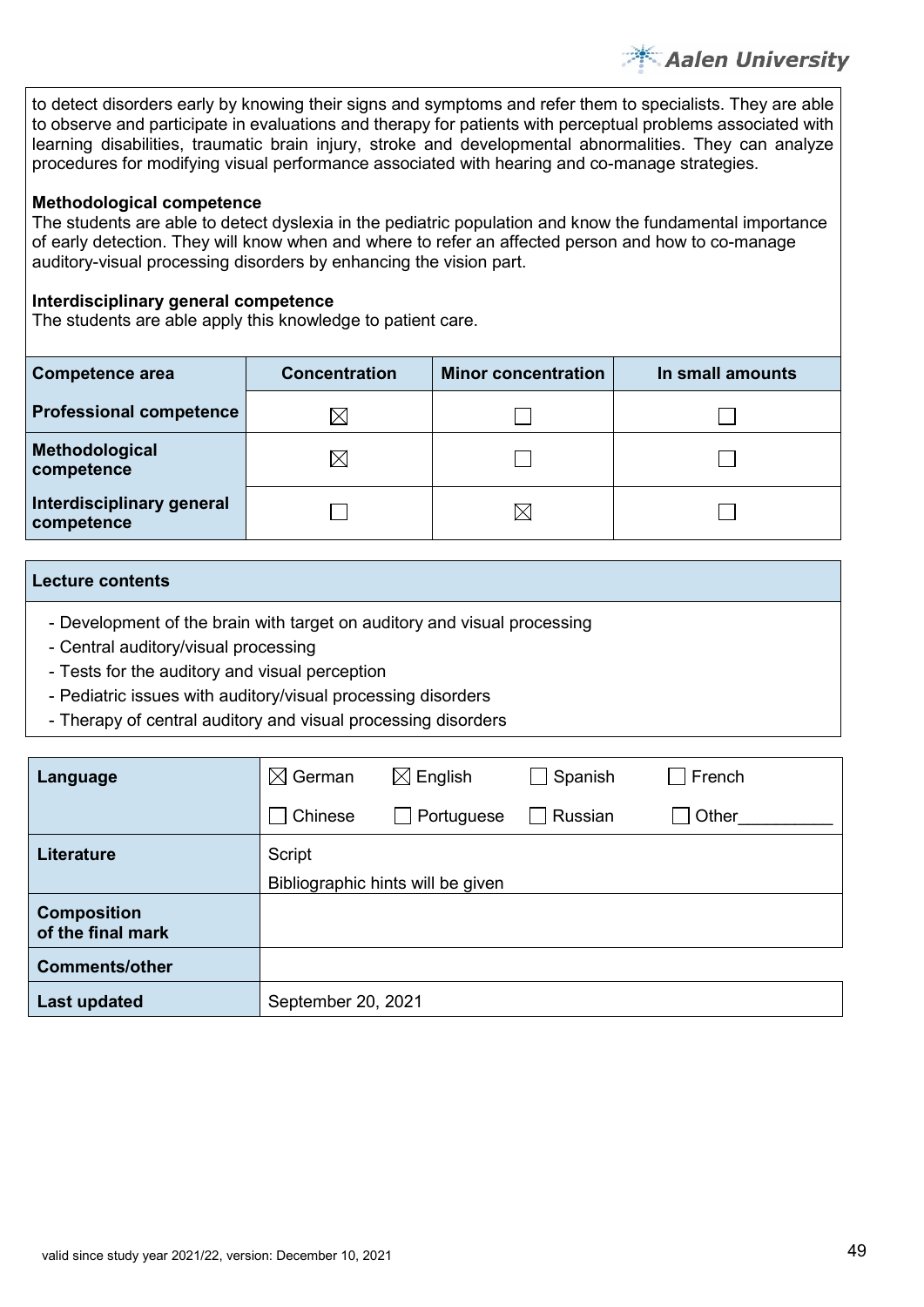to detect disorders early by knowing their signs and symptoms and refer them to specialists. They are able to observe and participate in evaluations and therapy for patients with perceptual problems associated with learning disabilities, traumatic brain injury, stroke and developmental abnormalities. They can analyze procedures for modifying visual performance associated with hearing and co-manage strategies.

**Aalen University** 

#### **Methodological competence**

The students are able to detect dyslexia in the pediatric population and know the fundamental importance of early detection. They will know when and where to refer an affected person and how to co-manage auditory-visual processing disorders by enhancing the vision part.

#### **Interdisciplinary general competence**

The students are able apply this knowledge to patient care.

| <b>Competence area</b>                  | <b>Concentration</b> | <b>Minor concentration</b> | In small amounts |  |  |
|-----------------------------------------|----------------------|----------------------------|------------------|--|--|
| <b>Professional competence</b>          | $\boxtimes$          |                            |                  |  |  |
| Methodological<br>competence            | $\boxtimes$          |                            |                  |  |  |
| Interdisciplinary general<br>competence |                      |                            |                  |  |  |

#### **Lecture contents**

- Development of the brain with target on auditory and visual processing
- Central auditory/visual processing
- Tests for the auditory and visual perception
- Pediatric issues with auditory/visual processing disorders
- Therapy of central auditory and visual processing disorders

| Language                                | $\boxtimes$ German | $\boxtimes$ English               | Spanish | French |
|-----------------------------------------|--------------------|-----------------------------------|---------|--------|
|                                         | Chinese            | Portuguese                        | Russian | Other  |
| Literature                              | Script             |                                   |         |        |
|                                         |                    | Bibliographic hints will be given |         |        |
| <b>Composition</b><br>of the final mark |                    |                                   |         |        |
| <b>Comments/other</b>                   |                    |                                   |         |        |
| Last updated                            | September 20, 2021 |                                   |         |        |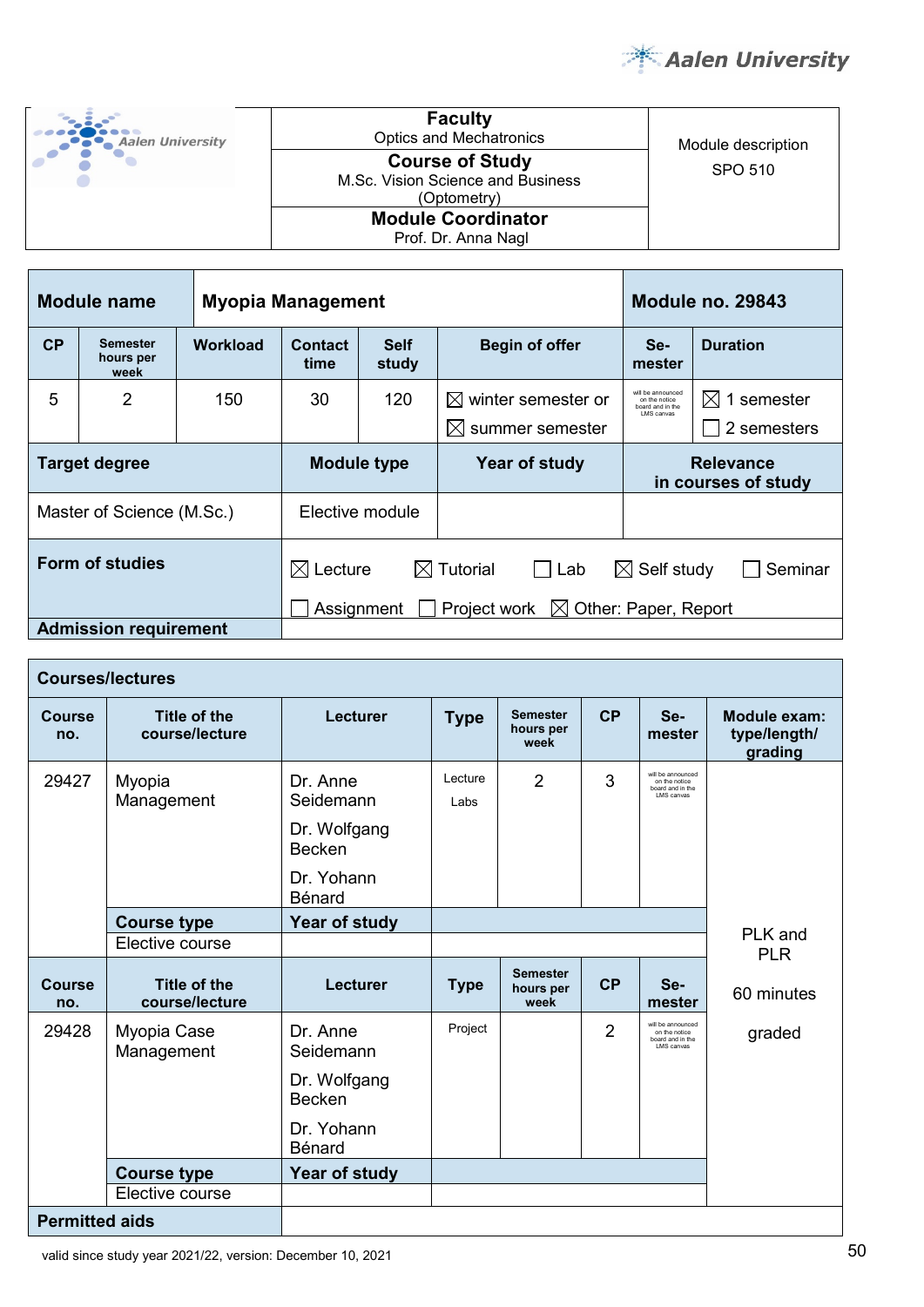

| <b>Aalen University</b> | <b>Faculty</b><br><b>Optics and Mechatronics</b>                           | Module description |
|-------------------------|----------------------------------------------------------------------------|--------------------|
|                         | <b>Course of Study</b><br>M.Sc. Vision Science and Business<br>(Optometry) | SPO 510            |
|                         | <b>Module Coordinator</b><br>Prof. Dr. Anna Nagl                           |                    |

| <b>Module name</b><br><b>Myopia Management</b> |                                      |                 |                                                                                                                                                                       | <b>Module no. 29843</b>                       |                                                            |                                                                      |                                         |
|------------------------------------------------|--------------------------------------|-----------------|-----------------------------------------------------------------------------------------------------------------------------------------------------------------------|-----------------------------------------------|------------------------------------------------------------|----------------------------------------------------------------------|-----------------------------------------|
| CP                                             | <b>Semester</b><br>hours per<br>week | <b>Workload</b> | <b>Contact</b><br>time                                                                                                                                                | <b>Self</b><br><b>Begin of offer</b><br>study |                                                            | Se-<br>mester                                                        | <b>Duration</b>                         |
| 5                                              | $\overline{2}$                       | 150             | 30                                                                                                                                                                    | 120                                           | winter semester or<br>IXI.<br>$\bowtie$<br>summer semester | will be announced<br>on the notice<br>board and in the<br>LMS canvas | 1 semester<br>IХI<br>2 semesters        |
| <b>Target degree</b>                           |                                      |                 | <b>Module type</b>                                                                                                                                                    |                                               | Year of study                                              |                                                                      | <b>Relevance</b><br>in courses of study |
|                                                | Master of Science (M.Sc.)            |                 | Elective module                                                                                                                                                       |                                               |                                                            |                                                                      |                                         |
| <b>Form of studies</b>                         |                                      |                 | $\boxtimes$ Tutorial<br>Lecture<br>$\boxtimes$ Self study<br>Seminar<br>IЖЕ<br>Lab<br>$\mathsf{L}$<br>Other: Paper, Report<br>Project work<br>$\bowtie$<br>Assignment |                                               |                                                            |                                                                      |                                         |
|                                                | <b>Admission requirement</b>         |                 |                                                                                                                                                                       |                                               |                                                            |                                                                      |                                         |

|                       | <b>Courses/lectures</b>        |                                                                                |                                                                            |                                      |                                         |                                                                       |            |  |  |  |
|-----------------------|--------------------------------|--------------------------------------------------------------------------------|----------------------------------------------------------------------------|--------------------------------------|-----------------------------------------|-----------------------------------------------------------------------|------------|--|--|--|
| <b>Course</b><br>no.  | Title of the<br>course/lecture | Lecturer                                                                       | CP<br><b>Semester</b><br>Se-<br><b>Type</b><br>hours per<br>mester<br>week |                                      | Module exam:<br>type/length/<br>grading |                                                                       |            |  |  |  |
| 29427                 | Myopia<br>Management           | Dr. Anne<br>Seidemann<br>Dr. Wolfgang<br><b>Becken</b><br>Dr. Yohann<br>Bénard | Lecture<br>Labs                                                            | $\overline{2}$                       | 3                                       | will be announced<br>on the notice<br>board and in the<br>LMS canvas  |            |  |  |  |
|                       | <b>Course type</b>             | Year of study                                                                  |                                                                            |                                      |                                         |                                                                       |            |  |  |  |
|                       | Elective course                |                                                                                |                                                                            |                                      |                                         | PLK and<br><b>PLR</b>                                                 |            |  |  |  |
| <b>Course</b><br>no.  | Title of the<br>course/lecture | Lecturer                                                                       | <b>Type</b>                                                                | <b>Semester</b><br>hours per<br>week | CP                                      | Se-<br>mester                                                         | 60 minutes |  |  |  |
| 29428                 | Myopia Case<br>Management      | Dr. Anne<br>Seidemann                                                          | Project                                                                    |                                      | $\overline{2}$                          | will be announced<br>on the notice<br>board and in the<br>I MS canvas | graded     |  |  |  |
|                       |                                | Dr. Wolfgang<br><b>Becken</b>                                                  |                                                                            |                                      |                                         |                                                                       |            |  |  |  |
|                       |                                | Dr. Yohann<br><b>Bénard</b>                                                    |                                                                            |                                      |                                         |                                                                       |            |  |  |  |
| <b>Course type</b>    |                                | Year of study                                                                  |                                                                            |                                      |                                         |                                                                       |            |  |  |  |
| Elective course       |                                |                                                                                |                                                                            |                                      |                                         |                                                                       |            |  |  |  |
| <b>Permitted aids</b> |                                |                                                                                |                                                                            |                                      |                                         |                                                                       |            |  |  |  |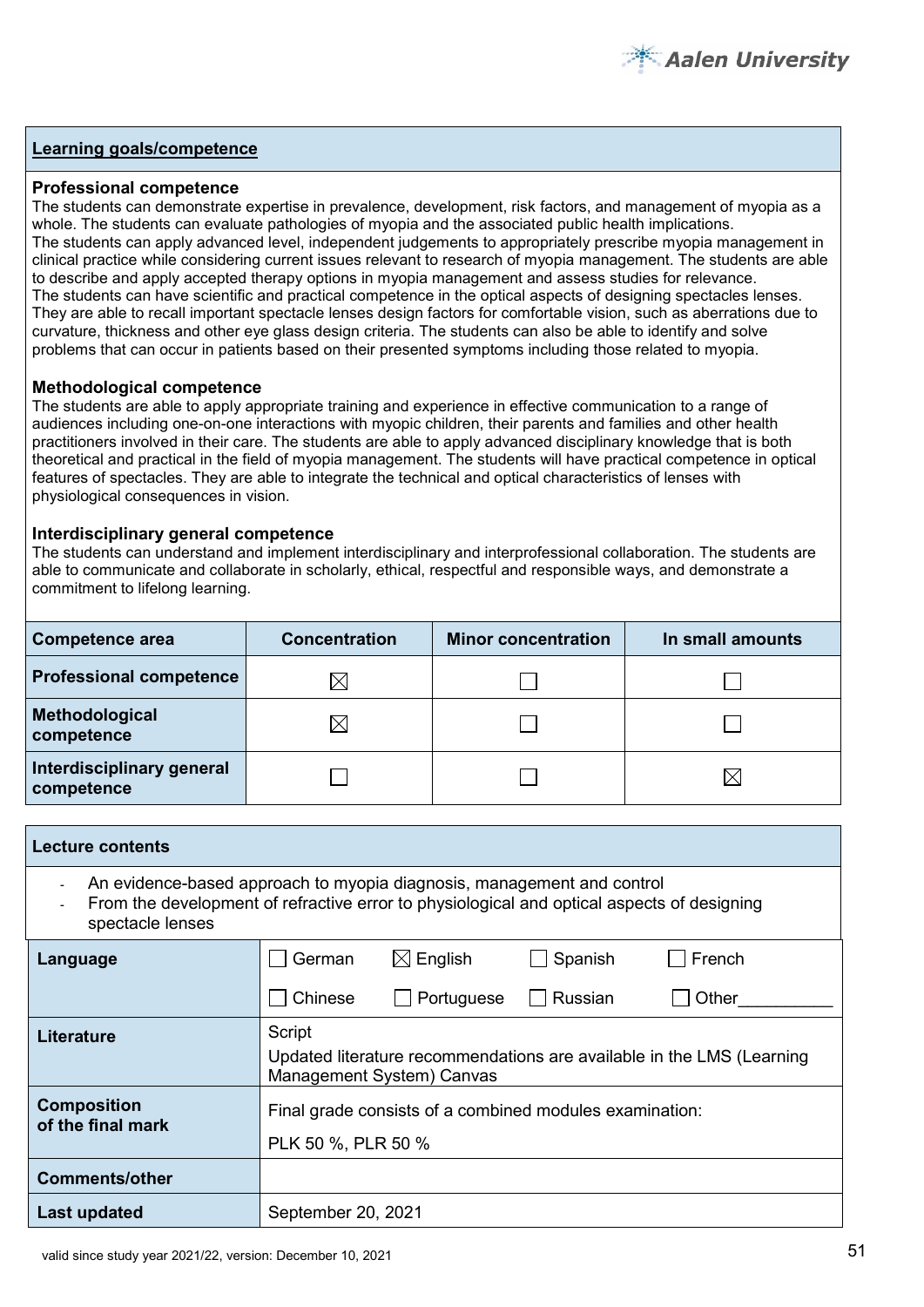

#### **Professional competence**

The students can demonstrate expertise in prevalence, development, risk factors, and management of myopia as a whole. The students can evaluate pathologies of myopia and the associated public health implications. The students can apply advanced level, independent judgements to appropriately prescribe myopia management in clinical practice while considering current issues relevant to research of myopia management. The students are able to describe and apply accepted therapy options in myopia management and assess studies for relevance. The students can have scientific and practical competence in the optical aspects of designing spectacles lenses. They are able to recall important spectacle lenses design factors for comfortable vision, such as aberrations due to curvature, thickness and other eye glass design criteria. The students can also be able to identify and solve problems that can occur in patients based on their presented symptoms including those related to myopia.

#### **Methodological competence**

The students are able to apply appropriate training and experience in effective communication to a range of audiences including one-on-one interactions with myopic children, their parents and families and other health practitioners involved in their care. The students are able to apply advanced disciplinary knowledge that is both theoretical and practical in the field of myopia management. The students will have practical competence in optical features of spectacles. They are able to integrate the technical and optical characteristics of lenses with physiological consequences in vision.

#### **Interdisciplinary general competence**

The students can understand and implement interdisciplinary and interprofessional collaboration. The students are able to communicate and collaborate in scholarly, ethical, respectful and responsible ways, and demonstrate a commitment to lifelong learning.

| <b>Competence area</b>                  | <b>Concentration</b> | <b>Minor concentration</b> | In small amounts |  |
|-----------------------------------------|----------------------|----------------------------|------------------|--|
| <b>Professional competence</b>          | ⋉                    |                            |                  |  |
| Methodological<br>competence            | IX                   |                            |                  |  |
| Interdisciplinary general<br>competence |                      |                            |                  |  |

| <b>Lecture contents</b>                                                                                                                                                                                    |                                                                                                              |  |  |  |  |  |  |
|------------------------------------------------------------------------------------------------------------------------------------------------------------------------------------------------------------|--------------------------------------------------------------------------------------------------------------|--|--|--|--|--|--|
| An evidence-based approach to myopia diagnosis, management and control<br>$\blacksquare$<br>From the development of refractive error to physiological and optical aspects of designing<br>spectacle lenses |                                                                                                              |  |  |  |  |  |  |
| $\boxtimes$ English<br>German<br>Spanish<br>French<br>Language                                                                                                                                             |                                                                                                              |  |  |  |  |  |  |
| Chinese<br>Portuguese<br>Russian<br>Other                                                                                                                                                                  |                                                                                                              |  |  |  |  |  |  |
| <b>Literature</b>                                                                                                                                                                                          | Script<br>Updated literature recommendations are available in the LMS (Learning<br>Management System) Canvas |  |  |  |  |  |  |
| <b>Composition</b><br>of the final mark                                                                                                                                                                    | Final grade consists of a combined modules examination:<br>PLK 50 %, PLR 50 %                                |  |  |  |  |  |  |
| <b>Comments/other</b>                                                                                                                                                                                      |                                                                                                              |  |  |  |  |  |  |
| Last updated                                                                                                                                                                                               | September 20, 2021                                                                                           |  |  |  |  |  |  |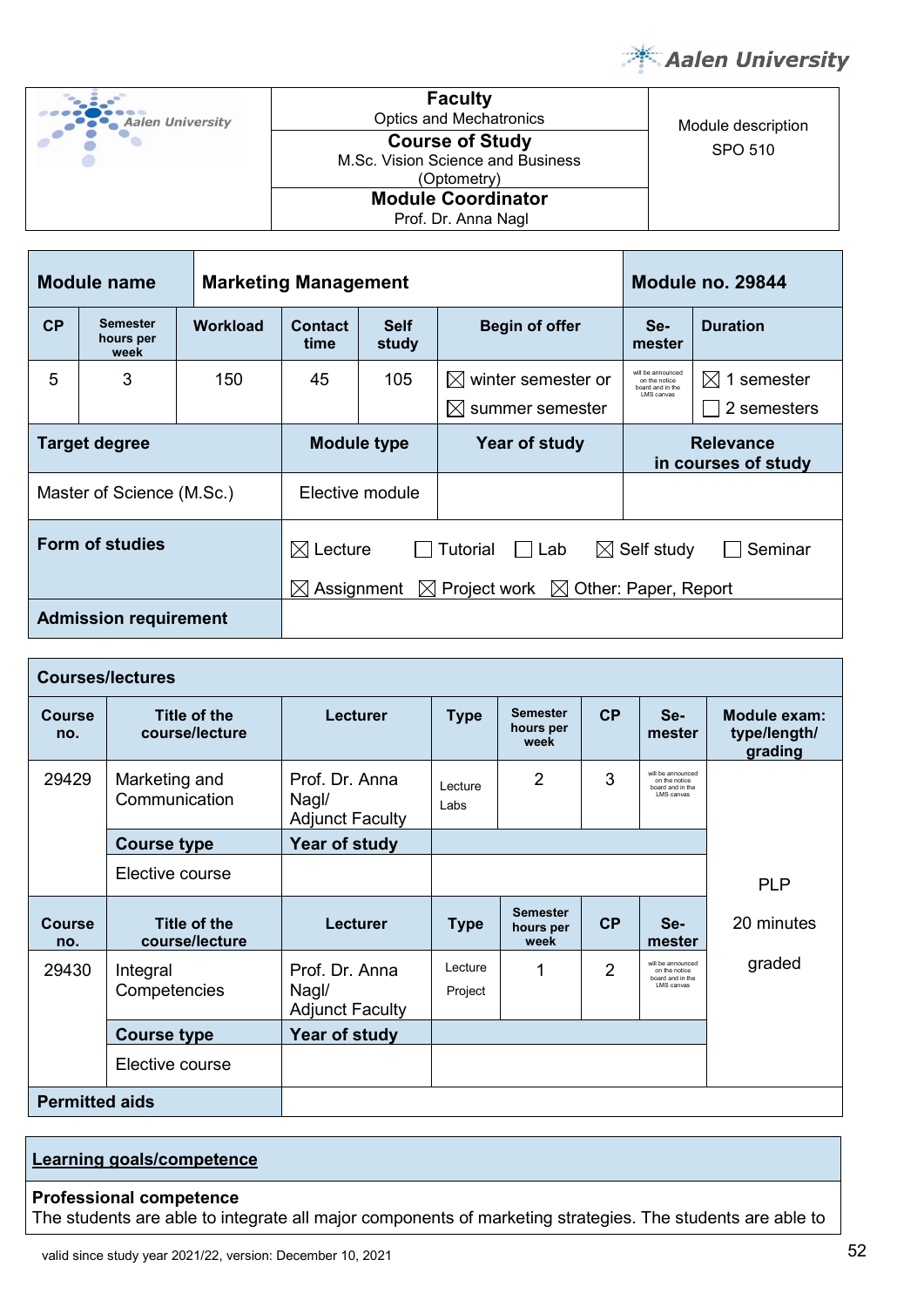

| <b>Aalen University</b> |  |
|-------------------------|--|
|                         |  |

**Faculty** Optics and Mechatronics Module description **Course of Study** M.Sc. Vision Science and Business (Optometry) **Module Coordinator**

Prof. Dr. Anna Nagl

| Module description |
|--------------------|
| SPO 510            |

| Module name<br><b>Marketing Management</b> |                               |                 |                                                                                                                                                                                     |  | Module no. 29844                                                      |                                         |                 |
|--------------------------------------------|-------------------------------|-----------------|-------------------------------------------------------------------------------------------------------------------------------------------------------------------------------------|--|-----------------------------------------------------------------------|-----------------------------------------|-----------------|
| CP                                         | Semester<br>hours per<br>week | <b>Workload</b> | <b>Self</b><br><b>Contact</b><br>study<br>time                                                                                                                                      |  | <b>Begin of offer</b>                                                 | Se-<br>mester                           | <b>Duration</b> |
| 5                                          | 3                             | 150             | $\boxtimes$ winter semester or<br>45<br>105<br>summer semester<br>$\bowtie$                                                                                                         |  | will be announced<br>on the notice<br>board and in the<br>I MS canvas | $\boxtimes$ 1 semester<br>2 semesters   |                 |
| <b>Target degree</b>                       |                               |                 | <b>Module type</b>                                                                                                                                                                  |  | Year of study                                                         | <b>Relevance</b><br>in courses of study |                 |
| Master of Science (M.Sc.)                  |                               |                 | Elective module                                                                                                                                                                     |  |                                                                       |                                         |                 |
|                                            | <b>Form of studies</b>        |                 | $\boxtimes$ Lecture<br>Self study<br>Tutorial<br>$\bowtie$<br>Seminar<br>Lab<br>$\mathbf{I}$<br>$\boxtimes$ Project work $\boxtimes$ Other: Paper, Report<br>$\boxtimes$ Assignment |  |                                                                       |                                         |                 |
|                                            | <b>Admission requirement</b>  |                 |                                                                                                                                                                                     |  |                                                                       |                                         |                 |

| <b>Courses/lectures</b>                         |                                |                                                   |                                        |                                      |                                                                       |                                                                      |                                         |
|-------------------------------------------------|--------------------------------|---------------------------------------------------|----------------------------------------|--------------------------------------|-----------------------------------------------------------------------|----------------------------------------------------------------------|-----------------------------------------|
| Course<br>no.                                   | Title of the<br>course/lecture | Lecturer                                          | <b>Type</b>                            | <b>Semester</b><br>hours per<br>week | CP                                                                    | Se-<br>mester                                                        | Module exam:<br>type/length/<br>grading |
| 29429<br>Marketing and<br>Communication         |                                | Prof. Dr. Anna<br>Nagl/<br><b>Adjunct Faculty</b> | 3<br>$\overline{2}$<br>Lecture<br>Labs |                                      | will be announced<br>on the notice<br>board and in the<br>I MS canvas |                                                                      |                                         |
|                                                 | <b>Course type</b>             | Year of study                                     |                                        |                                      |                                                                       |                                                                      |                                         |
| Elective course                                 |                                |                                                   |                                        |                                      |                                                                       |                                                                      | <b>PLP</b>                              |
| Title of the<br>Course<br>course/lecture<br>no. |                                | Lecturer                                          | <b>Type</b>                            | <b>Semester</b><br>hours per<br>week | CP                                                                    | Se-<br>mester                                                        | 20 minutes                              |
| 29430<br>Integral<br>Competencies               |                                | Prof. Dr. Anna<br>Nagl/<br><b>Adjunct Faculty</b> | Lecture<br>Project                     | 1                                    | $\mathcal{P}$                                                         | will be announced<br>on the notice<br>board and in the<br>LMS canvas | graded                                  |
|                                                 | <b>Course type</b>             | Year of study                                     |                                        |                                      |                                                                       |                                                                      |                                         |
| Elective course                                 |                                |                                                   |                                        |                                      |                                                                       |                                                                      |                                         |
| <b>Permitted aids</b>                           |                                |                                                   |                                        |                                      |                                                                       |                                                                      |                                         |

# **Learning goals/competence**

#### **Professional competence**

The students are able to integrate all major components of marketing strategies. The students are able to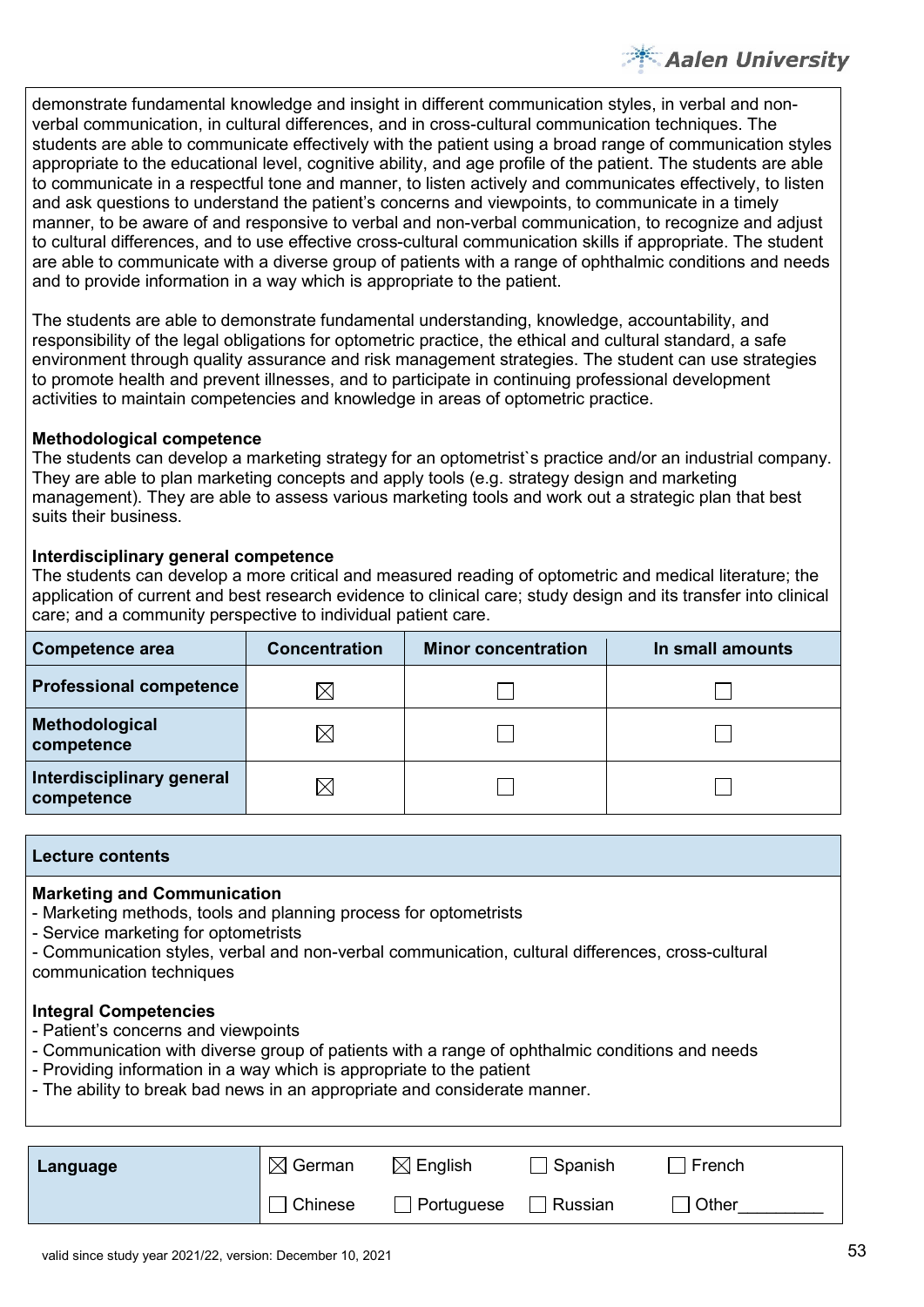demonstrate fundamental knowledge and insight in different communication styles, in verbal and nonverbal communication, in cultural differences, and in cross-cultural communication techniques. The students are able to communicate effectively with the patient using a broad range of communication styles appropriate to the educational level, cognitive ability, and age profile of the patient. The students are able to communicate in a respectful tone and manner, to listen actively and communicates effectively, to listen and ask questions to understand the patient's concerns and viewpoints, to communicate in a timely manner, to be aware of and responsive to verbal and non-verbal communication, to recognize and adjust to cultural differences, and to use effective cross-cultural communication skills if appropriate. The student are able to communicate with a diverse group of patients with a range of ophthalmic conditions and needs and to provide information in a way which is appropriate to the patient.

The students are able to demonstrate fundamental understanding, knowledge, accountability, and responsibility of the legal obligations for optometric practice, the ethical and cultural standard, a safe environment through quality assurance and risk management strategies. The student can use strategies to promote health and prevent illnesses, and to participate in continuing professional development activities to maintain competencies and knowledge in areas of optometric practice.

#### **Methodological competence**

The students can develop a marketing strategy for an optometrist`s practice and/or an industrial company. They are able to plan marketing concepts and apply tools (e.g. strategy design and marketing management). They are able to assess various marketing tools and work out a strategic plan that best suits their business.

#### **Interdisciplinary general competence**

The students can develop a more critical and measured reading of optometric and medical literature; the application of current and best research evidence to clinical care; study design and its transfer into clinical care; and a community perspective to individual patient care.

| Competence area                         | <b>Concentration</b> | <b>Minor concentration</b> | In small amounts |  |
|-----------------------------------------|----------------------|----------------------------|------------------|--|
| <b>Professional competence</b>          |                      |                            |                  |  |
| Methodological<br>competence            | $\times$             |                            |                  |  |
| Interdisciplinary general<br>competence |                      |                            |                  |  |

#### **Lecture contents**

#### **Marketing and Communication**

- Marketing methods, tools and planning process for optometrists
- Service marketing for optometrists
- Communication styles, verbal and non-verbal communication, cultural differences, cross-cultural communication techniques

## **Integral Competencies**

- Patient's concerns and viewpoints
- Communication with diverse group of patients with a range of ophthalmic conditions and needs
- Providing information in a way which is appropriate to the patient
- The ability to break bad news in an appropriate and considerate manner.

| Language | $\boxtimes$ German | $\boxtimes$ English | Spanish | French |
|----------|--------------------|---------------------|---------|--------|
|          | Chinese            | Portuguese          | Russian | Other  |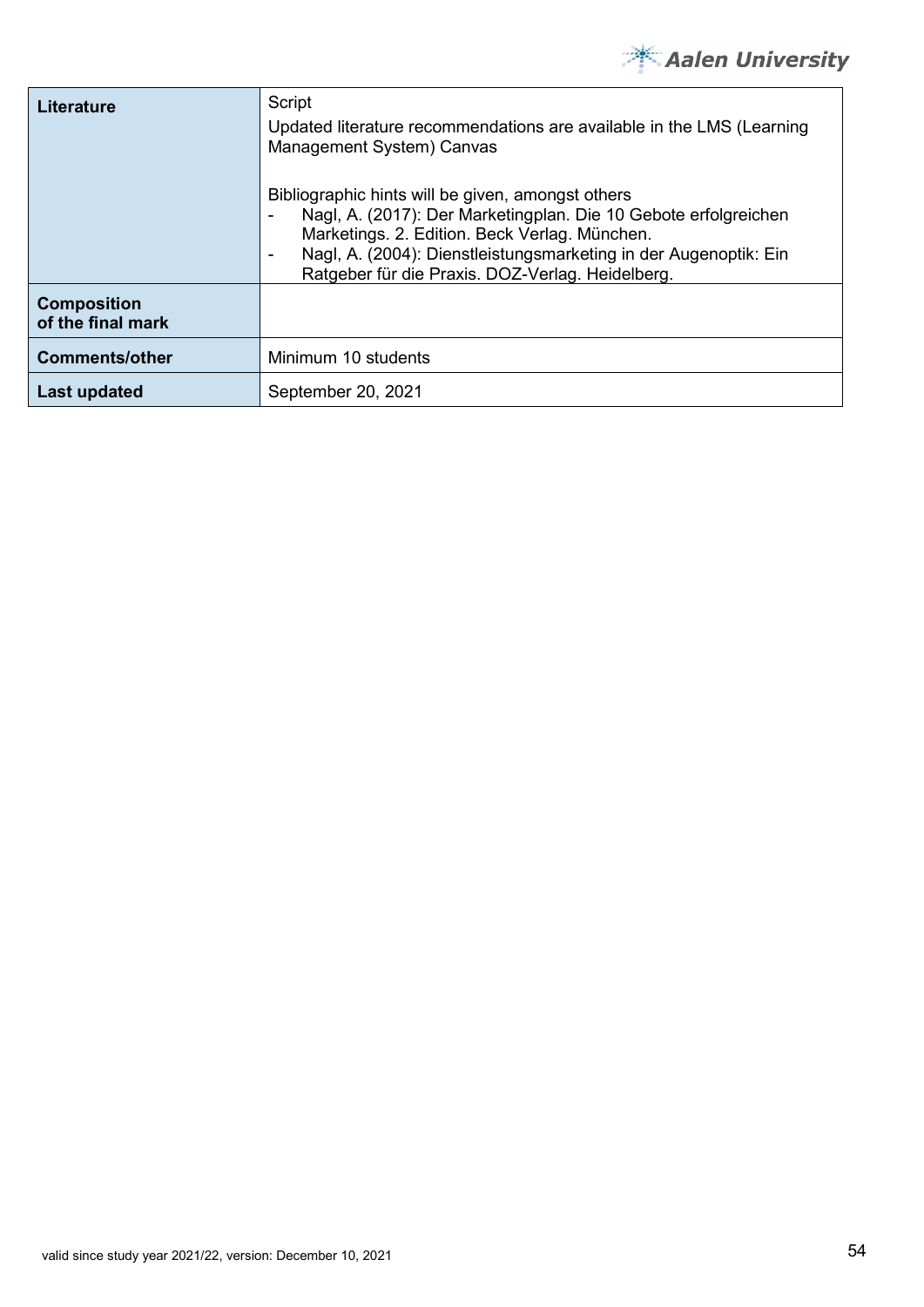

| Literature                              | Script<br>Updated literature recommendations are available in the LMS (Learning<br>Management System) Canvas<br>Bibliographic hints will be given, amongst others<br>Nagl, A. (2017): Der Marketingplan. Die 10 Gebote erfolgreichen<br>Marketings. 2. Edition. Beck Verlag. München.<br>Nagl, A. (2004): Dienstleistungsmarketing in der Augenoptik: Ein<br>Ratgeber für die Praxis. DOZ-Verlag. Heidelberg. |
|-----------------------------------------|---------------------------------------------------------------------------------------------------------------------------------------------------------------------------------------------------------------------------------------------------------------------------------------------------------------------------------------------------------------------------------------------------------------|
| <b>Composition</b><br>of the final mark |                                                                                                                                                                                                                                                                                                                                                                                                               |
| <b>Comments/other</b>                   | Minimum 10 students                                                                                                                                                                                                                                                                                                                                                                                           |
| Last updated                            | September 20, 2021                                                                                                                                                                                                                                                                                                                                                                                            |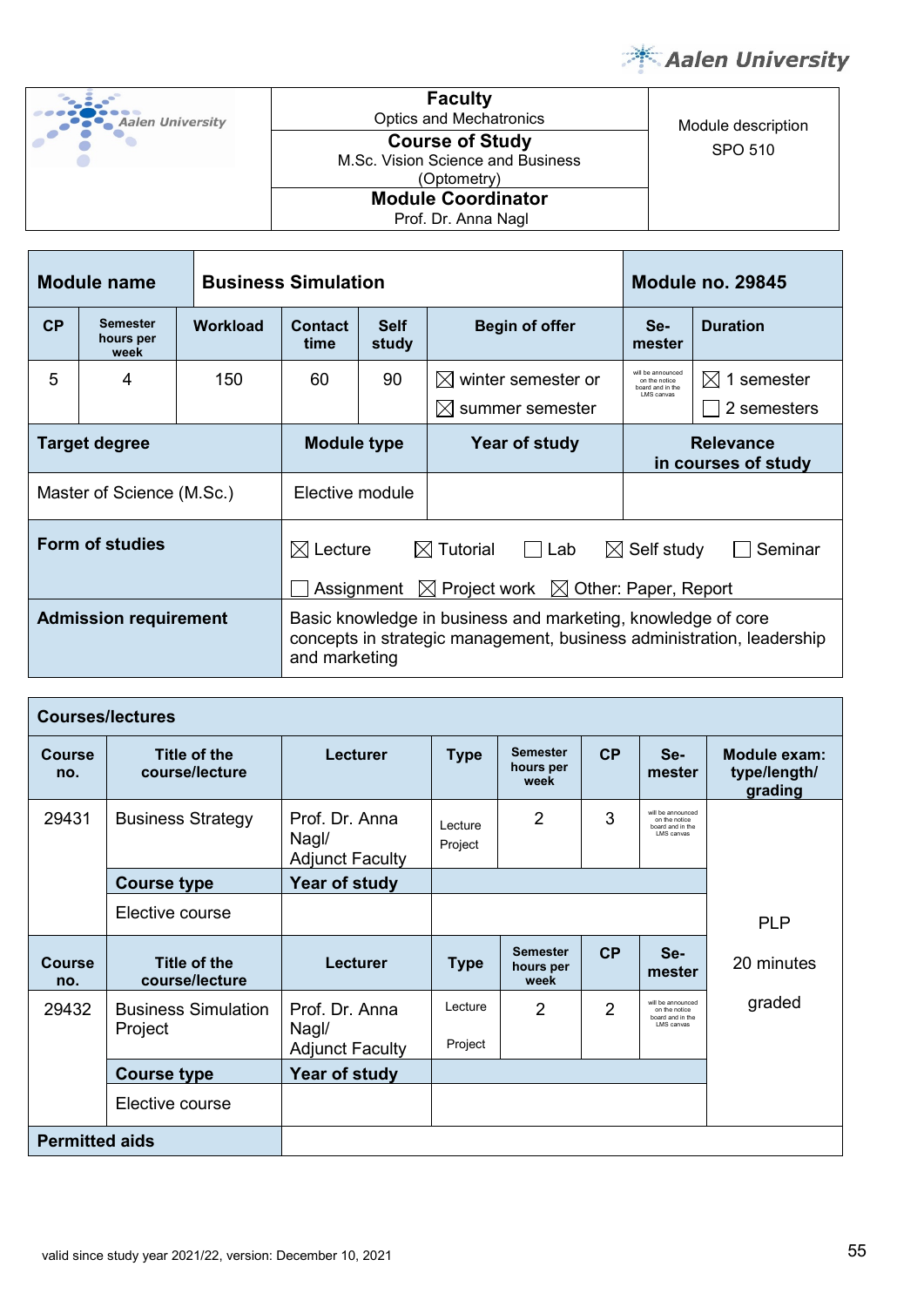

| <b>Aalen University</b> |
|-------------------------|
|                         |

Г

**Faculty** Optics and Mechatronics Module description M.Sc. Vision Science and Business (Optometry)

| <b>Course of Study</b><br>M.Sc. Vision Science and Business<br>(Optometry) | SPO 510 |
|----------------------------------------------------------------------------|---------|
| <b>Module Coordinator</b><br>Prof. Dr. Anna Nagl                           |         |
|                                                                            |         |

| Module name               |                                      | <b>Business Simulation</b> |                                                                                                                                                                           |  |                                                   | <b>Module no. 29845</b>                                               |                                |
|---------------------------|--------------------------------------|----------------------------|---------------------------------------------------------------------------------------------------------------------------------------------------------------------------|--|---------------------------------------------------|-----------------------------------------------------------------------|--------------------------------|
| CP                        | <b>Semester</b><br>hours per<br>week | <b>Workload</b>            | Contact<br><b>Self</b><br>study<br>time                                                                                                                                   |  | <b>Begin of offer</b>                             | Se-<br>mester                                                         | <b>Duration</b>                |
| 5                         | 4                                    | 150                        | 90<br>60                                                                                                                                                                  |  | $\boxtimes$ winter semester or<br>summer semester | will be announced<br>on the notice<br>hoard and in the<br>I MS canvas | M<br>1 semester<br>2 semesters |
| Target degree             |                                      |                            | <b>Module type</b>                                                                                                                                                        |  | Year of study                                     | <b>Relevance</b><br>in courses of study                               |                                |
| Master of Science (M.Sc.) |                                      |                            | Elective module                                                                                                                                                           |  |                                                   |                                                                       |                                |
|                           | Form of studies                      |                            | $\boxtimes$ Lecture<br>$\boxtimes$ Tutorial<br>$\Box$ Lab<br>$\boxtimes$ Self study<br>Seminar<br>$\boxtimes$ Project work $\boxtimes$ Other: Paper, Report<br>Assignment |  |                                                   |                                                                       |                                |
|                           | <b>Admission requirement</b>         |                            | Basic knowledge in business and marketing, knowledge of core<br>concepts in strategic management, business administration, leadership<br>and marketing                    |  |                                                   |                                                                       |                                |

| <b>Courses/lectures</b> |                                       |                                                   |                                                                            |                                      |                                         |                                                                       |            |  |
|-------------------------|---------------------------------------|---------------------------------------------------|----------------------------------------------------------------------------|--------------------------------------|-----------------------------------------|-----------------------------------------------------------------------|------------|--|
| <b>Course</b><br>no.    | Title of the<br>course/lecture        | <b>Lecturer</b>                                   | <b>Semester</b><br>CP<br>Se-<br><b>Type</b><br>hours per<br>mester<br>week |                                      | Module exam:<br>type/length/<br>grading |                                                                       |            |  |
| 29431                   | <b>Business Strategy</b>              | Prof. Dr. Anna<br>Nagl/<br><b>Adjunct Faculty</b> | Lecture<br>Project                                                         | 2                                    | 3                                       | will be announced<br>on the notice<br>board and in the<br>I MS canvas |            |  |
|                         | <b>Course type</b>                    | Year of study                                     |                                                                            |                                      |                                         |                                                                       |            |  |
|                         | Elective course                       |                                                   |                                                                            |                                      |                                         |                                                                       | <b>PLP</b> |  |
| <b>Course</b><br>no.    | Title of the<br>course/lecture        | <b>Lecturer</b>                                   | <b>Type</b>                                                                | <b>Semester</b><br>hours per<br>week | CP                                      | Se-<br>mester                                                         | 20 minutes |  |
| 29432                   | <b>Business Simulation</b><br>Project | Prof. Dr. Anna<br>Nagl/<br><b>Adjunct Faculty</b> | Lecture<br>$\overline{2}$<br>Project                                       |                                      | $\overline{2}$                          | will be announced<br>on the notice<br>board and in the<br>LMS canvas  | graded     |  |
|                         | <b>Course type</b>                    | Year of study                                     |                                                                            |                                      |                                         |                                                                       |            |  |
|                         | Elective course                       |                                                   |                                                                            |                                      |                                         |                                                                       |            |  |
| <b>Permitted aids</b>   |                                       |                                                   |                                                                            |                                      |                                         |                                                                       |            |  |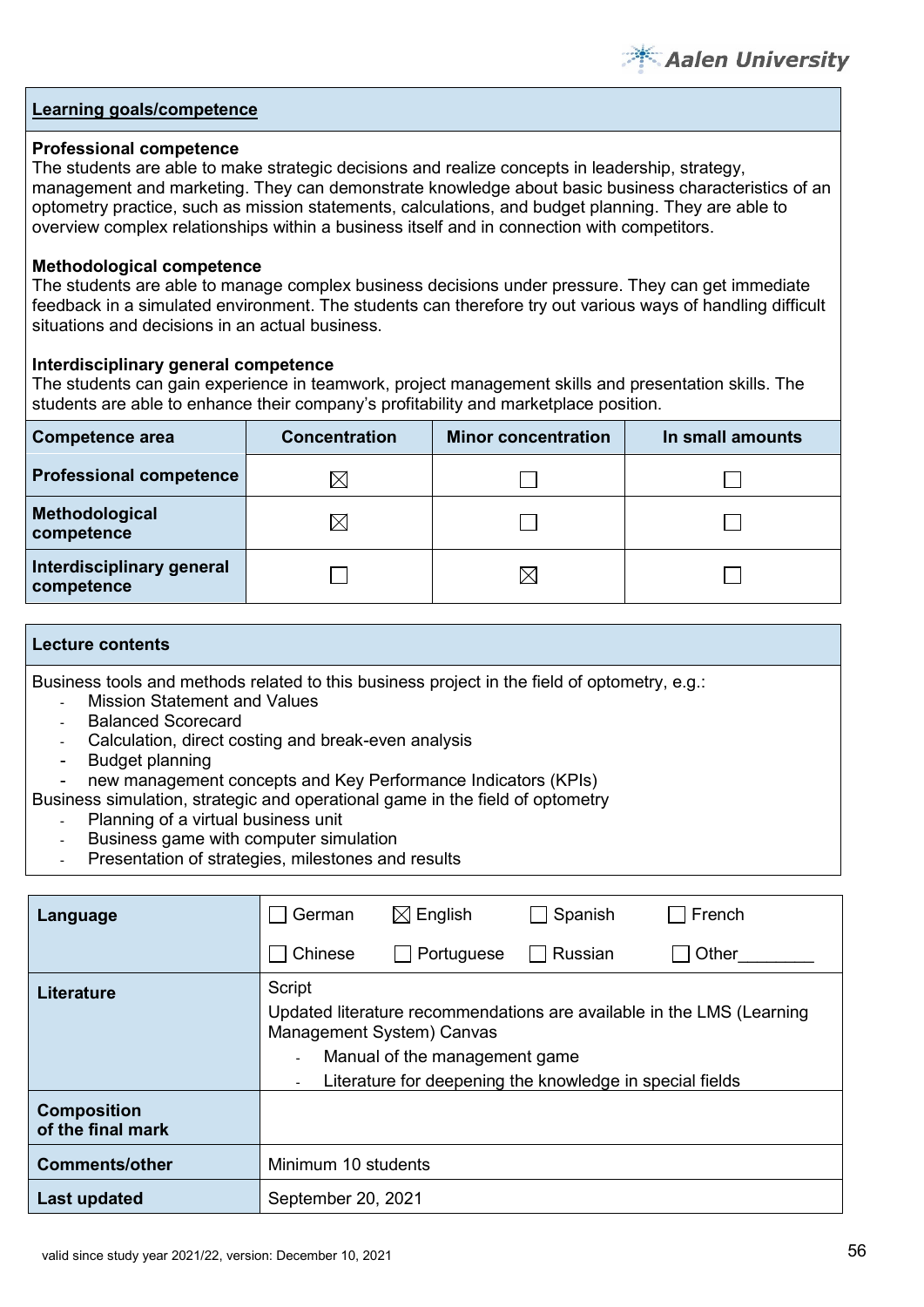

#### **Professional competence**

The students are able to make strategic decisions and realize concepts in leadership, strategy, management and marketing. They can demonstrate knowledge about basic business characteristics of an optometry practice, such as mission statements, calculations, and budget planning. They are able to overview complex relationships within a business itself and in connection with competitors.

#### **Methodological competence**

The students are able to manage complex business decisions under pressure. They can get immediate feedback in a simulated environment. The students can therefore try out various ways of handling difficult situations and decisions in an actual business.

#### **Interdisciplinary general competence**

The students can gain experience in teamwork, project management skills and presentation skills. The students are able to enhance their company's profitability and marketplace position.

| <b>Competence area</b>                  | <b>Concentration</b> | <b>Minor concentration</b> | In small amounts |
|-----------------------------------------|----------------------|----------------------------|------------------|
| <b>Professional competence</b>          | IX                   |                            |                  |
| Methodological<br>competence            | $\boxtimes$          |                            |                  |
| Interdisciplinary general<br>competence |                      |                            |                  |

#### **Lecture contents**

Business tools and methods related to this business project in the field of optometry, e.g.:

- **Mission Statement and Values**
- Balanced Scorecard
- Calculation, direct costing and break-even analysis
- Budget planning
- new management concepts and Key Performance Indicators (KPIs)
- Business simulation, strategic and operational game in the field of optometry
	- Planning of a virtual business unit
	- Business game with computer simulation
	- Presentation of strategies, milestones and results

| Language                                | German                                                                                                                                                                                                    | $\boxtimes$ English | Spanish | French |  |  |  |
|-----------------------------------------|-----------------------------------------------------------------------------------------------------------------------------------------------------------------------------------------------------------|---------------------|---------|--------|--|--|--|
|                                         | Chinese                                                                                                                                                                                                   | Portuguese          | Russian | Other  |  |  |  |
| <b>Literature</b>                       | Script<br>Updated literature recommendations are available in the LMS (Learning<br>Management System) Canvas<br>Manual of the management game<br>Literature for deepening the knowledge in special fields |                     |         |        |  |  |  |
| <b>Composition</b><br>of the final mark |                                                                                                                                                                                                           |                     |         |        |  |  |  |
| <b>Comments/other</b>                   | Minimum 10 students                                                                                                                                                                                       |                     |         |        |  |  |  |
| Last updated                            | September 20, 2021                                                                                                                                                                                        |                     |         |        |  |  |  |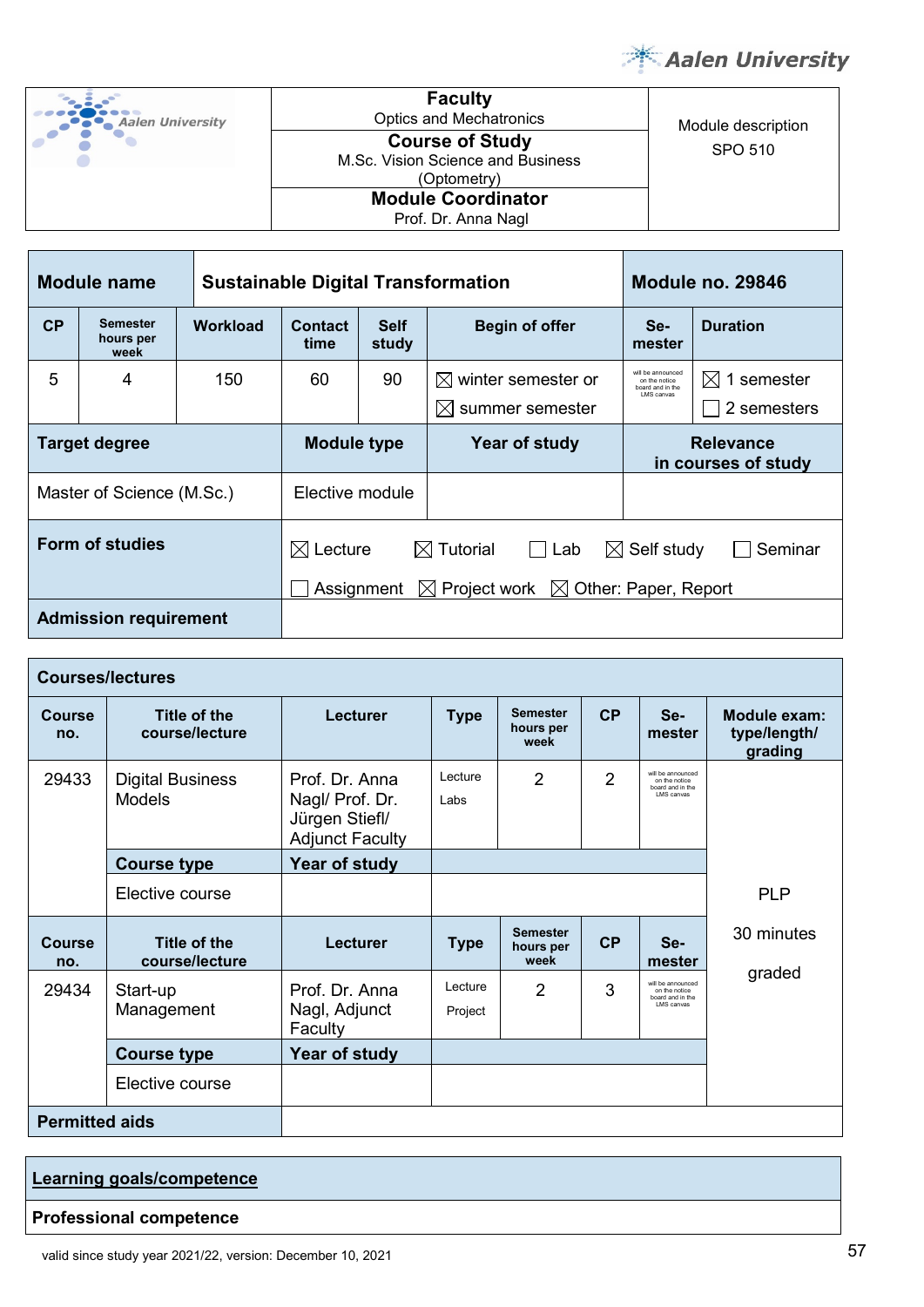

| Aalen University | <b>Faculty</b><br><b>Optics and Mechatronics</b>                           | Module description |
|------------------|----------------------------------------------------------------------------|--------------------|
|                  | <b>Course of Study</b><br>M.Sc. Vision Science and Business<br>(Optometry) | SPO 510            |
|                  | <b>Module Coordinator</b><br>Prof. Dr. Anna Nagl                           |                    |

| <b>Module name</b>           |                                      |                 | <b>Sustainable Digital Transformation</b>                                                                                                                      |                      |                                                               |                                                                       | Module no. 29846                      |  |
|------------------------------|--------------------------------------|-----------------|----------------------------------------------------------------------------------------------------------------------------------------------------------------|----------------------|---------------------------------------------------------------|-----------------------------------------------------------------------|---------------------------------------|--|
| CP                           | <b>Semester</b><br>hours per<br>week | <b>Workload</b> | <b>Contact</b><br>time                                                                                                                                         | <b>Self</b><br>study | <b>Begin of offer</b>                                         | Se-<br>mester                                                         | <b>Duration</b>                       |  |
| 5                            | 4                                    | 150             | 60                                                                                                                                                             | 90                   | $\boxtimes$ winter semester or<br>$\boxtimes$ summer semester | will be announced<br>on the notice<br>board and in the<br>I MS canvas | $\boxtimes$ 1 semester<br>2 semesters |  |
| <b>Target degree</b>         |                                      |                 | <b>Module type</b><br>Year of study                                                                                                                            |                      | <b>Relevance</b><br>in courses of study                       |                                                                       |                                       |  |
| Master of Science (M.Sc.)    |                                      |                 | Elective module                                                                                                                                                |                      |                                                               |                                                                       |                                       |  |
|                              | Form of studies                      |                 | $\boxtimes$ Tutorial<br>$\boxtimes$ Lecture<br>$\boxtimes$ Self study<br>$\Box$ Lab<br>$\boxtimes$ Project work $\boxtimes$ Other: Paper, Report<br>Assignment |                      |                                                               |                                                                       | Seminar                               |  |
| <b>Admission requirement</b> |                                      |                 |                                                                                                                                                                |                      |                                                               |                                                                       |                                       |  |

| <b>Courses/lectures</b> |                                          |                                                                               |                                                                              |                                      |                                         |                                                                       |            |  |
|-------------------------|------------------------------------------|-------------------------------------------------------------------------------|------------------------------------------------------------------------------|--------------------------------------|-----------------------------------------|-----------------------------------------------------------------------|------------|--|
| <b>Course</b><br>no.    | Title of the<br>course/lecture           | Lecturer                                                                      | CP<br><b>Semester</b><br>$Se-$<br><b>Type</b><br>hours per<br>mester<br>week |                                      | Module exam:<br>type/length/<br>grading |                                                                       |            |  |
| 29433                   | <b>Digital Business</b><br><b>Models</b> | Prof. Dr. Anna<br>Nagl/ Prof. Dr.<br>Jürgen Stiefl/<br><b>Adjunct Faculty</b> | Lecture<br>Labs                                                              | $\overline{2}$                       | $\overline{2}$                          | will be announced.<br>on the notice<br>board and in the<br>LMS canvas |            |  |
|                         | <b>Course type</b>                       | Year of study                                                                 |                                                                              |                                      |                                         |                                                                       |            |  |
|                         | Elective course                          |                                                                               |                                                                              |                                      |                                         |                                                                       | <b>PLP</b> |  |
| <b>Course</b><br>no.    | Title of the<br>course/lecture           | Lecturer                                                                      | <b>Type</b>                                                                  | <b>Semester</b><br>hours per<br>week | <b>CP</b>                               | Se-<br>mester                                                         | 30 minutes |  |
| 29434                   | Start-up<br>Management                   | Prof. Dr. Anna<br>Nagl, Adjunct<br>Faculty                                    | Lecture<br>Project                                                           | $\overline{2}$                       | 3                                       | will be announced<br>on the notice<br>board and in the<br>LMS canvas  | graded     |  |
|                         | <b>Course type</b>                       | Year of study                                                                 |                                                                              |                                      |                                         |                                                                       |            |  |
|                         | Elective course                          |                                                                               |                                                                              |                                      |                                         |                                                                       |            |  |
| <b>Permitted aids</b>   |                                          |                                                                               |                                                                              |                                      |                                         |                                                                       |            |  |

| Learning goals/competence      |  |
|--------------------------------|--|
| <b>Professional competence</b> |  |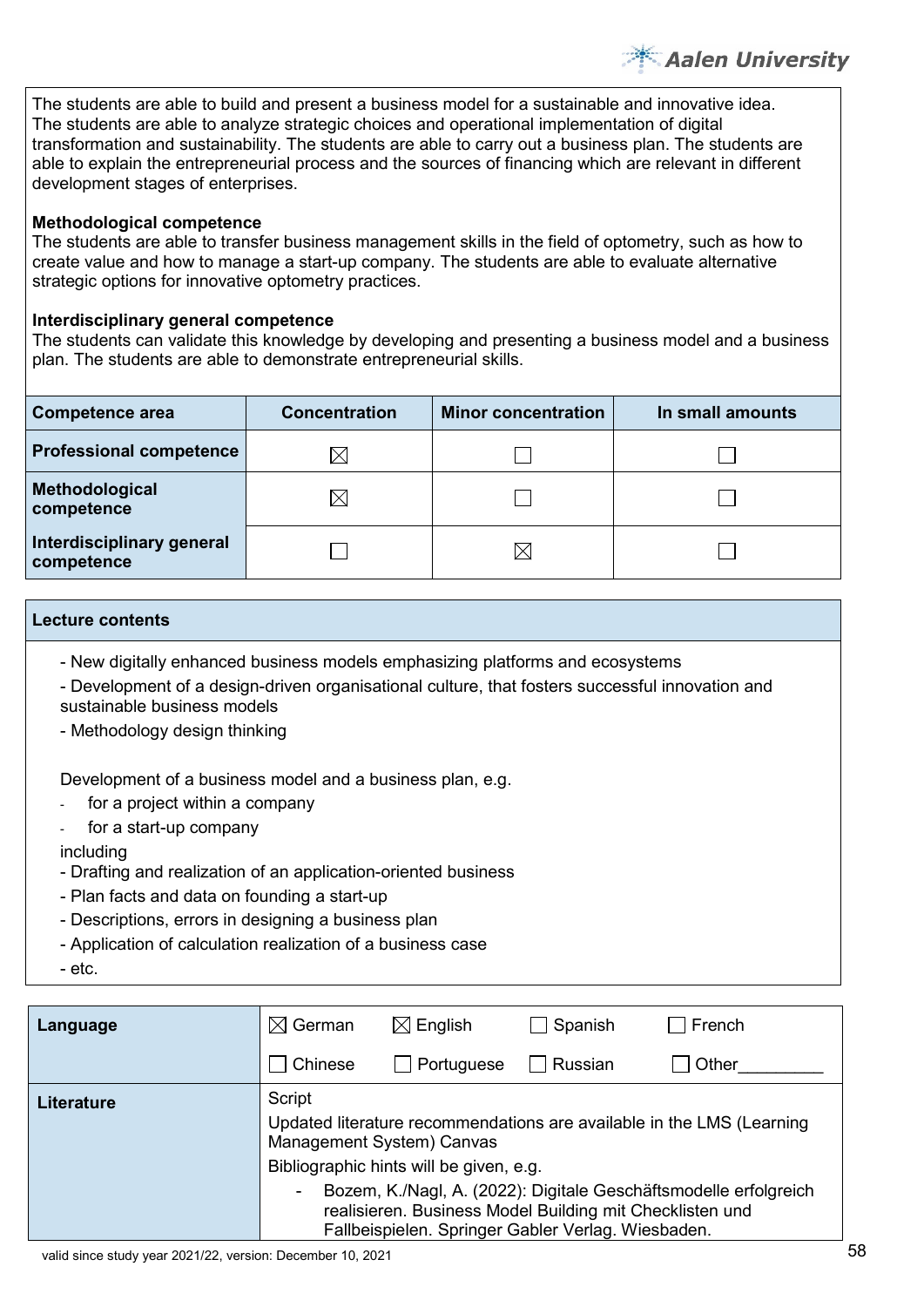The students are able to build and present a business model for a sustainable and innovative idea. The students are able to analyze strategic choices and operational implementation of digital transformation and sustainability. The students are able to carry out a business plan. The students are able to explain the entrepreneurial process and the sources of financing which are relevant in different development stages of enterprises.

# **Methodological competence**

The students are able to transfer business management skills in the field of optometry, such as how to create value and how to manage a start-up company. The students are able to evaluate alternative strategic options for innovative optometry practices.

# **Interdisciplinary general competence**

The students can validate this knowledge by developing and presenting a business model and a business plan. The students are able to demonstrate entrepreneurial skills.

| <b>Competence area</b>                  | <b>Concentration</b> | <b>Minor concentration</b> | In small amounts |
|-----------------------------------------|----------------------|----------------------------|------------------|
| <b>Professional competence</b>          | $\boxtimes$          |                            |                  |
| Methodological<br>competence            | $\times$             |                            |                  |
| Interdisciplinary general<br>competence |                      |                            |                  |

#### **Lecture contents**

- New digitally enhanced business models emphasizing platforms and ecosystems

- Development of a design-driven organisational culture, that fosters successful innovation and sustainable business models
- Methodology design thinking

Development of a business model and a business plan, e.g.

- for a project within a company
- for a start-up company

# including

- Drafting and realization of an application-oriented business
- Plan facts and data on founding a start-up
- Descriptions, errors in designing a business plan
- Application of calculation realization of a business case
- etc.

| Language          | $\boxtimes$ German                  | $\boxtimes$ English                                                                                                                                                                | Spanish | French                                                                |  |  |
|-------------------|-------------------------------------|------------------------------------------------------------------------------------------------------------------------------------------------------------------------------------|---------|-----------------------------------------------------------------------|--|--|
|                   | Chinese                             | Portuguese                                                                                                                                                                         | Russian | Other                                                                 |  |  |
| <b>Literature</b> | Script<br>Management System) Canvas | Bibliographic hints will be given, e.g.                                                                                                                                            |         | Updated literature recommendations are available in the LMS (Learning |  |  |
|                   | ٠                                   | Bozem, K./Nagl, A. (2022): Digitale Geschäftsmodelle erfolgreich<br>realisieren. Business Model Building mit Checklisten und<br>Fallbeispielen. Springer Gabler Verlag. Wiesbaden. |         |                                                                       |  |  |

**Aalen University**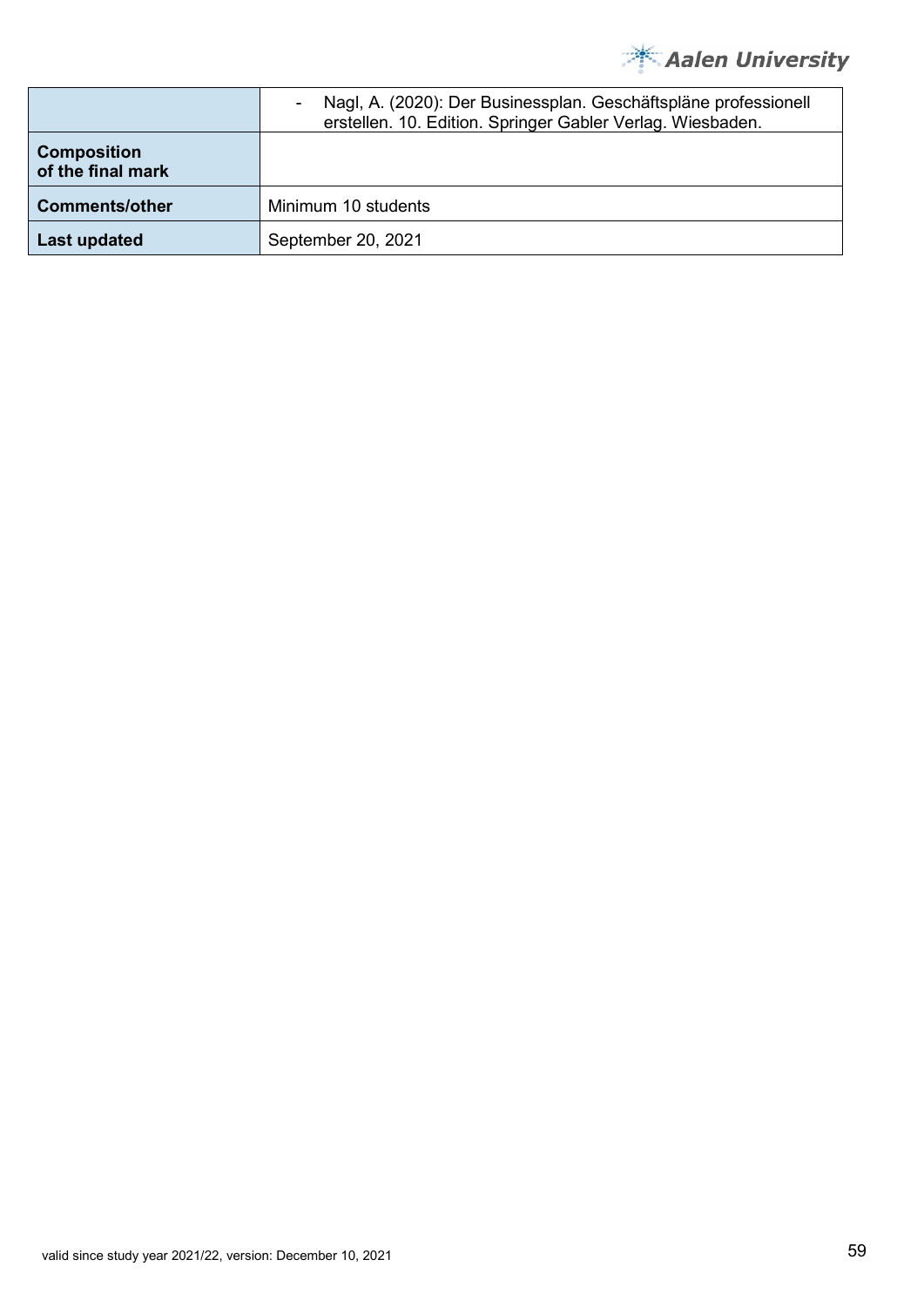

|                                         | Nagl, A. (2020): Der Businessplan. Geschäftspläne professionell<br>erstellen. 10. Edition. Springer Gabler Verlag. Wiesbaden. |
|-----------------------------------------|-------------------------------------------------------------------------------------------------------------------------------|
| <b>Composition</b><br>of the final mark |                                                                                                                               |
| <b>Comments/other</b>                   | Minimum 10 students                                                                                                           |
| Last updated                            | September 20, 2021                                                                                                            |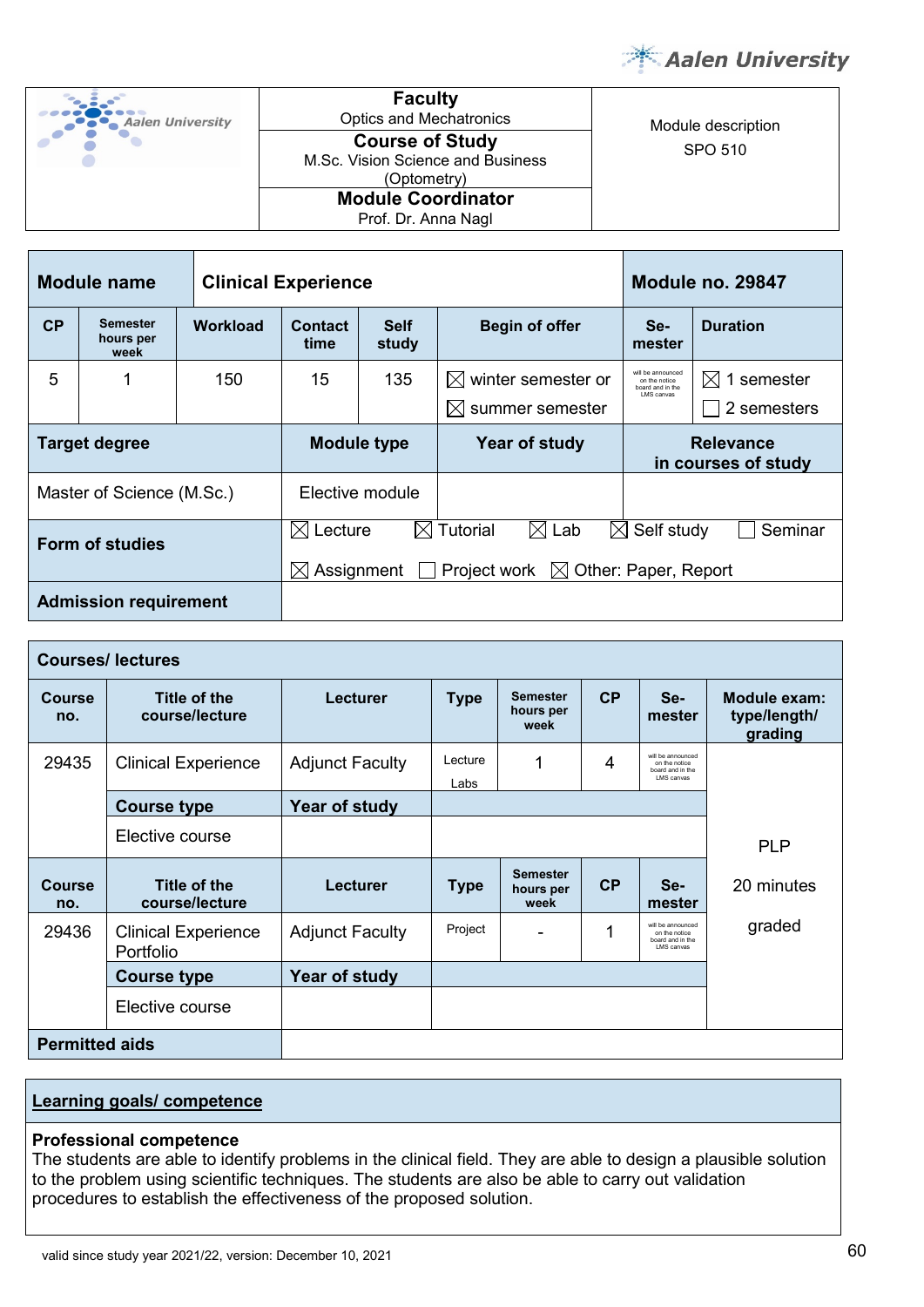

Module description



**Faculty**<br>Optics and Mechatronics **Course of Study** SPO 510 M.Sc. Vision Science and Business (Optometry) **Module Coordinator** Prof. Dr. Anna Nagl

| Module name                  |                                      |                 | <b>Clinical Experience</b>                                                                                                                                                      |                                               |                                                                |                                                                       | <b>Module no. 29847</b>               |  |  |
|------------------------------|--------------------------------------|-----------------|---------------------------------------------------------------------------------------------------------------------------------------------------------------------------------|-----------------------------------------------|----------------------------------------------------------------|-----------------------------------------------------------------------|---------------------------------------|--|--|
| CP                           | <b>Semester</b><br>hours per<br>week | <b>Workload</b> | Contact<br>time                                                                                                                                                                 | <b>Self</b><br><b>Begin of offer</b><br>study |                                                                | Se-<br>mester                                                         | <b>Duration</b>                       |  |  |
| 5                            |                                      | 150             | 15                                                                                                                                                                              | 135                                           | $\boxtimes$ winter semester or<br>summer semester<br>$\bowtie$ | will be announced<br>on the notice<br>board and in the<br>I MS canvas | $\boxtimes$ 1 semester<br>2 semesters |  |  |
| <b>Target degree</b>         |                                      |                 | <b>Module type</b><br>Year of study                                                                                                                                             |                                               | <b>Relevance</b><br>in courses of study                        |                                                                       |                                       |  |  |
|                              | Master of Science (M.Sc.)            |                 | Elective module                                                                                                                                                                 |                                               |                                                                |                                                                       |                                       |  |  |
| Form of studies              |                                      |                 | $\boxtimes$ Lab<br>$\boxtimes$ Tutorial<br>$\boxtimes$ Self study<br>$\boxtimes$ Lecture<br>Seminar<br>Project work $\boxtimes$ Other: Paper, Report<br>Assignment<br>$\bowtie$ |                                               |                                                                |                                                                       |                                       |  |  |
| <b>Admission requirement</b> |                                      |                 |                                                                                                                                                                                 |                                               |                                                                |                                                                       |                                       |  |  |

| <b>Courses/lectures</b> |                                         |                        |                 |                                      |    |                                                                       |                                         |  |
|-------------------------|-----------------------------------------|------------------------|-----------------|--------------------------------------|----|-----------------------------------------------------------------------|-----------------------------------------|--|
| <b>Course</b><br>no.    | Title of the<br>course/lecture          | <b>Lecturer</b>        | <b>Type</b>     | <b>Semester</b><br>hours per<br>week | CP | Se-<br>mester                                                         | Module exam:<br>type/length/<br>grading |  |
| 29435                   | <b>Clinical Experience</b>              | <b>Adjunct Faculty</b> | Lecture<br>Labs | 1                                    | 4  | will be announced.<br>on the notice<br>board and in the<br>LMS canvas |                                         |  |
|                         | <b>Course type</b>                      | Year of study          |                 |                                      |    |                                                                       |                                         |  |
|                         | Elective course                         |                        |                 |                                      |    | <b>PLP</b>                                                            |                                         |  |
| <b>Course</b><br>no.    | Title of the<br>course/lecture          | Lecturer               | <b>Type</b>     | <b>Semester</b><br>hours per<br>week | CP | Se-<br>mester                                                         | 20 minutes                              |  |
| 29436                   | <b>Clinical Experience</b><br>Portfolio | <b>Adjunct Faculty</b> | Project         |                                      | 1  | will be announced<br>on the notice<br>board and in the<br>LMS canvas  | graded                                  |  |
|                         | <b>Course type</b>                      | Year of study          |                 |                                      |    |                                                                       |                                         |  |
|                         | Elective course                         |                        |                 |                                      |    |                                                                       |                                         |  |
| <b>Permitted aids</b>   |                                         |                        |                 |                                      |    |                                                                       |                                         |  |

# **Learning goals/ competence**

#### **Professional competence**

The students are able to identify problems in the clinical field. They are able to design a plausible solution to the problem using scientific techniques. The students are also be able to carry out validation procedures to establish the effectiveness of the proposed solution.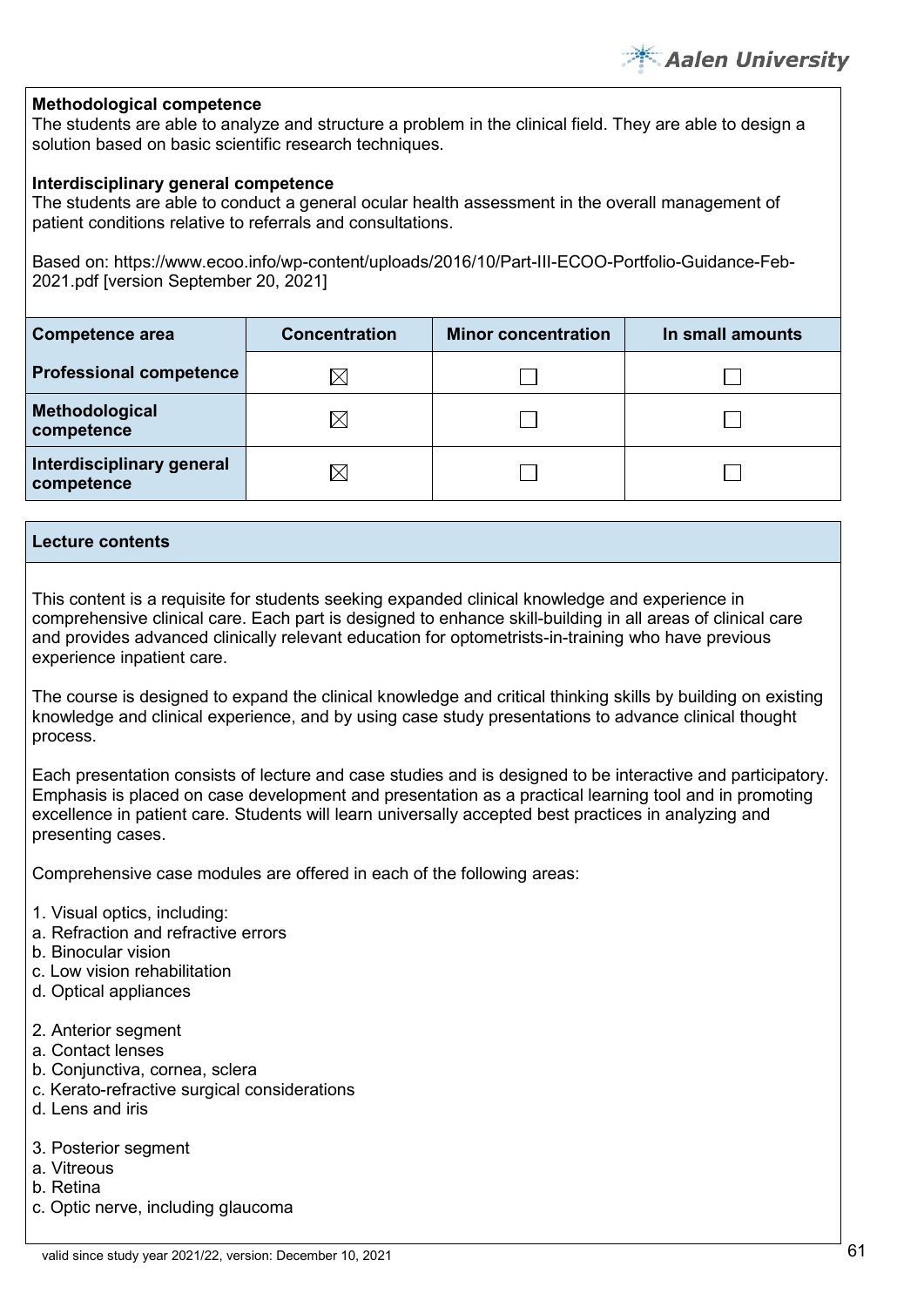#### **Methodological competence**

The students are able to analyze and structure a problem in the clinical field. They are able to design a solution based on basic scientific research techniques.

#### **Interdisciplinary general competence**

The students are able to conduct a general ocular health assessment in the overall management of patient conditions relative to referrals and consultations.

Based on: https://www.ecoo.info/wp-content/uploads/2016/10/Part-III-ECOO-Portfolio-Guidance-Feb-2021.pdf [version September 20, 2021]

| Competence area                         | <b>Concentration</b> | <b>Minor concentration</b> | In small amounts |
|-----------------------------------------|----------------------|----------------------------|------------------|
| <b>Professional competence</b>          | IХ                   |                            |                  |
| Methodological<br>competence            | IХ                   |                            |                  |
| Interdisciplinary general<br>competence | IX                   |                            |                  |

#### **Lecture contents**

This content is a requisite for students seeking expanded clinical knowledge and experience in comprehensive clinical care. Each part is designed to enhance skill-building in all areas of clinical care and provides advanced clinically relevant education for optometrists-in-training who have previous experience inpatient care.

The course is designed to expand the clinical knowledge and critical thinking skills by building on existing knowledge and clinical experience, and by using case study presentations to advance clinical thought process.

Each presentation consists of lecture and case studies and is designed to be interactive and participatory. Emphasis is placed on case development and presentation as a practical learning tool and in promoting excellence in patient care. Students will learn universally accepted best practices in analyzing and presenting cases.

Comprehensive case modules are offered in each of the following areas:

- 1. Visual optics, including:
- a. Refraction and refractive errors
- b. Binocular vision
- c. Low vision rehabilitation
- d. Optical appliances
- 2. Anterior segment
- a. Contact lenses
- b. Conjunctiva, cornea, sclera
- c. Kerato-refractive surgical considerations
- d. Lens and iris
- 3. Posterior segment
- a. Vitreous
- b. Retina
- c. Optic nerve, including glaucoma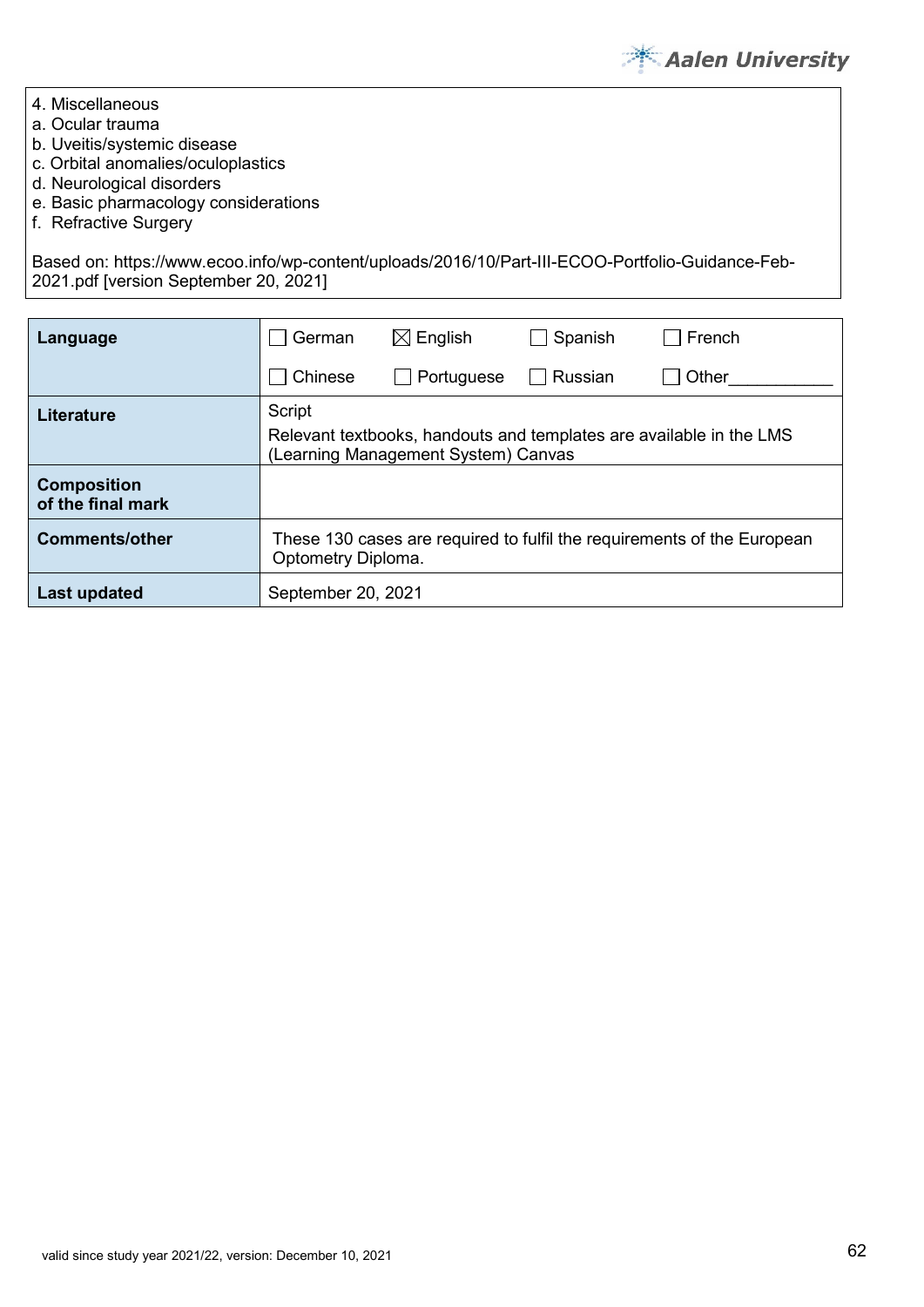

- 4. Miscellaneous
- a. Ocular trauma
- b. Uveitis/systemic disease
- c. Orbital anomalies/oculoplastics
- d. Neurological disorders
- e. Basic pharmacology considerations
- f. Refractive Surgery

Based on: https://www.ecoo.info/wp-content/uploads/2016/10/Part-III-ECOO-Portfolio-Guidance-Feb-2021.pdf [version September 20, 2021]

| Language                                | German                                                                                        | $\boxtimes$ English                 | Spanish | French                                                              |  |
|-----------------------------------------|-----------------------------------------------------------------------------------------------|-------------------------------------|---------|---------------------------------------------------------------------|--|
|                                         | Chinese                                                                                       | Portuguese                          | Russian | Other                                                               |  |
| Literature                              | Script                                                                                        | (Learning Management System) Canvas |         | Relevant textbooks, handouts and templates are available in the LMS |  |
| <b>Composition</b><br>of the final mark |                                                                                               |                                     |         |                                                                     |  |
| <b>Comments/other</b>                   | These 130 cases are required to fulfil the requirements of the European<br>Optometry Diploma. |                                     |         |                                                                     |  |
| Last updated                            | September 20, 2021                                                                            |                                     |         |                                                                     |  |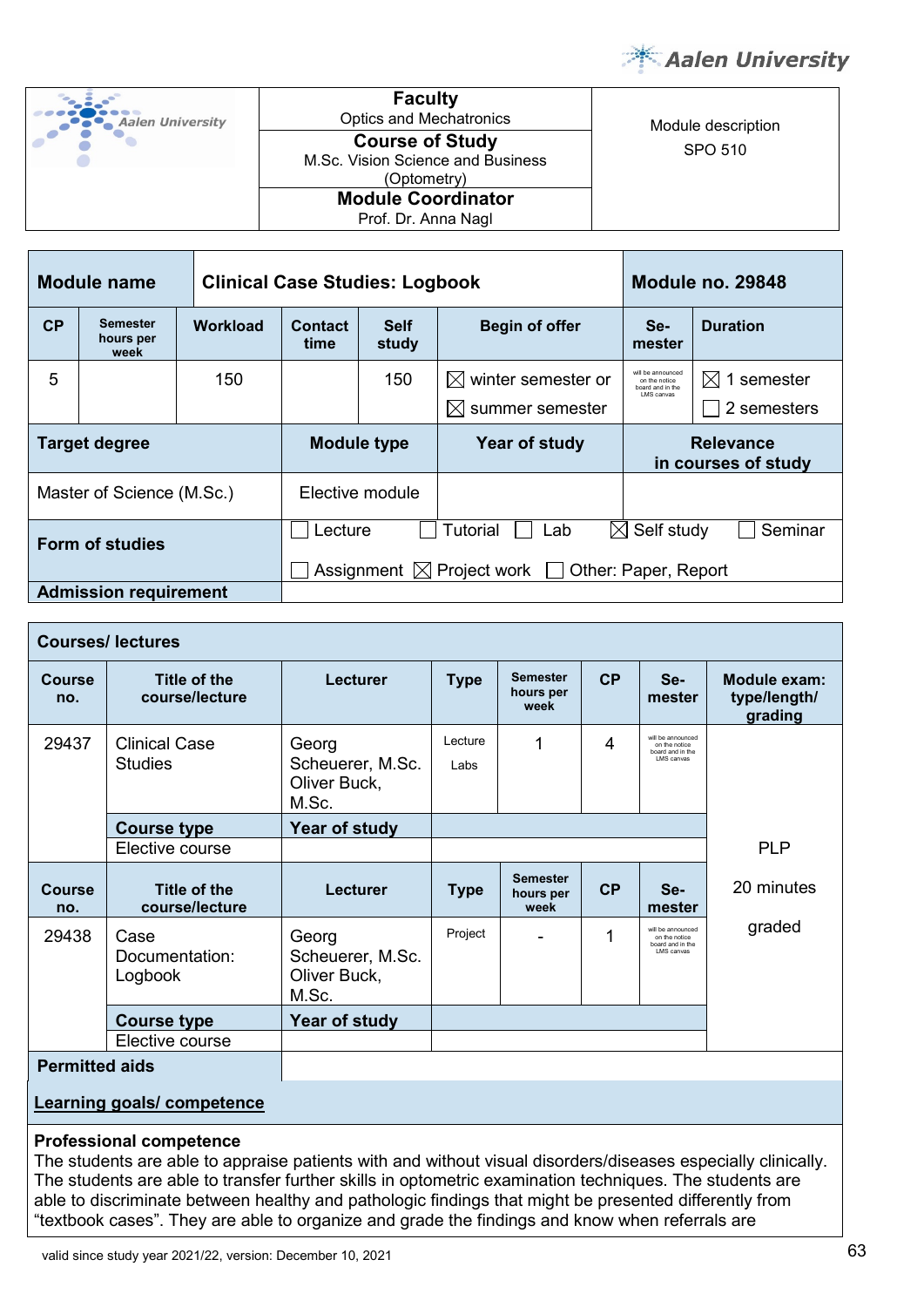

| <b>Aalen University</b> |
|-------------------------|
|                         |

**Faculty**<br>Optics and Mechatronics pucs and Mechatronics<br> **Course of Study**<br>
Course of Study SPO 510 **Course of Study**  M.Sc. Vision Science and Business (Optometry) **Module Coordinator** Prof. Dr. Anna Nagl

|                      | <b>Module name</b>                   | <b>Clinical Case Studies: Logbook</b> |                                                             |                                                                  | Module no. 29848                        |                                                        |                 |
|----------------------|--------------------------------------|---------------------------------------|-------------------------------------------------------------|------------------------------------------------------------------|-----------------------------------------|--------------------------------------------------------|-----------------|
| CP                   | <b>Semester</b><br>hours per<br>week | <b>Workload</b>                       | <b>Contact</b><br>time                                      | <b>Self</b><br>study                                             | <b>Begin of offer</b>                   | Se-<br>mester                                          | <b>Duration</b> |
| 5                    |                                      | 150                                   |                                                             | 150                                                              | winter semester or<br>IХI               | will be announced<br>on the notice<br>board and in the | 1 semester<br>M |
|                      |                                      |                                       |                                                             |                                                                  | summer semester<br>IХI                  | I MS canvas                                            | 2 semesters     |
| <b>Target degree</b> |                                      | <b>Module type</b>                    |                                                             | Year of study                                                    | <b>Relevance</b><br>in courses of study |                                                        |                 |
|                      | Master of Science (M.Sc.)            |                                       | Elective module                                             |                                                                  |                                         |                                                        |                 |
| Form of studies      |                                      |                                       |                                                             | Self study<br>Seminar<br>Lecture<br>Tutorial<br>$\bowtie$<br>Lab |                                         |                                                        |                 |
|                      |                                      |                                       | Assignment $\boxtimes$ Project work<br>Other: Paper, Report |                                                                  |                                         |                                                        |                 |
|                      | <b>Admission requirement</b>         |                                       |                                                             |                                                                  |                                         |                                                        |                 |

| <b>Courses/lectures</b>                    |                                        |                                                    |                 |                                                             |    |                                                                             |                                         |
|--------------------------------------------|----------------------------------------|----------------------------------------------------|-----------------|-------------------------------------------------------------|----|-----------------------------------------------------------------------------|-----------------------------------------|
| Course<br>no.                              | Title of the<br>course/lecture         | <b>Lecturer</b>                                    | <b>Type</b>     | <b>Semester</b><br>CP<br>Se-<br>hours per<br>mester<br>week |    |                                                                             | Module exam:<br>type/length/<br>grading |
| 29437                                      | <b>Clinical Case</b><br><b>Studies</b> | Georg<br>Scheuerer, M.Sc.<br>Oliver Buck,<br>M.Sc. | Lecture<br>Labs | 1                                                           | 4  | will be announced<br>on the notice<br>board and in the<br><b>LMS</b> canvas |                                         |
| <b>Course type</b>                         |                                        | Year of study                                      |                 |                                                             |    |                                                                             |                                         |
|                                            | Elective course                        |                                                    |                 |                                                             |    |                                                                             | <b>PLP</b>                              |
| Course<br>no.                              | <b>Title of the</b><br>course/lecture  | Lecturer                                           | <b>Type</b>     | <b>Semester</b><br>hours per<br>week                        | CP | Se-<br>mester                                                               | 20 minutes                              |
| 29438<br>Case<br>Documentation:<br>Logbook |                                        | Georg<br>Scheuerer, M.Sc.<br>Oliver Buck,<br>M.Sc. | Project         |                                                             |    | will be announced<br>on the notice<br>board and in the<br><b>LMS</b> canvas | graded                                  |
|                                            | <b>Course type</b>                     | Year of study                                      |                 |                                                             |    |                                                                             |                                         |
|                                            | Elective course                        |                                                    |                 |                                                             |    |                                                                             |                                         |
| <b>Permitted aids</b>                      |                                        |                                                    |                 |                                                             |    |                                                                             |                                         |

#### **Learning goals/ competence**

#### **Professional competence**

The students are able to appraise patients with and without visual disorders/diseases especially clinically. The students are able to transfer further skills in optometric examination techniques. The students are able to discriminate between healthy and pathologic findings that might be presented differently from "textbook cases". They are able to organize and grade the findings and know when referrals are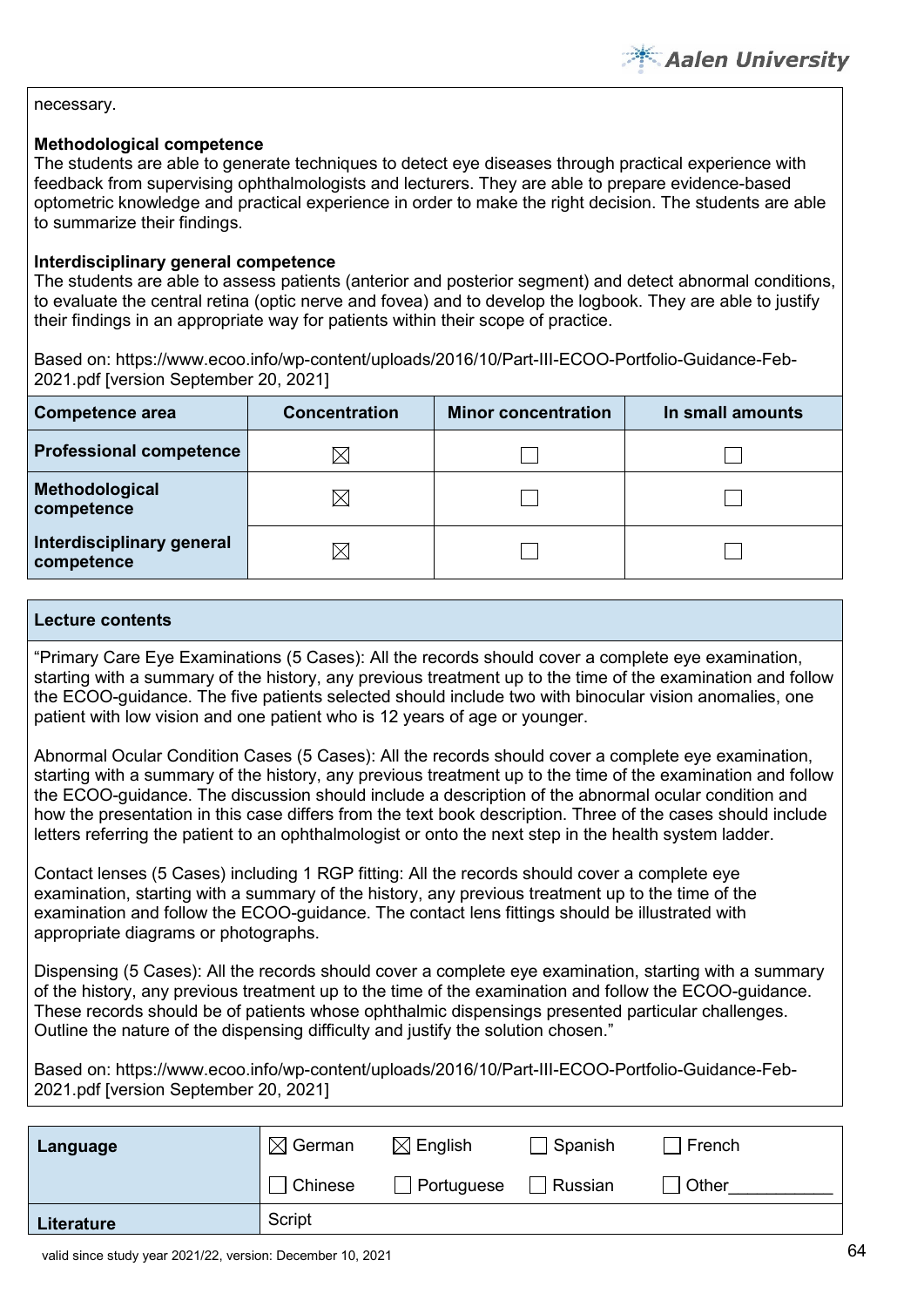#### necessary.

#### **Methodological competence**

The students are able to generate techniques to detect eye diseases through practical experience with feedback from supervising ophthalmologists and lecturers. They are able to prepare evidence-based optometric knowledge and practical experience in order to make the right decision. The students are able to summarize their findings.

#### **Interdisciplinary general competence**

The students are able to assess patients (anterior and posterior segment) and detect abnormal conditions, to evaluate the central retina (optic nerve and fovea) and to develop the logbook. They are able to justify their findings in an appropriate way for patients within their scope of practice.

Based on: https://www.ecoo.info/wp-content/uploads/2016/10/Part-III-ECOO-Portfolio-Guidance-Feb-2021.pdf [version September 20, 2021]

| Competence area                         | <b>Concentration</b> | <b>Minor concentration</b> | In small amounts |
|-----------------------------------------|----------------------|----------------------------|------------------|
| <b>Professional competence</b>          | $\boxtimes$          |                            |                  |
| Methodological<br>competence            | $\boxtimes$          |                            |                  |
| Interdisciplinary general<br>competence | $\boxtimes$          |                            |                  |

#### **Lecture contents**

"Primary Care Eye Examinations (5 Cases): All the records should cover a complete eye examination, starting with a summary of the history, any previous treatment up to the time of the examination and follow the ECOO-guidance. The five patients selected should include two with binocular vision anomalies, one patient with low vision and one patient who is 12 years of age or younger.

Abnormal Ocular Condition Cases (5 Cases): All the records should cover a complete eye examination, starting with a summary of the history, any previous treatment up to the time of the examination and follow the ECOO-guidance. The discussion should include a description of the abnormal ocular condition and how the presentation in this case differs from the text book description. Three of the cases should include letters referring the patient to an ophthalmologist or onto the next step in the health system ladder.

Contact lenses (5 Cases) including 1 RGP fitting: All the records should cover a complete eye examination, starting with a summary of the history, any previous treatment up to the time of the examination and follow the ECOO-guidance. The contact lens fittings should be illustrated with appropriate diagrams or photographs.

Dispensing (5 Cases): All the records should cover a complete eye examination, starting with a summary of the history, any previous treatment up to the time of the examination and follow the ECOO-guidance. These records should be of patients whose ophthalmic dispensings presented particular challenges. Outline the nature of the dispensing difficulty and justify the solution chosen."

Based on: https://www.ecoo.info/wp-content/uploads/2016/10/Part-III-ECOO-Portfolio-Guidance-Feb-2021.pdf [version September 20, 2021]

| Language   | $\boxtimes$ German | $\boxtimes$ English | Spanish | French |
|------------|--------------------|---------------------|---------|--------|
|            | $\Box$ Chinese     | Portuguese          | Russian | Other  |
| Literature | Script             |                     |         |        |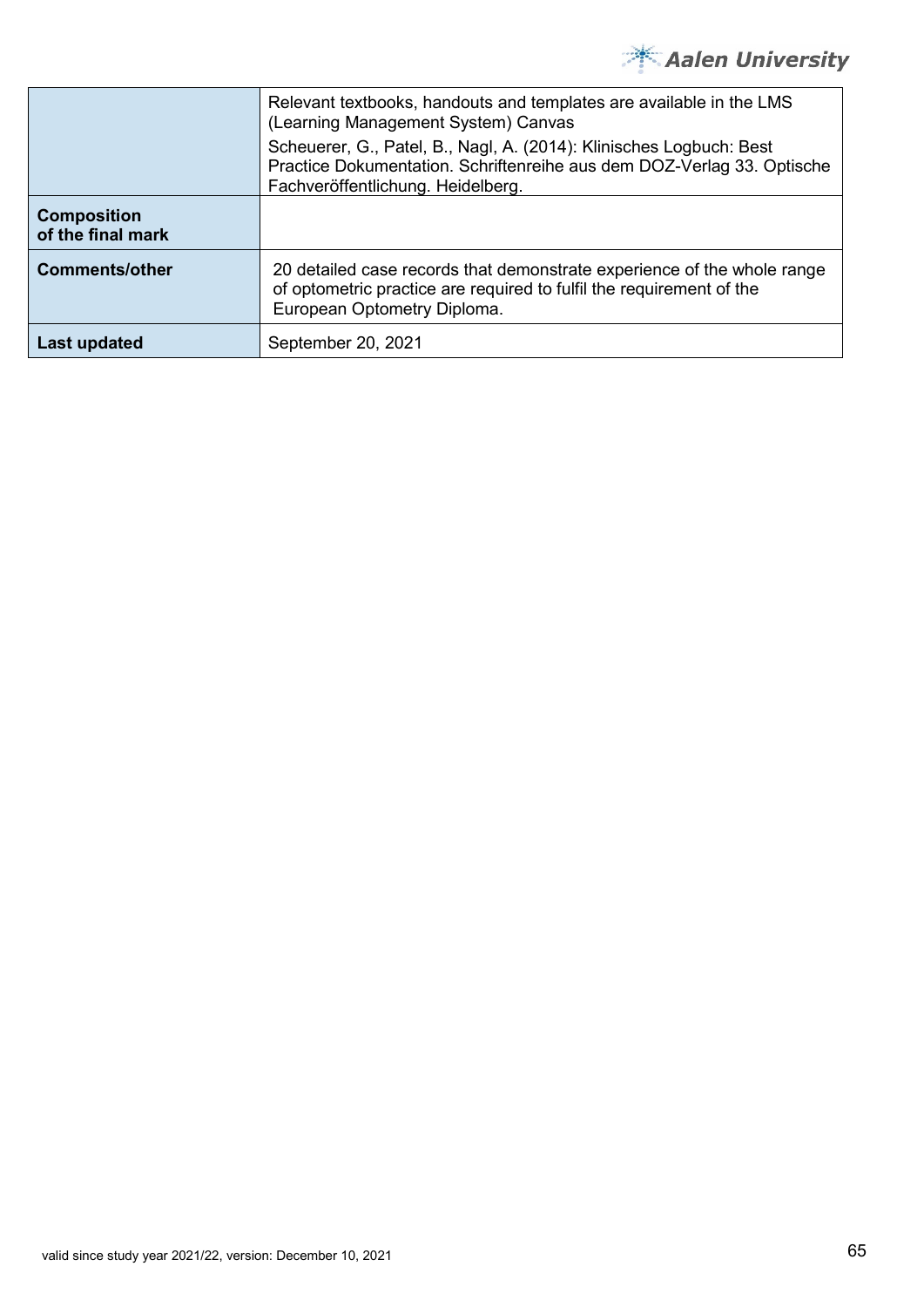

|                                         | Relevant textbooks, handouts and templates are available in the LMS<br>(Learning Management System) Canvas<br>Scheuerer, G., Patel, B., Nagl, A. (2014): Klinisches Logbuch: Best<br>Practice Dokumentation. Schriftenreihe aus dem DOZ-Verlag 33. Optische<br>Fachveröffentlichung. Heidelberg. |
|-----------------------------------------|--------------------------------------------------------------------------------------------------------------------------------------------------------------------------------------------------------------------------------------------------------------------------------------------------|
| <b>Composition</b><br>of the final mark |                                                                                                                                                                                                                                                                                                  |
| <b>Comments/other</b>                   | 20 detailed case records that demonstrate experience of the whole range<br>of optometric practice are required to fulfil the requirement of the<br>European Optometry Diploma.                                                                                                                   |
| Last updated                            | September 20, 2021                                                                                                                                                                                                                                                                               |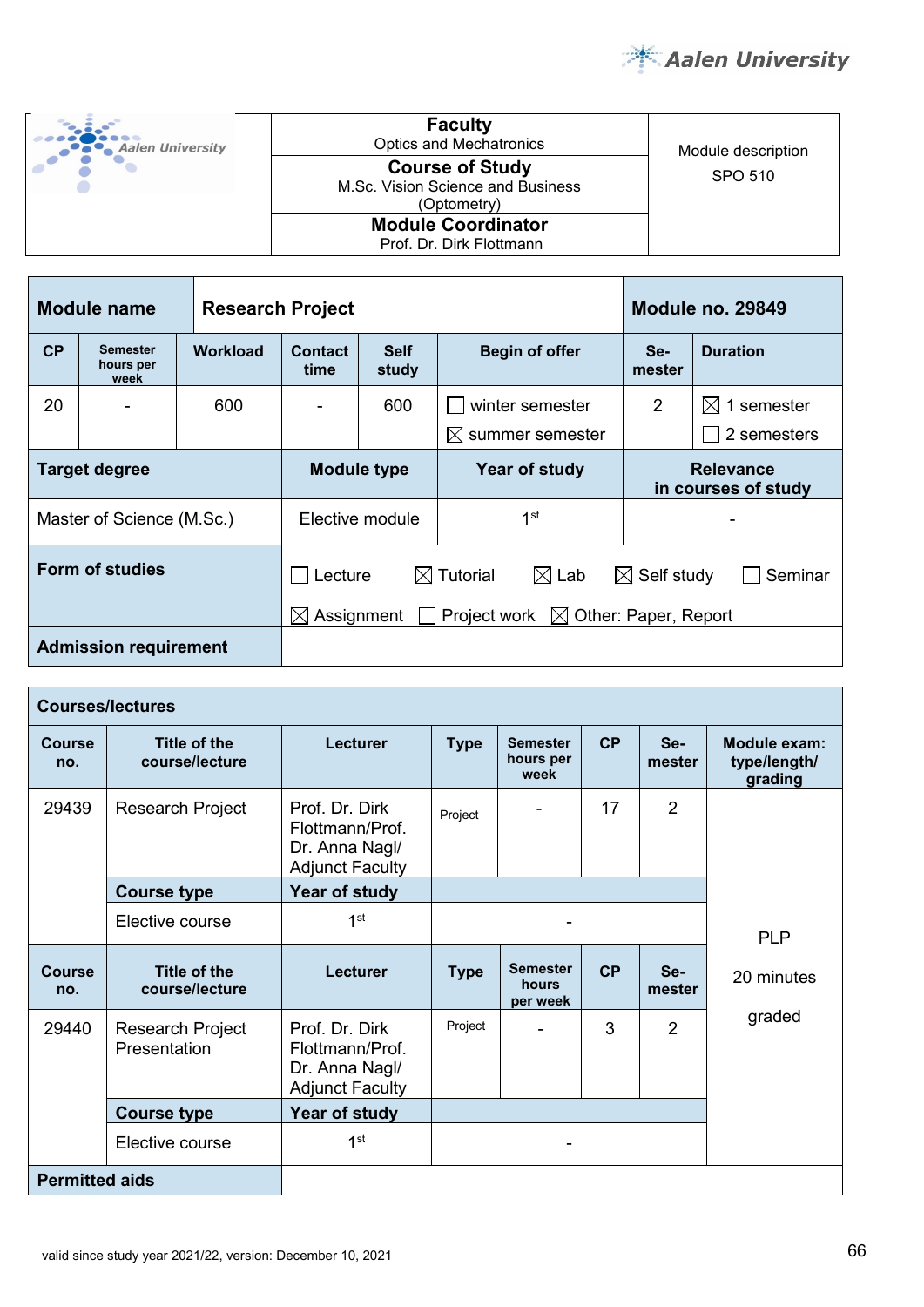

| <b>Aalen University</b> | <b>Faculty</b><br><b>Optics and Mechatronics</b>                           | Module description |
|-------------------------|----------------------------------------------------------------------------|--------------------|
|                         | <b>Course of Study</b><br>M.Sc. Vision Science and Business<br>(Optometry) | SPO 510            |
|                         | <b>Module Coordinator</b><br>Prof. Dr. Dirk Flottmann                      |                    |

|                                                                                                                                                                                | <b>Module name</b><br><b>Research Project</b> |                                     |                        |                                         |                              | <b>Module no. 29849</b> |                        |
|--------------------------------------------------------------------------------------------------------------------------------------------------------------------------------|-----------------------------------------------|-------------------------------------|------------------------|-----------------------------------------|------------------------------|-------------------------|------------------------|
| CP                                                                                                                                                                             | <b>Semester</b><br>hours per<br>week          | <b>Workload</b>                     | <b>Contact</b><br>time | <b>Self</b><br>Begin of offer<br>study  |                              | Se-<br>mester           | <b>Duration</b>        |
| 20                                                                                                                                                                             |                                               | 600                                 |                        | 600                                     | winter semester              | 2                       | $\boxtimes$ 1 semester |
|                                                                                                                                                                                |                                               |                                     |                        |                                         | summer semester<br>$\bowtie$ |                         | 2 semesters            |
|                                                                                                                                                                                | <b>Target degree</b>                          | Year of study<br><b>Module type</b> |                        | <b>Relevance</b><br>in courses of study |                              |                         |                        |
|                                                                                                                                                                                | Master of Science (M.Sc.)                     |                                     |                        | Elective module                         | 1 <sup>st</sup>              |                         |                        |
| Form of studies<br>$\boxtimes$ Tutorial<br>$\boxtimes$ Lab<br>$\boxtimes$ Self study<br>Lecture<br>Assignment<br>Other: Paper, Report<br>$\boxtimes$<br>Project work $\bowtie$ |                                               |                                     |                        |                                         |                              | Seminar                 |                        |
|                                                                                                                                                                                |                                               |                                     |                        |                                         |                              |                         |                        |
|                                                                                                                                                                                | <b>Admission requirement</b>                  |                                     |                        |                                         |                              |                         |                        |

|                      | <b>Courses/lectures</b>               |                                                                                                                  |                                                                            |                                      |    |                                         |            |
|----------------------|---------------------------------------|------------------------------------------------------------------------------------------------------------------|----------------------------------------------------------------------------|--------------------------------------|----|-----------------------------------------|------------|
| <b>Course</b><br>no. | <b>Title of the</b><br>course/lecture | Lecturer                                                                                                         | CP<br>Se-<br><b>Type</b><br><b>Semester</b><br>hours per<br>mester<br>week |                                      |    | Module exam:<br>type/length/<br>grading |            |
| 29439                | Research Project                      | $\overline{2}$<br>Prof. Dr. Dirk<br>17<br>Project<br>Flottmann/Prof.<br>Dr. Anna Nagl/<br><b>Adjunct Faculty</b> |                                                                            |                                      |    |                                         |            |
|                      | <b>Course type</b>                    | Year of study                                                                                                    |                                                                            |                                      |    |                                         |            |
|                      | Elective course                       | 1 <sup>st</sup>                                                                                                  |                                                                            |                                      |    |                                         | <b>PLP</b> |
| Course<br>no.        | Title of the<br>course/lecture        | <b>Lecturer</b>                                                                                                  | <b>Type</b>                                                                | <b>Semester</b><br>hours<br>per week | CP | Se-<br>mester                           | 20 minutes |
| 29440                | Research Project<br>Presentation      | Prof. Dr. Dirk<br>Flottmann/Prof.<br>Dr. Anna Nagl/<br><b>Adjunct Faculty</b>                                    | Project                                                                    |                                      | 3  | $\overline{2}$                          | graded     |
|                      | <b>Course type</b>                    | Year of study                                                                                                    |                                                                            |                                      |    |                                         |            |
|                      | Elective course                       | 1 <sup>st</sup>                                                                                                  |                                                                            |                                      |    |                                         |            |
|                      |                                       |                                                                                                                  |                                                                            |                                      |    |                                         |            |